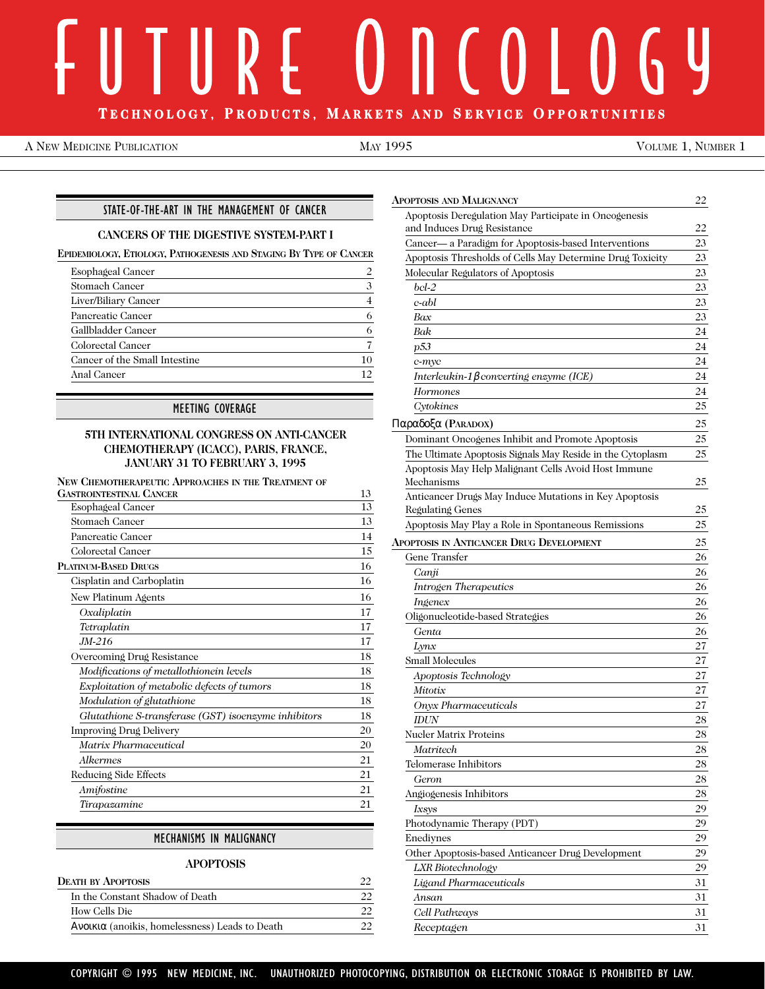# $\bigcirc$  $\left( \begin{array}{c} 0 \\ 0 \end{array} \right)$ **T ECHNOLOGY, P RODUCTS, M A RKETS AND S ERVICE O PPORTUNITIES**

A NEW MEDICINE PUBLICATION **MAY 1995** MAY 1995 VOLUME 1, NUMBER 1

#### STATE-OF-THE-ART IN THE MANAGEMENT OF CANCER

#### **CANCERS OF THE DIGESTIVE SYSTEM-PART I**

**EPIDEMIOLOGY, ETIOLOGY, PATHOGENESIS AND STAGING BY TYPE OF CANCER**

| Esophageal Cancer             |         |
|-------------------------------|---------|
| <b>Stomach Cancer</b>         | 3       |
| Liver/Biliary Cancer          |         |
| Pancreatic Cancer             | 6       |
| Gallbladder Cancer            | 6       |
| Colorectal Cancer             |         |
| Cancer of the Small Intestine | 10      |
| Anal Cancer                   | $12 \,$ |
|                               |         |

#### MEETING COVERAGE

#### **5TH INTERNATIONAL CONGRESS ON ANTI-CANCER CHEMOTHERAPY (ICACC), PARIS, FRANCE, JANUARY 31 TO FEBRUARY 3, 1995**

**NEW CHEMOTHERAPEUTIC APPROACHES IN THE TREATMENT OF**

| <b>GASTROINTESTINAL CANCER</b>                       | 13 |
|------------------------------------------------------|----|
| Esophageal Cancer                                    | 13 |
| <b>Stomach Cancer</b>                                | 13 |
| Pancreatic Cancer                                    | 14 |
| <b>Colorectal Cancer</b>                             | 15 |
| <b>PLATINUM-BASED DRUGS</b>                          | 16 |
| Cisplatin and Carboplatin                            | 16 |
| New Platinum Agents                                  | 16 |
| Oxaliplatin                                          | 17 |
| Tetraplatin                                          | 17 |
| JM-216                                               | 17 |
| Overcoming Drug Resistance                           | 18 |
| Modifications of metallothionein levels              | 18 |
| Exploitation of metabolic defects of tumors          | 18 |
| Modulation of glutathione                            | 18 |
| Glutathione S-transferase (GST) isoenzyme inhibitors | 18 |
| Improving Drug Delivery                              | 20 |
| Matrix Pharmaceutical                                | 20 |
| Alkermes                                             | 21 |
| Reducing Side Effects                                | 21 |
| Amifostine                                           | 21 |
| Tirapazamine                                         | 21 |

#### MECHANISMS IN MALIGNANCY

#### **APOPTOSIS**

| <b>DEATH BY APOPTOSIS</b>                      |  |
|------------------------------------------------|--|
| In the Constant Shadow of Death                |  |
| How Cells Die                                  |  |
| Aνοικια (anoikis, homelessness) Leads to Death |  |

| Apoptosis and Malignancy                                   | 22 |
|------------------------------------------------------------|----|
| Apoptosis Deregulation May Participate in Oncogenesis      |    |
| and Induces Drug Resistance                                | 22 |
| Cancer- a Paradigm for Apoptosis-based Interventions       | 23 |
| Apoptosis Thresholds of Cells May Determine Drug Toxicity  | 23 |
| Molecular Regulators of Apoptosis                          | 23 |
| bcl-2                                                      | 23 |
| c-abl                                                      | 23 |
| Bax                                                        | 23 |
| Bak                                                        | 24 |
| p53                                                        | 24 |
| c-myc                                                      | 24 |
| Interleukin-1 $\beta$ converting enzyme (ICE)              | 24 |
| Hormones                                                   | 24 |
| Cytokines                                                  | 25 |
| Παραδοξα (Paradox)                                         | 25 |
| Dominant Oncogenes Inhibit and Promote Apoptosis           | 25 |
| The Ultimate Apoptosis Signals May Reside in the Cytoplasm | 25 |
| Apoptosis May Help Malignant Cells Avoid Host Immune       |    |
| Mechanisms                                                 | 25 |
| Anticancer Drugs May Induce Mutations in Key Apoptosis     |    |
| Regulating Genes                                           | 25 |
| Apoptosis May Play a Role in Spontaneous Remissions        | 25 |
| APOPTOSIS IN ANTICANCER DRUG DEVELOPMENT                   | 25 |
| Gene Transfer                                              | 26 |
| Canji                                                      | 26 |
| <b>Introgen Therapeutics</b>                               | 26 |
| Ingenex                                                    | 26 |
| Oligonucleotide-based Strategies                           | 26 |
| Genta                                                      | 26 |
| Lynx                                                       | 27 |
| Small Molecules                                            | 27 |
| Apoptosis Technology                                       | 27 |
| Mitotix                                                    | 27 |
| <b>Onyx Pharmaceuticals</b>                                | 27 |
| <b>IDUN</b>                                                | 28 |
| <b>Nucler Matrix Proteins</b>                              | 28 |
| Matritech                                                  | 28 |
| Telomerase Inhibitors                                      | 28 |
| Geron                                                      | 28 |
| Angiogenesis Inhibitors                                    | 28 |
| Ixsys                                                      | 29 |
| Photodynamic Therapy (PDT)                                 | 29 |
| Enediynes                                                  | 29 |
| Other Apoptosis-based Anticancer Drug Development          | 29 |
| LXR Biotechnology                                          | 29 |
| Ligand Pharmaceuticals                                     | 31 |
| Ansan                                                      | 31 |
| Cell Pathways                                              | 31 |
| Receptagen                                                 | 31 |
|                                                            |    |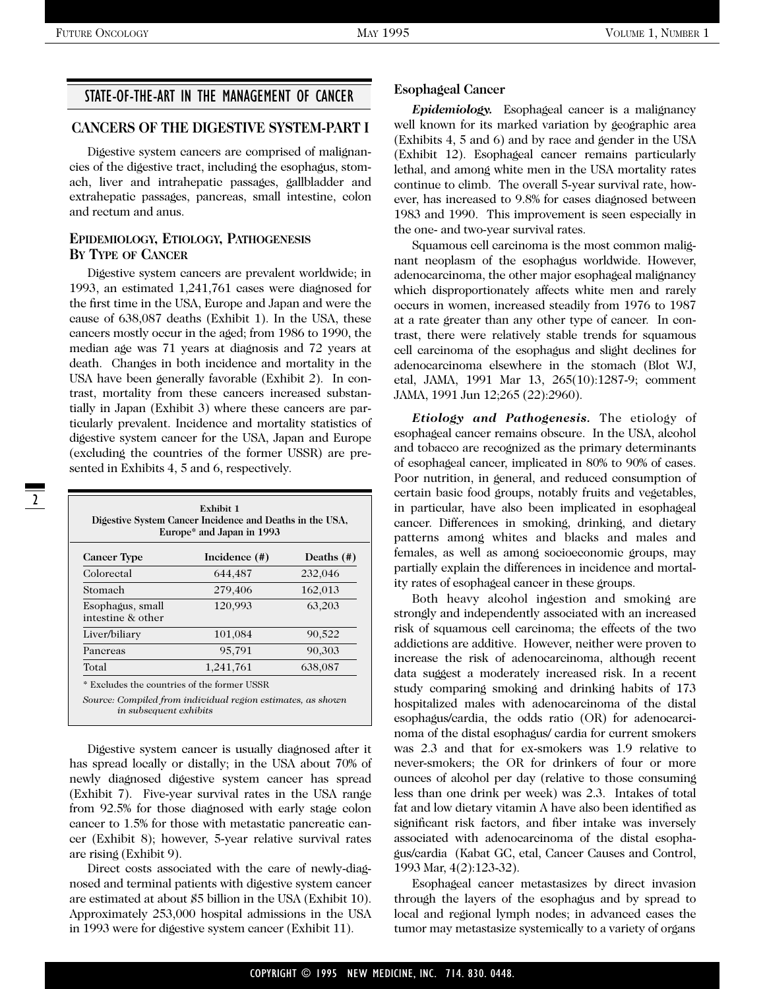# STATE-OF-THE-ART IN THE MANAGEMENT OF CANCER

### **CANCERS OF THE DIGESTIVE SYSTEM-PART I**

Digestive system cancers are comprised of malignancies of the digestive tract, including the esophagus, stomach, liver and intrahepatic passages, gallbladder and extrahepatic passages, pancreas, small intestine, colon and rectum and anus.

#### **EPIDEMIOLOGY, ETIOLOGY, PATHOGENESIS BY TYPE OF CANCER**

Digestive system cancers are prevalent worldwide; in 1993, an estimated 1,241,761 cases were diagnosed for the first time in the USA, Europe and Japan and were the cause of 638,087 deaths (Exhibit 1). In the USA, these cancers mostly occur in the aged; from 1986 to 1990, the median age was 71 years at diagnosis and 72 years at death. Changes in both incidence and mortality in the USA have been generally favorable (Exhibit 2). In contrast, mortality from these cancers increased substantially in Japan (Exhibit 3) where these cancers are particularly prevalent. Incidence and mortality statistics of digestive system cancer for the USA, Japan and Europe (excluding the countries of the former USSR) are presented in Exhibits 4, 5 and 6, respectively.

| Exhibit 1<br>Digestive System Cancer Incidence and Deaths in the USA,<br>Europe* and Japan in 1993         |               |            |  |  |  |  |  |
|------------------------------------------------------------------------------------------------------------|---------------|------------|--|--|--|--|--|
| <b>Cancer Type</b>                                                                                         | Incidence (#) | Deaths (#) |  |  |  |  |  |
| Colorectal                                                                                                 | 644,487       | 232,046    |  |  |  |  |  |
| Stomach                                                                                                    | 279,406       | 162,013    |  |  |  |  |  |
| Esophagus, small<br>intestine & other                                                                      | 120,993       | 63,203     |  |  |  |  |  |
| Liver/biliary                                                                                              | 101,084       | 90,522     |  |  |  |  |  |
| Pancreas                                                                                                   | 95,791        | 90,303     |  |  |  |  |  |
| Total                                                                                                      | 1,241,761     | 638,087    |  |  |  |  |  |
| * Excludes the countries of the former USSR<br>Source: Compiled from individual region estimates, as shown |               |            |  |  |  |  |  |

Digestive system cancer is usually diagnosed after it has spread locally or distally; in the USA about 70% of newly diagnosed digestive system cancer has spread (Exhibit 7). Five-year survival rates in the USA range from 92.5% for those diagnosed with early stage colon cancer to 1.5% for those with metastatic pancreatic cancer (Exhibit 8); however, 5-year relative survival rates are rising (Exhibit 9).

*in subsequent exhibits*

Direct costs associated with the care of newly-diagnosed and terminal patients with digestive system cancer are estimated at about \$5 billion in the USA (Exhibit 10). Approximately 253,000 hospital admissions in the USA in 1993 were for digestive system cancer (Exhibit 11).

#### **Esophageal Cancer**

*Epidemiology.* Esophageal cancer is a malignancy well known for its marked variation by geographic area (Exhibits 4, 5 and 6) and by race and gender in the USA (Exhibit 12). Esophageal cancer remains particularly lethal, and among white men in the USA mortality rates continue to climb. The overall 5-year survival rate, however, has increased to 9.8% for cases diagnosed between 1983 and 1990. This improvement is seen especially in the one- and two-year survival rates.

Squamous cell carcinoma is the most common malignant neoplasm of the esophagus worldwide. However, adenocarcinoma, the other major esophageal malignancy which disproportionately affects white men and rarely occurs in women, increased steadily from 1976 to 1987 at a rate greater than any other type of cancer. In contrast, there were relatively stable trends for squamous cell carcinoma of the esophagus and slight declines for adenocarcinoma elsewhere in the stomach (Blot WJ, etal, JAMA, 1991 Mar 13, 265(10):1287-9; comment JAMA, 1991 Jun 12;265 (22):2960).

*Etiology and Pathogenesis.* The etiology of esophageal cancer remains obscure. In the USA, alcohol and tobacco are recognized as the primary determinants of esophageal cancer, implicated in 80% to 90% of cases. Poor nutrition, in general, and reduced consumption of certain basic food groups, notably fruits and vegetables, in particular, have also been implicated in esophageal cancer. Differences in smoking, drinking, and dietary patterns among whites and blacks and males and females, as well as among socioeconomic groups, may partially explain the differences in incidence and mortality rates of esophageal cancer in these groups.

Both heavy alcohol ingestion and smoking are strongly and independently associated with an increased risk of squamous cell carcinoma; the effects of the two addictions are additive. However, neither were proven to increase the risk of adenocarcinoma, although recent data suggest a moderately increased risk. In a recent study comparing smoking and drinking habits of 173 hospitalized males with adenocarcinoma of the distal esophagus/cardia, the odds ratio (OR) for adenocarcinoma of the distal esophagus/ cardia for current smokers was 2.3 and that for ex-smokers was 1.9 relative to never-smokers; the OR for drinkers of four or more ounces of alcohol per day (relative to those consuming less than one drink per week) was 2.3. Intakes of total fat and low dietary vitamin A have also been identified as significant risk factors, and fiber intake was inversely associated with adenocarcinoma of the distal esophagus/cardia (Kabat GC, etal, Cancer Causes and Control, 1993 Mar, 4(2):123-32).

Esophageal cancer metastasizes by direct invasion through the layers of the esophagus and by spread to local and regional lymph nodes; in advanced cases the tumor may metastasize systemically to a variety of organs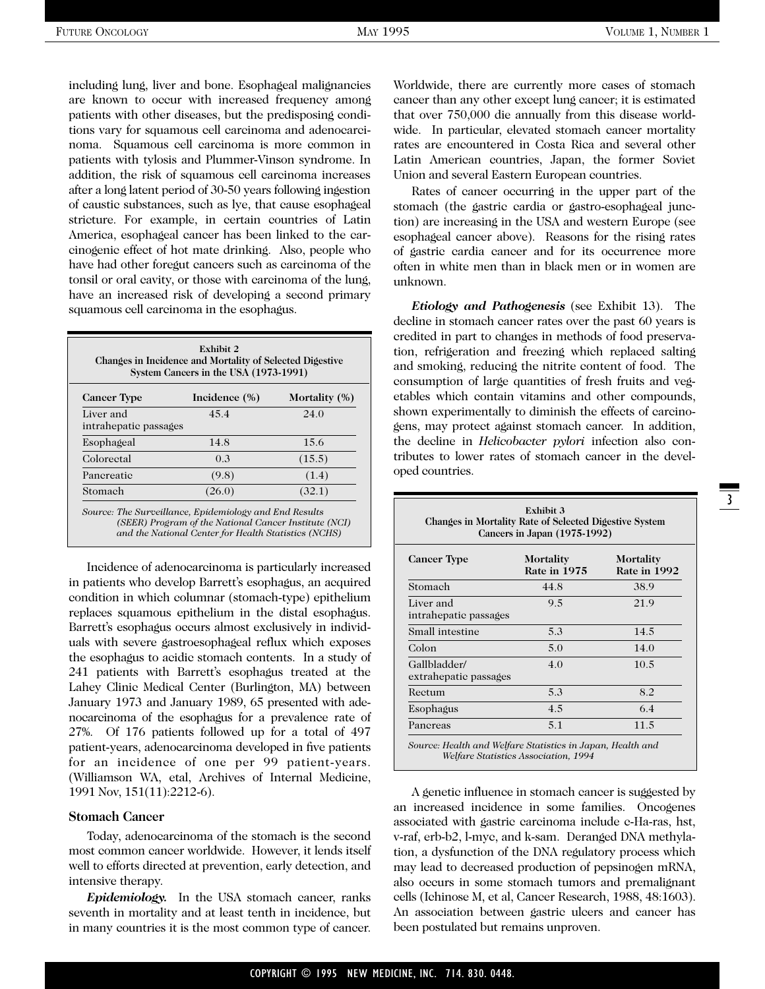including lung, liver and bone. Esophageal malignancies are known to occur with increased frequency among patients with other diseases, but the predisposing conditions vary for squamous cell carcinoma and adenocarcinoma. Squamous cell carcinoma is more common in patients with tylosis and Plummer-Vinson syndrome. In addition, the risk of squamous cell carcinoma increases after a long latent period of 30-50 years following ingestion of caustic substances, such as lye, that cause esophageal stricture. For example, in certain countries of Latin America, esophageal cancer has been linked to the carcinogenic effect of hot mate drinking. Also, people who have had other foregut cancers such as carcinoma of the tonsil or oral cavity, or those with carcinoma of the lung, have an increased risk of developing a second primary squamous cell carcinoma in the esophagus.

| Exhibit 2<br>Changes in Incidence and Mortality of Selected Digestive<br>System Cancers in the USA (1973-1991) |               |               |  |  |  |  |  |
|----------------------------------------------------------------------------------------------------------------|---------------|---------------|--|--|--|--|--|
| <b>Cancer Type</b>                                                                                             | Incidence (%) | Mortality (%) |  |  |  |  |  |
| Liver and<br>intrahepatic passages                                                                             | 45.4          | 24.0          |  |  |  |  |  |
| Esophageal                                                                                                     | 14.8          | 15.6          |  |  |  |  |  |
| Colorectal                                                                                                     | 0.3           | (15.5)        |  |  |  |  |  |
| Pancreatic                                                                                                     | (9.8)         | (1.4)         |  |  |  |  |  |
| Stomach                                                                                                        | (26.0)        | (32.1)        |  |  |  |  |  |

*Source: The Surveillance, Epidemiology and End Results (SEER) Program of the National Cancer Institute (NCI) and the National Center for Health Statistics (NCHS)*

Incidence of adenocarcinoma is particularly increased in patients who develop Barrett's esophagus, an acquired condition in which columnar (stomach-type) epithelium replaces squamous epithelium in the distal esophagus. Barrett's esophagus occurs almost exclusively in individuals with severe gastroesophageal reflux which exposes the esophagus to acidic stomach contents. In a study of 241 patients with Barrett's esophagus treated at the Lahey Clinic Medical Center (Burlington, MA) between January 1973 and January 1989, 65 presented with adenocarcinoma of the esophagus for a prevalence rate of 27%. Of 176 patients followed up for a total of 497 patient-years, adenocarcinoma developed in five patients for an incidence of one per 99 patient-years. (Williamson WA, etal, Archives of Internal Medicine, 1991 Nov, 151(11):2212-6).

#### **Stomach Cancer**

Today, adenocarcinoma of the stomach is the second most common cancer worldwide. However, it lends itself well to efforts directed at prevention, early detection, and intensive therapy.

*Epidemiology.* In the USA stomach cancer, ranks seventh in mortality and at least tenth in incidence, but in many countries it is the most common type of cancer. Worldwide, there are currently more cases of stomach cancer than any other except lung cancer; it is estimated that over 750,000 die annually from this disease worldwide. In particular, elevated stomach cancer mortality rates are encountered in Costa Rica and several other Latin American countries, Japan, the former Soviet Union and several Eastern European countries.

Rates of cancer occurring in the upper part of the stomach (the gastric cardia or gastro-esophageal junction) are increasing in the USA and western Europe (see esophageal cancer above). Reasons for the rising rates of gastric cardia cancer and for its occurrence more often in white men than in black men or in women are unknown.

*Etiology and Pathogenesis* (see Exhibit 13). The decline in stomach cancer rates over the past 60 years is credited in part to changes in methods of food preservation, refrigeration and freezing which replaced salting and smoking, reducing the nitrite content of food. The consumption of large quantities of fresh fruits and vegetables which contain vitamins and other compounds, shown experimentally to diminish the effects of carcinogens, may protect against stomach cancer. In addition, the decline in *Helicobacter pylori* infection also contributes to lower rates of stomach cancer in the developed countries.

| Changes in Mortality Rate of Selected Digestive System<br>Cancers in Japan (1975-1992) |                                  |                                  |  |  |  |  |  |  |
|----------------------------------------------------------------------------------------|----------------------------------|----------------------------------|--|--|--|--|--|--|
| <b>Cancer Type</b>                                                                     | Mortality<br><b>Rate in 1975</b> | <b>Mortality</b><br>Rate in 1992 |  |  |  |  |  |  |
| Stomach                                                                                | 44.8                             | 38.9                             |  |  |  |  |  |  |
| Liver and<br>intrahepatic passages                                                     | 9.5                              | 21.9                             |  |  |  |  |  |  |
| Small intestine                                                                        | 5.3                              | 14.5                             |  |  |  |  |  |  |
| Colon                                                                                  | 5.0                              | 14.0                             |  |  |  |  |  |  |
| Gallbladder/<br>extrahepatic passages                                                  | 4.0                              | 10.5                             |  |  |  |  |  |  |
| Rectum                                                                                 | 5.3                              | 8.2                              |  |  |  |  |  |  |
| Esophagus                                                                              | 4.5                              | 6.4                              |  |  |  |  |  |  |
| Pancreas                                                                               | 5.1                              | 11.5                             |  |  |  |  |  |  |

A genetic influence in stomach cancer is suggested by an increased incidence in some families. Oncogenes associated with gastric carcinoma include c-Ha-ras, hst, v-raf, erb-b2, l-myc, and k-sam. Deranged DNA methylation, a dysfunction of the DNA regulatory process which may lead to decreased production of pepsinogen mRNA, also occurs in some stomach tumors and premalignant cells (Ichinose M, et al, Cancer Research, 1988, 48:1603). An association between gastric ulcers and cancer has been postulated but remains unproven.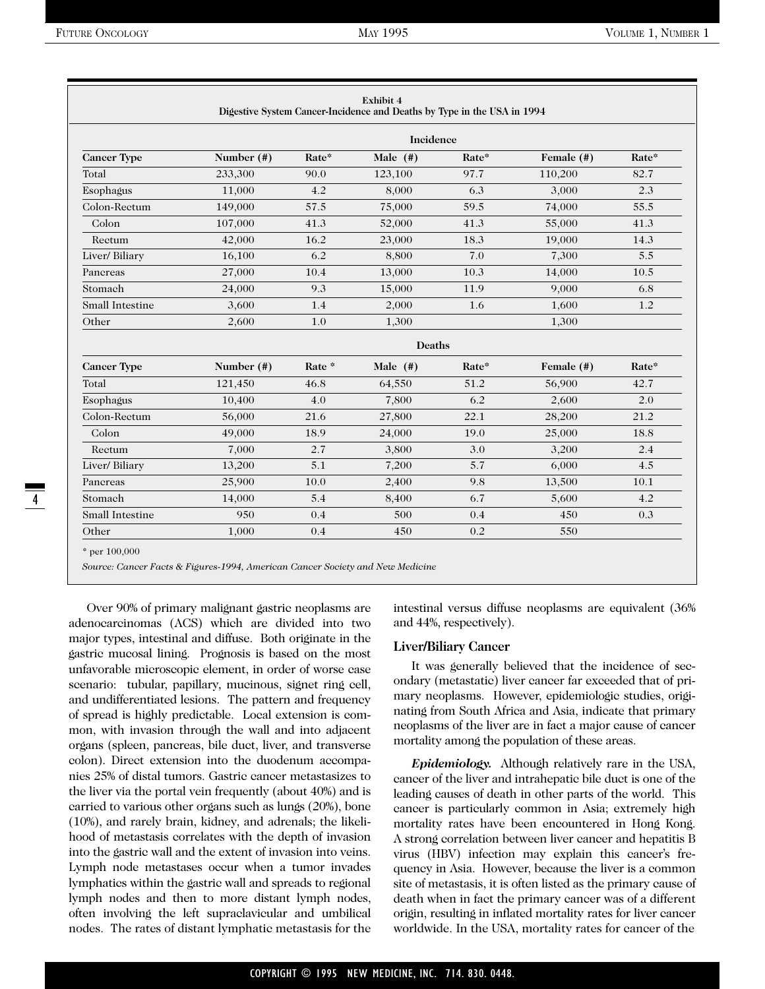|                        | <b>Incidence</b> |        |                |       |                                                              |       |  |  |  |
|------------------------|------------------|--------|----------------|-------|--------------------------------------------------------------|-------|--|--|--|
| <b>Cancer Type</b>     | Number (#)       | Rate*  | Male $($ # $)$ | Rate* | Female (#)                                                   | Rate* |  |  |  |
| Total                  | 233,300          | 90.0   | 123,100        | 97.7  | 110,200                                                      | 82.7  |  |  |  |
| Esophagus              | 11,000           | 4.2    | 8,000          | 6.3   | 3,000                                                        | 2.3   |  |  |  |
| Colon-Rectum           | 149,000          | 57.5   | 75,000         | 59.5  | 74,000                                                       | 55.5  |  |  |  |
| Colon                  | 107,000          | 41.3   | 52,000         | 41.3  | 55,000                                                       | 41.3  |  |  |  |
| Rectum                 | 42,000           | 16.2   | 23,000         | 18.3  | 19,000<br>14.3<br>7,300<br>14,000<br>9,000<br>1,600<br>1,300 |       |  |  |  |
| Liver/ Biliary         | 16,100           | 6.2    | 8,800          | 7.0   |                                                              | 5.5   |  |  |  |
| Pancreas               | 27,000           | 10.4   | 13,000         | 10.3  |                                                              | 10.5  |  |  |  |
| Stomach                | 24,000           | 9.3    | 15,000         | 11.9  |                                                              | 6.8   |  |  |  |
| <b>Small Intestine</b> | 3,600            | 1.4    | 2,000          | 1.6   |                                                              | 1.2   |  |  |  |
| Other                  | 2,600            | 1.0    | 1,300          |       |                                                              |       |  |  |  |
|                        |                  |        | Deaths         |       |                                                              |       |  |  |  |
| <b>Cancer Type</b>     | Number $(\#)$    | Rate * | Male $(#)$     | Rate* | Female (#)                                                   | Rate* |  |  |  |
| Total                  | 121,450          | 46.8   | 64,550         | 51.2  | 56,900                                                       | 42.7  |  |  |  |
| Esophagus              | 10,400           | 4.0    | 7,800          | 6.2   | 2,600                                                        | 2.0   |  |  |  |
| Colon-Rectum           | 56,000           | 21.6   | 27,800         | 22.1  | 28,200                                                       | 21.2  |  |  |  |
| Colon                  | 49,000           | 18.9   | 24,000         | 19.0  | 25,000                                                       | 18.8  |  |  |  |
| Rectum                 | 7,000            | 2.7    | 3,800          | 3.0   | 3,200                                                        | 2.4   |  |  |  |
| Liver/ Biliary         | 13,200           | 5.1    | 7,200          | 5.7   | 6,000                                                        | 4.5   |  |  |  |
| Pancreas               | 25,900           | 10.0   | 2,400          | 9.8   | 13,500                                                       | 10.1  |  |  |  |
| Stomach                | 14,000           | 5.4    | 8,400          | 6.7   | 5,600                                                        | 4.2   |  |  |  |
| Small Intestine        | 950              | 0.4    | 500            | 0.4   | 450                                                          | 0.3   |  |  |  |
| Other                  | 1,000            | 0.4    | 450            | 0.2   | 550                                                          |       |  |  |  |

Over 90% of primary malignant gastric neoplasms are adenocarcinomas (ACS) which are divided into two major types, intestinal and diffuse. Both originate in the gastric mucosal lining. Prognosis is based on the most unfavorable microscopic element, in order of worse case scenario: tubular, papillary, mucinous, signet ring cell, and undifferentiated lesions. The pattern and frequency of spread is highly predictable. Local extension is common, with invasion through the wall and into adjacent organs (spleen, pancreas, bile duct, liver, and transverse colon). Direct extension into the duodenum accompanies 25% of distal tumors. Gastric cancer metastasizes to the liver via the portal vein frequently (about 40%) and is carried to various other organs such as lungs (20%), bone (10%), and rarely brain, kidney, and adrenals; the likelihood of metastasis correlates with the depth of invasion into the gastric wall and the extent of invasion into veins. Lymph node metastases occur when a tumor invades lymphatics within the gastric wall and spreads to regional lymph nodes and then to more distant lymph nodes, often involving the left supraclavicular and umbilical nodes. The rates of distant lymphatic metastasis for the intestinal versus diffuse neoplasms are equivalent (36% and 44%, respectively).

#### **Liver/Biliary Cancer**

It was generally believed that the incidence of secondary (metastatic) liver cancer far exceeded that of primary neoplasms. However, epidemiologic studies, originating from South Africa and Asia, indicate that primary neoplasms of the liver are in fact a major cause of cancer mortality among the population of these areas.

*Epidemiology.* Although relatively rare in the USA, cancer of the liver and intrahepatic bile duct is one of the leading causes of death in other parts of the world. This cancer is particularly common in Asia; extremely high mortality rates have been encountered in Hong Kong. A strong correlation between liver cancer and hepatitis B virus (HBV) infection may explain this cancer's frequency in Asia. However, because the liver is a common site of metastasis, it is often listed as the primary cause of death when in fact the primary cancer was of a different origin, resulting in inflated mortality rates for liver cancer worldwide. In the USA, mortality rates for cancer of the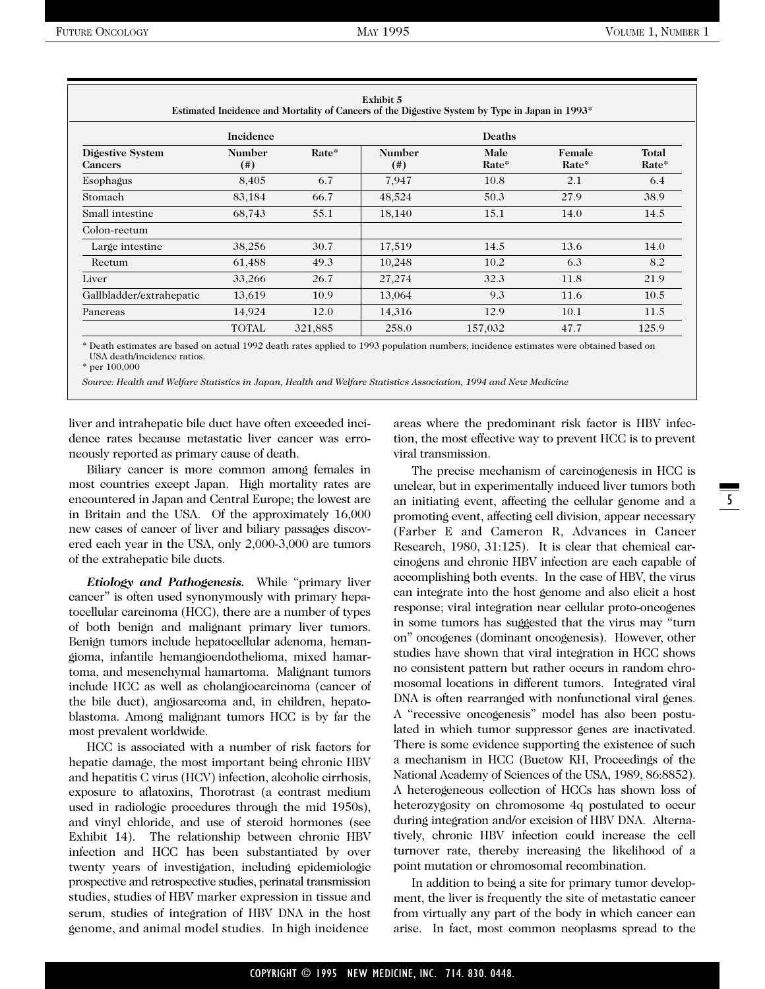| <b>Exhibit 5</b><br>Estimated Incidence and Mortality of Cancers of the Digestive System by Type in Japan in 1993* |                       |         |                       |               |                 |                |     |  |  |
|--------------------------------------------------------------------------------------------------------------------|-----------------------|---------|-----------------------|---------------|-----------------|----------------|-----|--|--|
|                                                                                                                    | <b>Incidence</b>      |         |                       | Deaths        |                 |                |     |  |  |
| Digestive System<br><b>Cancers</b>                                                                                 | <b>Number</b><br>(# ) | Rate*   | <b>Number</b><br>(# ) | Male<br>Rate* | Female<br>Rate* | Total<br>Rate* |     |  |  |
| Esophagus                                                                                                          | 8,405                 | 6.7     |                       | 7,947         | 10.8            | 2.1            | 6.4 |  |  |
| 83,184<br>Stomach                                                                                                  |                       | 66.7    | 48,524                | 50.3          | 27.9            | 38.9           |     |  |  |
| Small intestine                                                                                                    | 55.1<br>68,743        |         | 18,140                | 15.1          | 14.0            | 14.5           |     |  |  |
| Colon-rectum                                                                                                       |                       |         |                       |               |                 |                |     |  |  |
| Large intestine                                                                                                    | 38,256                | 30.7    | 17,519                | 14.5          | 13.6            | 14.0           |     |  |  |
| Rectum                                                                                                             | 61,488                | 49.3    | 10,248                | 10.2          | 6.3             | 8.2            |     |  |  |
| Liver                                                                                                              | 33,266                | 26.7    | 27,274                | 32.3          | 11.8            | 21.9           |     |  |  |
| Gallbladder/extrahepatic<br>13,619                                                                                 |                       | 10.9    | 13,064                | 9.3           | 11.6            | 10.5           |     |  |  |
| Pancreas                                                                                                           | 14,924                | 12.0    | 14,316                | 12.9          | 10.1            | 11.5           |     |  |  |
|                                                                                                                    | <b>TOTAL</b>          | 321,885 | 258.0                 | 157,032       | 47.7            | 125.9          |     |  |  |

\* Death estimates are based on actual 1992 death rates applied to 1993 population numbers; incidence estimates were obtained based on USA death/incidence ratios.

\* per 100,000

*Source: Health and Welfare Statistics in Japan, Health and Welfare Statistics Association, 1994 and New Medicine*

liver and intrahepatic bile duct have often exceeded incidence rates because metastatic liver cancer was erroneously reported as primary cause of death.

Biliary cancer is more common among females in most countries except Japan. High mortality rates are encountered in Japan and Central Europe; the lowest are in Britain and the USA. Of the approximately 16,000 new cases of cancer of liver and biliary passages discovered each year in the USA, only 2,000-3,000 are tumors of the extrahepatic bile ducts.

*Etiology and Pathogenesis.* While "primary liver cancer" is often used synonymously with primary hepatocellular carcinoma (HCC), there are a number of types of both benign and malignant primary liver tumors. Benign tumors include hepatocellular adenoma, hemangioma, infantile hemangioendothelioma, mixed hamartoma, and mesenchymal hamartoma. Malignant tumors include HCC as well as cholangiocarcinoma (cancer of the bile duct), angiosarcoma and, in children, hepatoblastoma. Among malignant tumors HCC is by far the most prevalent worldwide.

HCC is associated with a number of risk factors for hepatic damage, the most important being chronic HBV and hepatitis C virus (HCV) infection, alcoholic cirrhosis, exposure to aflatoxins, Thorotrast (a contrast medium used in radiologic procedures through the mid 1950s), and vinyl chloride, and use of steroid hormones (see Exhibit 14). The relationship between chronic HBV infection and HCC has been substantiated by over twenty years of investigation, including epidemiologic prospective and retrospective studies, perinatal transmission studies, studies of HBV marker expression in tissue and serum, studies of integration of HBV DNA in the host genome, and animal model studies. In high incidence

areas where the predominant risk factor is HBV infection, the most effective way to prevent HCC is to prevent viral transmission.

The precise mechanism of carcinogenesis in HCC is unclear, but in experimentally induced liver tumors both an initiating event, affecting the cellular genome and a promoting event, affecting cell division, appear necessary (Farber E and Cameron R, Advances in Cancer Research, 1980, 31:125). It is clear that chemical carcinogens and chronic HBV infection are each capable of accomplishing both events. In the case of HBV, the virus can integrate into the host genome and also elicit a host response; viral integration near cellular proto-oncogenes in some tumors has suggested that the virus may "turn on" oncogenes (dominant oncogenesis). However, other studies have shown that viral integration in HCC shows no consistent pattern but rather occurs in random chromosomal locations in different tumors. Integrated viral DNA is often rearranged with nonfunctional viral genes. A "recessive oncogenesis" model has also been postulated in which tumor suppressor genes are inactivated. There is some evidence supporting the existence of such a mechanism in HCC (Buetow KH, Proceedings of the National Academy of Sciences of the USA, 1989, 86:8852). A heterogeneous collection of HCCs has shown loss of heterozygosity on chromosome 4q postulated to occur during integration and/or excision of HBV DNA. Alternatively, chronic HBV infection could increase the cell turnover rate, thereby increasing the likelihood of a point mutation or chromosomal recombination.

In addition to being a site for primary tumor development, the liver is frequently the site of metastatic cancer from virtually any part of the body in which cancer can arise. In fact, most common neoplasms spread to the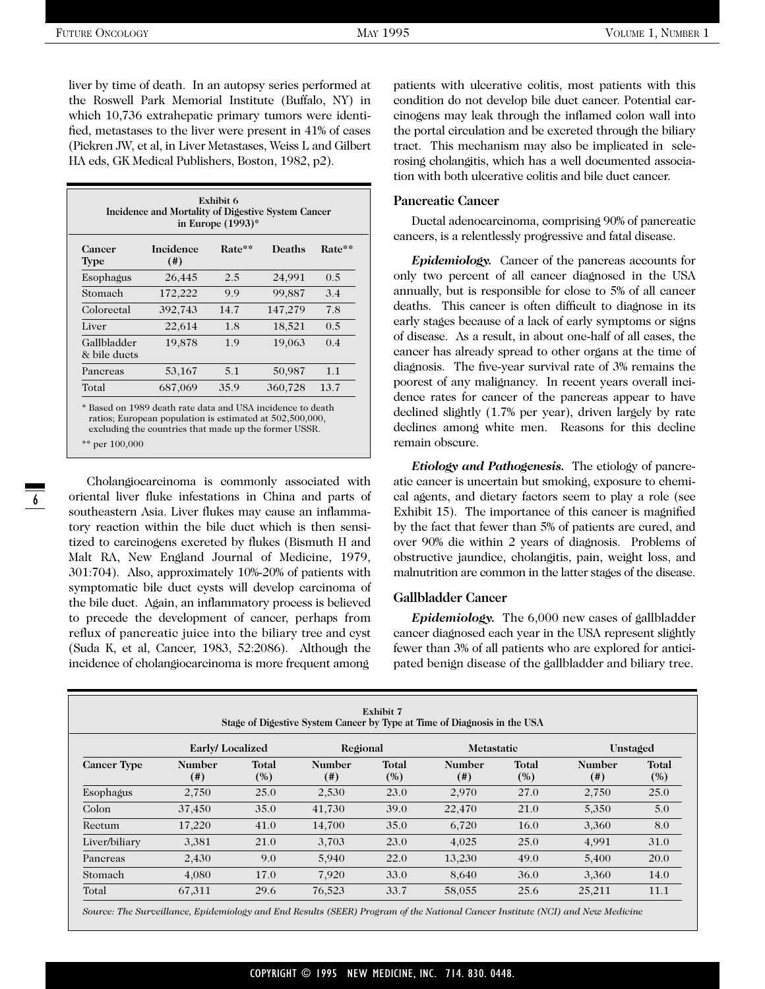liver by time of death. In an autopsy series performed at the Roswell Park Memorial Institute (Buffalo, NY) in which 10,736 extrahepatic primary tumors were identified, metastases to the liver were present in 41% of cases (Pickren JW, et al, in Liver Metastases, Weiss L and Gilbert HA eds, GK Medical Publishers, Boston, 1982, p2).

| Exhibit 6<br>Incidence and Mortality of Digestive System Cancer<br>in Europe $(1993)^*$ |                        |        |         |        |  |  |  |  |  |
|-----------------------------------------------------------------------------------------|------------------------|--------|---------|--------|--|--|--|--|--|
| Cancer<br>Type                                                                          | Incidence<br>$($ # $)$ | Rate** | Deaths  | Rate** |  |  |  |  |  |
| Esophagus                                                                               | 26,445                 | 2.5    | 24,991  | 0.5    |  |  |  |  |  |
| Stomach                                                                                 | 172,222                | 99     | 99,887  | 3.4    |  |  |  |  |  |
| Colorectal                                                                              | 392,743                | 14.7   | 147,279 | 7.8    |  |  |  |  |  |
| Liver                                                                                   | 22,614                 | 1.8    | 18,521  | 0.5    |  |  |  |  |  |
| Gallbladder<br>& bile ducts                                                             | 19,878                 | 1.9    | 19,063  | 0.4    |  |  |  |  |  |
| Pancreas                                                                                | 53,167                 | 5.1    | 50,987  | 1.1    |  |  |  |  |  |
| Total                                                                                   | 687,069                | 35.9   | 360,728 | 13.7   |  |  |  |  |  |

\* Based on 1989 death rate data and USA incidence to death ratios; European population is estimated at 502,500,000, excluding the countries that made up the former USSR.

\*\* per 100,000

Cholangiocarcinoma is commonly associated with oriental liver fluke infestations in China and parts of southeastern Asia. Liver flukes may cause an inflammatory reaction within the bile duct which is then sensitized to carcinogens excreted by flukes (Bismuth H and Malt RA, New England Journal of Medicine, 1979, 301:704). Also, approximately 10%-20% of patients with symptomatic bile duct cysts will develop carcinoma of the bile duct. Again, an inflammatory process is believed to precede the development of cancer, perhaps from reflux of pancreatic juice into the biliary tree and cyst (Suda K, et al, Cancer, 1983, 52:2086). Although the incidence of cholangiocarcinoma is more frequent among

patients with ulcerative colitis, most patients with this condition do not develop bile duct cancer. Potential carcinogens may leak through the inflamed colon wall into the portal circulation and be excreted through the biliary tract. This mechanism may also be implicated in sclerosing cholangitis, which has a well documented association with both ulcerative colitis and bile duct cancer.

#### **Pancreatic Cancer**

Ductal adenocarcinoma, comprising 90% of pancreatic cancers, is a relentlessly progressive and fatal disease.

*Epidemiology.* Cancer of the pancreas accounts for only two percent of all cancer diagnosed in the USA annually, but is responsible for close to 5% of all cancer deaths. This cancer is often difficult to diagnose in its early stages because of a lack of early symptoms or signs of disease. As a result, in about one-half of all cases, the cancer has already spread to other organs at the time of diagnosis. The five-year survival rate of 3% remains the poorest of any malignancy. In recent years overall incidence rates for cancer of the pancreas appear to have declined slightly (1.7% per year), driven largely by rate declines among white men. Reasons for this decline remain obscure.

*Etiology and Pathogenesis.* The etiology of pancreatic cancer is uncertain but smoking, exposure to chemical agents, and dietary factors seem to play a role (see Exhibit 15). The importance of this cancer is magnified by the fact that fewer than 5% of patients are cured, and over 90% die within 2 years of diagnosis. Problems of obstructive jaundice, cholangitis, pain, weight loss, and malnutrition are common in the latter stages of the disease.

#### **Gallbladder Cancer**

*Epidemiology.* The 6,000 new cases of gallbladder cancer diagnosed each year in the USA represent slightly fewer than 3% of all patients who are explored for anticipated benign disease of the gallbladder and biliary tree.

| Exhibit 7<br>Stage of Digestive System Cancer by Type at Time of Diagnosis in the USA |                       |                     |                       |              |                            |              |                       |              |  |
|---------------------------------------------------------------------------------------|-----------------------|---------------------|-----------------------|--------------|----------------------------|--------------|-----------------------|--------------|--|
| Early/Localized<br>Regional<br><b>Metastatic</b><br>Unstaged                          |                       |                     |                       |              |                            |              |                       |              |  |
| <b>Cancer Type</b>                                                                    | <b>Number</b><br>(# ) | <b>Total</b><br>(%) | <b>Number</b><br>(# ) | Total<br>(%) | <b>Number</b><br>$^{(ii)}$ | Total<br>(%) | <b>Number</b><br>(# ) | Total<br>(%) |  |
| Esophagus                                                                             | 2,750                 | 25.0                | 2,530                 | 23.0         | 2,970                      | 27.0         | 2,750                 | 25.0         |  |
| Colon                                                                                 | 37,450                | 35.0                | 41,730                | 39.0         | 22,470                     | 21.0         | 5,350                 | 5.0          |  |
| Rectum                                                                                | 17,220                | 41.0                | 14,700                | 35.0         | 6,720                      | 16.0         | 3,360                 | 8.0          |  |
| Liver/biliary                                                                         | 3,381                 | 21.0                | 3,703                 | 23.0         | 4,025                      | 25.0         | 4,991                 | 31.0         |  |
| Pancreas                                                                              | 2,430                 | 9.0                 | 5,940                 | 22.0         | 13,230                     | 49.0         | 5,400                 | 20.0         |  |
| Stomach                                                                               | 4,080                 | 17.0                | 7,920                 | 33.0         | 8,640                      | 36.0         | 3,360                 | 14.0         |  |
| Total                                                                                 | 67,311                | 29.6                | 76,523                | 33.7         | 58,055                     | 25.6         | 25,211                | 11.1         |  |

*Source: The Surveillance, Epidemiology and End Results (SEER) Program of the National Cancer Institute (NCI) and New Medicine*

6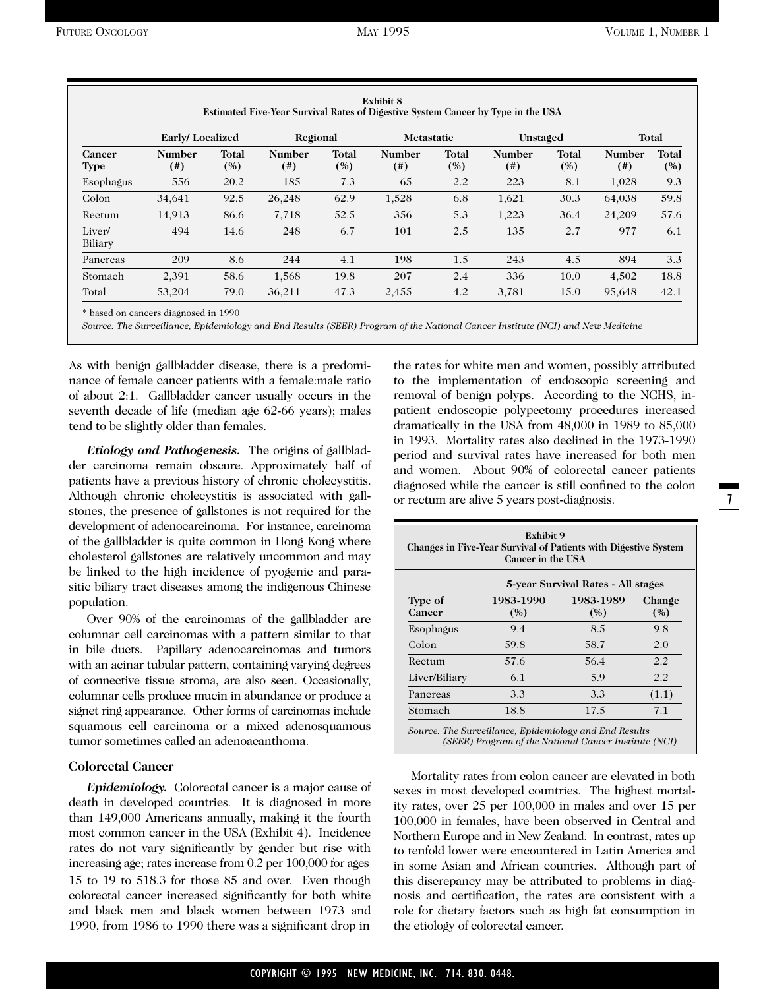| <b>Exhibit 8</b><br>Estimated Five-Year Survival Rates of Digestive System Cancer by Type in the USA |                        |              |                         |              |                         |              |                  |                     |                       |                     |
|------------------------------------------------------------------------------------------------------|------------------------|--------------|-------------------------|--------------|-------------------------|--------------|------------------|---------------------|-----------------------|---------------------|
|                                                                                                      | <b>Early/Localized</b> |              | Regional                |              | Metastatic              |              | Unstaged         |                     |                       | Total               |
| Cancer<br><b>Type</b>                                                                                | <b>Number</b><br>(# )  | Total<br>(%) | <b>Number</b><br>$(\#)$ | Total<br>(%) | <b>Number</b><br>$(\#)$ | Total<br>(%) | Number<br>$(\#)$ | <b>Total</b><br>(%) | <b>Number</b><br>(# ) | <b>Total</b><br>(%) |
| Esophagus                                                                                            | 556                    | 20.2         | 185                     | 7.3          | 65                      | 2.2          | 223              | 8.1                 | 1,028                 | 9.3                 |
| Colon                                                                                                | 34,641                 | 92.5         | 26,248                  | 62.9         | 1,528                   | 6.8          | 1,621            | 30.3                | 64,038                | 59.8                |
| Rectum                                                                                               | 14.913                 | 86.6         | 7,718                   | 52.5         | 356                     | 5.3          | 1,223            | 36.4                | 24.209                | 57.6                |
| Liver/<br>Biliary                                                                                    | 494                    | 14.6         | 248                     | 6.7          | 101                     | 2.5          | 135              | 2.7                 | 977                   | 6.1                 |
| Pancreas                                                                                             | 209                    | 8.6          | 244                     | 4.1          | 198                     | 1.5          | 243              | 4.5                 | 894                   | 3.3                 |
| Stomach                                                                                              | 2,391                  | 58.6         | 1,568                   | 19.8         | 207                     | 2.4          | 336              | 10.0                | 4,502                 | 18.8                |
| Total                                                                                                | 53,204                 | 79.0         | 36,211                  | 47.3         | 2,455                   | 4.2          | 3.781            | 15.0                | 95,648                | 42.1                |

\* based on cancers diagnosed in 1990

*Source: The Surveillance, Epidemiology and End Results (SEER) Program of the National Cancer Institute (NCI) and New Medicine*

As with benign gallbladder disease, there is a predominance of female cancer patients with a female:male ratio of about 2:1. Gallbladder cancer usually occurs in the seventh decade of life (median age 62-66 years); males tend to be slightly older than females.

*Etiology and Pathogenesis.* The origins of gallbladder carcinoma remain obscure. Approximately half of patients have a previous history of chronic cholecystitis. Although chronic cholecystitis is associated with gallstones, the presence of gallstones is not required for the development of adenocarcinoma. For instance, carcinoma of the gallbladder is quite common in Hong Kong where cholesterol gallstones are relatively uncommon and may be linked to the high incidence of pyogenic and parasitic biliary tract diseases among the indigenous Chinese population.

Over 90% of the carcinomas of the gallbladder are columnar cell carcinomas with a pattern similar to that in bile ducts. Papillary adenocarcinomas and tumors with an acinar tubular pattern, containing varying degrees of connective tissue stroma, are also seen. Occasionally, columnar cells produce mucin in abundance or produce a signet ring appearance. Other forms of carcinomas include squamous cell carcinoma or a mixed adenosquamous tumor sometimes called an adenoacanthoma.

#### **Colorectal Cancer**

*Epidemiology.* Colorectal cancer is a major cause of death in developed countries. It is diagnosed in more than 149,000 Americans annually, making it the fourth most common cancer in the USA (Exhibit 4). Incidence rates do not vary significantly by gender but rise with increasing age; rates increase from 0.2 per 100,000 for ages 15 to 19 to 518.3 for those 85 and over. Even though colorectal cancer increased significantly for both white and black men and black women between 1973 and 1990, from 1986 to 1990 there was a significant drop in

the rates for white men and women, possibly attributed to the implementation of endoscopic screening and removal of benign polyps. According to the NCHS, inpatient endoscopic polypectomy procedures increased dramatically in the USA from 48,000 in 1989 to 85,000 in 1993. Mortality rates also declined in the 1973-1990 period and survival rates have increased for both men and women. About 90% of colorectal cancer patients diagnosed while the cancer is still confined to the colon or rectum are alive 5 years post-diagnosis.

| Exhibit 9<br>Changes in Five-Year Survival of Patients with Digestive System<br>Cancer in the USA |                  |                  |               |  |  |
|---------------------------------------------------------------------------------------------------|------------------|------------------|---------------|--|--|
| 5-year Survival Rates - All stages                                                                |                  |                  |               |  |  |
| Type of<br>Cancer                                                                                 | 1983-1990<br>(%) | 1983-1989<br>(%) | Change<br>(%) |  |  |
| Esophagus                                                                                         | 9.4              | 8.5              | 9.8           |  |  |
| Colon                                                                                             | 59.8             | 58.7             | 2.0           |  |  |
| Rectum                                                                                            | 57.6             | 56.4             | 2.2           |  |  |
| Liver/Biliary                                                                                     | 6.1              | 5.9              | 2.2           |  |  |
| Pancreas                                                                                          | 3.3              | 3.3              | (1.1)         |  |  |
| Stomach                                                                                           | 18.8             | 17.5             | 7.1           |  |  |

*Source: The Surveillance, Epidemiology and End Results (SEER) Program of the National Cancer Institute (NCI)*

Mortality rates from colon cancer are elevated in both sexes in most developed countries. The highest mortality rates, over 25 per 100,000 in males and over 15 per 100,000 in females, have been observed in Central and Northern Europe and in New Zealand. In contrast, rates up to tenfold lower were encountered in Latin America and in some Asian and African countries. Although part of this discrepancy may be attributed to problems in diagnosis and certification, the rates are consistent with a role for dietary factors such as high fat consumption in the etiology of colorectal cancer.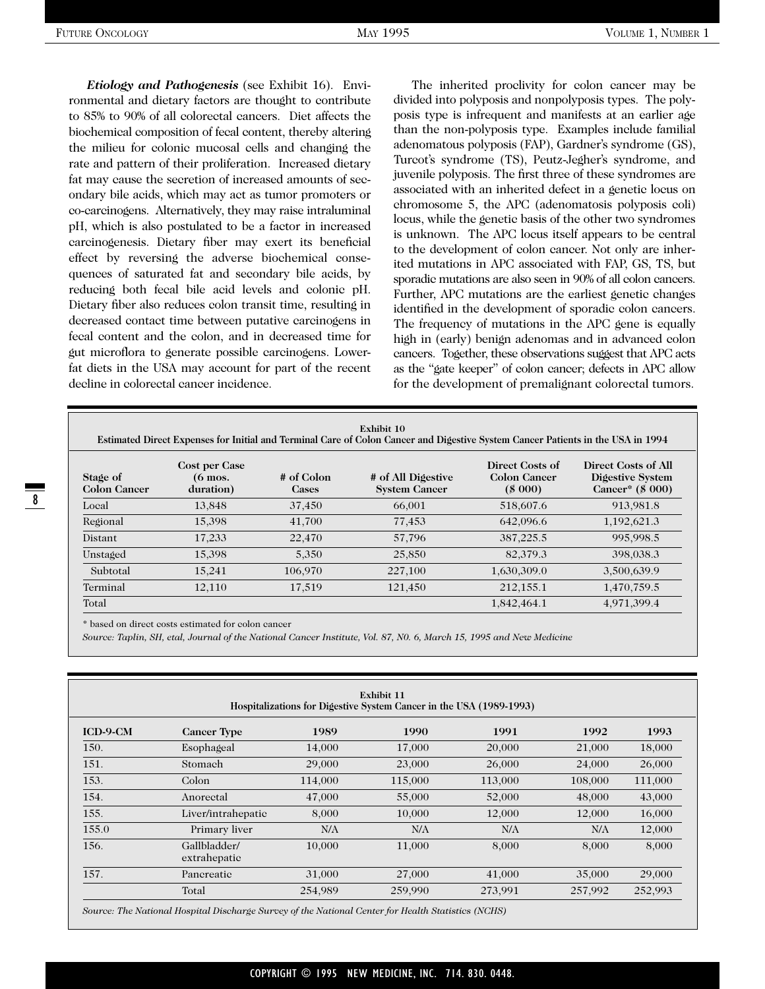*Etiology and Pathogenesis* (see Exhibit 16). Environmental and dietary factors are thought to contribute to 85% to 90% of all colorectal cancers. Diet affects the biochemical composition of fecal content, thereby altering the milieu for colonic mucosal cells and changing the rate and pattern of their proliferation. Increased dietary fat may cause the secretion of increased amounts of secondary bile acids, which may act as tumor promoters or co-carcinogens. Alternatively, they may raise intraluminal pH, which is also postulated to be a factor in increased carcinogenesis. Dietary fiber may exert its beneficial effect by reversing the adverse biochemical consequences of saturated fat and secondary bile acids, by reducing both fecal bile acid levels and colonic pH. Dietary fiber also reduces colon transit time, resulting in decreased contact time between putative carcinogens in fecal content and the colon, and in decreased time for gut microflora to generate possible carcinogens. Lowerfat diets in the USA may account for part of the recent decline in colorectal cancer incidence.

The inherited proclivity for colon cancer may be divided into polyposis and nonpolyposis types. The polyposis type is infrequent and manifests at an earlier age than the non-polyposis type. Examples include familial adenomatous polyposis (FAP), Gardner's syndrome (GS), Turcot's syndrome (TS), Peutz-Jegher's syndrome, and juvenile polyposis. The first three of these syndromes are associated with an inherited defect in a genetic locus on chromosome 5, the APC (adenomatosis polyposis coli) locus, while the genetic basis of the other two syndromes is unknown. The APC locus itself appears to be central to the development of colon cancer. Not only are inherited mutations in APC associated with FAP, GS, TS, but sporadic mutations are also seen in 90% of all colon cancers. Further, APC mutations are the earliest genetic changes identified in the development of sporadic colon cancers. The frequency of mutations in the APC gene is equally high in (early) benign adenomas and in advanced colon cancers. Together, these observations suggest that APC acts as the "gate keeper" of colon cancer; defects in APC allow for the development of premalignant colorectal tumors.

| Exhibit 10<br>Estimated Direct Expenses for Initial and Terminal Care of Colon Cancer and Digestive System Cancer Patients in the USA in 1994 |                                                         |                            |                                            |                                                  |                                                             |  |
|-----------------------------------------------------------------------------------------------------------------------------------------------|---------------------------------------------------------|----------------------------|--------------------------------------------|--------------------------------------------------|-------------------------------------------------------------|--|
| Stage of<br><b>Colon Cancer</b>                                                                                                               | <b>Cost per Case</b><br>$(6 \text{ mos.})$<br>duration) | # of Colon<br><b>Cases</b> | # of All Digestive<br><b>System Cancer</b> | Direct Costs of<br><b>Colon Cancer</b><br>(8000) | Direct Costs of All<br>Digestive System<br>Cancer* (\$ 000) |  |
| Local                                                                                                                                         | 13,848                                                  | 37,450                     | 66,001                                     | 518,607.6                                        | 913,981.8                                                   |  |
| Regional                                                                                                                                      | 15,398                                                  | 41,700                     | 77,453                                     | 642,096.6                                        | 1,192,621.3                                                 |  |
| <b>Distant</b>                                                                                                                                | 17,233                                                  | 22,470                     | 57,796                                     | 387,225.5                                        | 995,998.5                                                   |  |
| Unstaged                                                                                                                                      | 15,398                                                  | 5,350                      | 25,850                                     | 82,379.3                                         | 398,038.3                                                   |  |
| Subtotal                                                                                                                                      | 15,241                                                  | 106.970                    | 227,100                                    | 1,630,309.0                                      | 3,500,639.9                                                 |  |
| Terminal                                                                                                                                      | 12,110                                                  | 17,519                     | 121,450                                    | 212,155.1                                        | 1,470,759.5                                                 |  |
| Total                                                                                                                                         |                                                         |                            |                                            | 1,842,464.1                                      | 4,971,399.4                                                 |  |

\* based on direct costs estimated for colon cancer

*Source: Taplin, SH, etal, Journal of the National Cancer Institute, Vol. 87, N0. 6, March 15, 1995 and New Medicine*

| <b>Exhibit 11</b><br>Hospitalizations for Digestive System Cancer in the USA (1989-1993) |                              |         |         |         |         |         |
|------------------------------------------------------------------------------------------|------------------------------|---------|---------|---------|---------|---------|
| <b>ICD-9-CM</b>                                                                          | <b>Cancer Type</b>           | 1989    | 1990    | 1991    | 1992    | 1993    |
| 150.                                                                                     | Esophageal                   | 14,000  | 17,000  | 20,000  | 21,000  | 18,000  |
| 151.                                                                                     | Stomach                      | 29,000  | 23,000  | 26,000  | 24,000  | 26,000  |
| 153.                                                                                     | Colon                        | 114,000 | 115,000 | 113,000 | 108,000 | 111,000 |
| 154.                                                                                     | Anorectal                    | 47,000  | 55,000  | 52,000  | 48,000  | 43,000  |
| 155.                                                                                     | Liver/intrahepatic           | 8,000   | 10,000  | 12,000  | 12,000  | 16,000  |
| 155.0                                                                                    | Primary liver                | N/A     | N/A     | N/A     | N/A     | 12,000  |
| 156.                                                                                     | Gallbladder/<br>extrahepatic | 10,000  | 11,000  | 8,000   | 8,000   | 8,000   |
| 157.                                                                                     | Pancreatic                   | 31,000  | 27,000  | 41,000  | 35,000  | 29,000  |
|                                                                                          | Total                        | 254,989 | 259,990 | 273,991 | 257,992 | 252,993 |

*Source: The National Hospital Discharge Survey of the National Center for Health Statistics (NCHS)*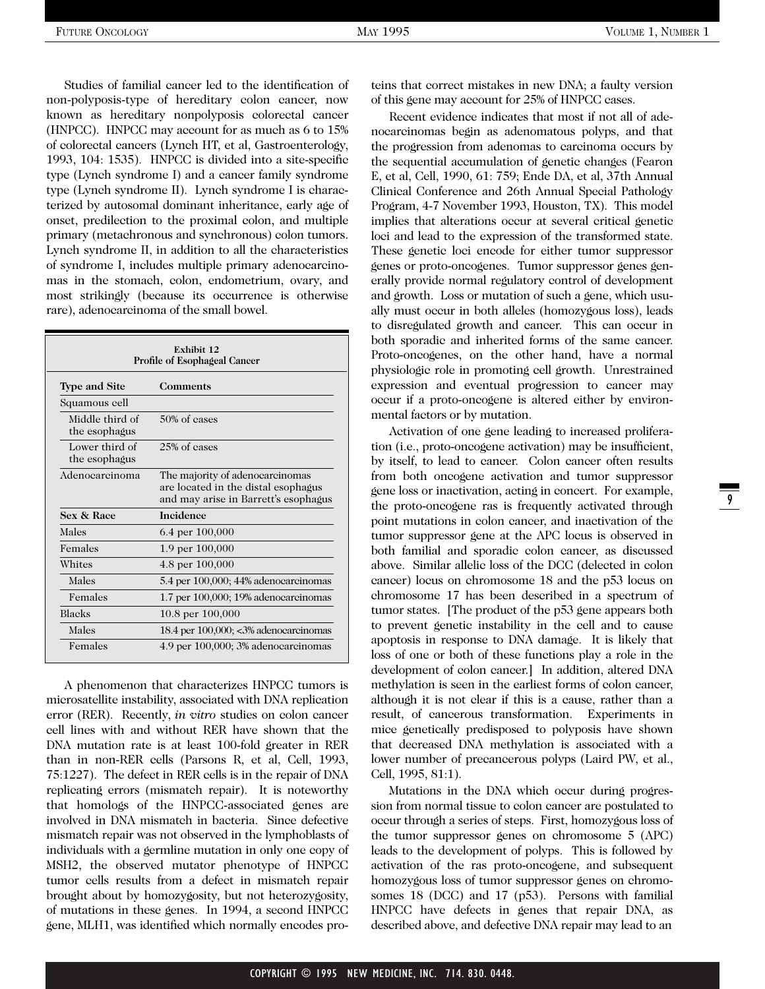Studies of familial cancer led to the identification of non-polyposis-type of hereditary colon cancer, now known as hereditary nonpolyposis colorectal cancer (HNPCC). HNPCC may account for as much as 6 to 15% of colorectal cancers (Lynch HT, et al, Gastroenterology, 1993, 104: 1535). HNPCC is divided into a site-specific type (Lynch syndrome I) and a cancer family syndrome type (Lynch syndrome II). Lynch syndrome I is characterized by autosomal dominant inheritance, early age of onset, predilection to the proximal colon, and multiple primary (metachronous and synchronous) colon tumors. Lynch syndrome II, in addition to all the characteristics of syndrome I, includes multiple primary adenocarcinomas in the stomach, colon, endometrium, ovary, and most strikingly (because its occurrence is otherwise rare), adenocarcinoma of the small bowel.

| Exhibit 12<br><b>Profile of Esophageal Cancer</b> |                                                                                                                |  |  |  |
|---------------------------------------------------|----------------------------------------------------------------------------------------------------------------|--|--|--|
| <b>Type and Site</b><br>Comments                  |                                                                                                                |  |  |  |
| Squamous cell                                     |                                                                                                                |  |  |  |
| Middle third of<br>the esophagus                  | 50% of cases                                                                                                   |  |  |  |
| Lower third of<br>the esophagus                   | 25% of cases                                                                                                   |  |  |  |
| Adenocarcinoma                                    | The majority of adenocarcinomas<br>are located in the distal esophagus<br>and may arise in Barrett's esophagus |  |  |  |
| Sex & Race                                        | <b>Incidence</b>                                                                                               |  |  |  |
| Males                                             | 6.4 per 100,000                                                                                                |  |  |  |
| Females                                           | 1.9 per $100,000$                                                                                              |  |  |  |
| Whites                                            | 4.8 per $100,000$                                                                                              |  |  |  |
| Males                                             | 5.4 per 100,000; 44% adenocarcinomas                                                                           |  |  |  |
| Females                                           | $1.7$ per $100,000$ ; $19%$ adenocarcinomas                                                                    |  |  |  |
| <b>Blacks</b>                                     | 10.8 per $100,000$                                                                                             |  |  |  |
| Males                                             | 18.4 per 100,000; <3% adenocarcinomas                                                                          |  |  |  |
| Females                                           | 4.9 per 100,000; 3% adenocarcinomas                                                                            |  |  |  |

A phenomenon that characterizes HNPCC tumors is microsatellite instability, associated with DNA replication error (RER). Recently, *in vitro* studies on colon cancer cell lines with and without RER have shown that the DNA mutation rate is at least 100-fold greater in RER than in non-RER cells (Parsons R, et al, Cell, 1993, 75:1227). The defect in RER cells is in the repair of DNA replicating errors (mismatch repair). It is noteworthy that homologs of the HNPCC-associated genes are involved in DNA mismatch in bacteria. Since defective mismatch repair was not observed in the lymphoblasts of individuals with a germline mutation in only one copy of MSH2, the observed mutator phenotype of HNPCC tumor cells results from a defect in mismatch repair brought about by homozygosity, but not heterozygosity, of mutations in these genes. In 1994, a second HNPCC gene, MLH1, was identified which normally encodes pro-

teins that correct mistakes in new DNA; a faulty version of this gene may account for 25% of HNPCC cases.

Recent evidence indicates that most if not all of adenocarcinomas begin as adenomatous polyps, and that the progression from adenomas to carcinoma occurs by the sequential accumulation of genetic changes (Fearon E, et al, Cell, 1990, 61: 759; Ende DA, et al, 37th Annual Clinical Conference and 26th Annual Special Pathology Program, 4-7 November 1993, Houston, TX). This model implies that alterations occur at several critical genetic loci and lead to the expression of the transformed state. These genetic loci encode for either tumor suppressor genes or proto-oncogenes. Tumor suppressor genes generally provide normal regulatory control of development and growth. Loss or mutation of such a gene, which usually must occur in both alleles (homozygous loss), leads to disregulated growth and cancer. This can occur in both sporadic and inherited forms of the same cancer. Proto-oncogenes, on the other hand, have a normal physiologic role in promoting cell growth. Unrestrained expression and eventual progression to cancer may occur if a proto-oncogene is altered either by environmental factors or by mutation.

Activation of one gene leading to increased proliferation (i.e., proto-oncogene activation) may be insufficient, by itself, to lead to cancer. Colon cancer often results from both oncogene activation and tumor suppressor gene loss or inactivation, acting in concert. For example, the proto-oncogene ras is frequently activated through point mutations in colon cancer, and inactivation of the tumor suppressor gene at the APC locus is observed in both familial and sporadic colon cancer, as discussed above. Similar allelic loss of the DCC (delected in colon cancer) locus on chromosome 18 and the p53 locus on chromosome 17 has been described in a spectrum of tumor states. [The product of the p53 gene appears both to prevent genetic instability in the cell and to cause apoptosis in response to DNA damage. It is likely that loss of one or both of these functions play a role in the development of colon cancer.] In addition, altered DNA methylation is seen in the earliest forms of colon cancer, although it is not clear if this is a cause, rather than a result, of cancerous transformation. Experiments in mice genetically predisposed to polyposis have shown that decreased DNA methylation is associated with a lower number of precancerous polyps (Laird PW, et al., Cell, 1995, 81:1).

Mutations in the DNA which occur during progression from normal tissue to colon cancer are postulated to occur through a series of steps. First, homozygous loss of the tumor suppressor genes on chromosome 5 (APC) leads to the development of polyps. This is followed by activation of the ras proto-oncogene, and subsequent homozygous loss of tumor suppressor genes on chromosomes 18 (DCC) and 17 (p53). Persons with familial HNPCC have defects in genes that repair DNA, as described above, and defective DNA repair may lead to an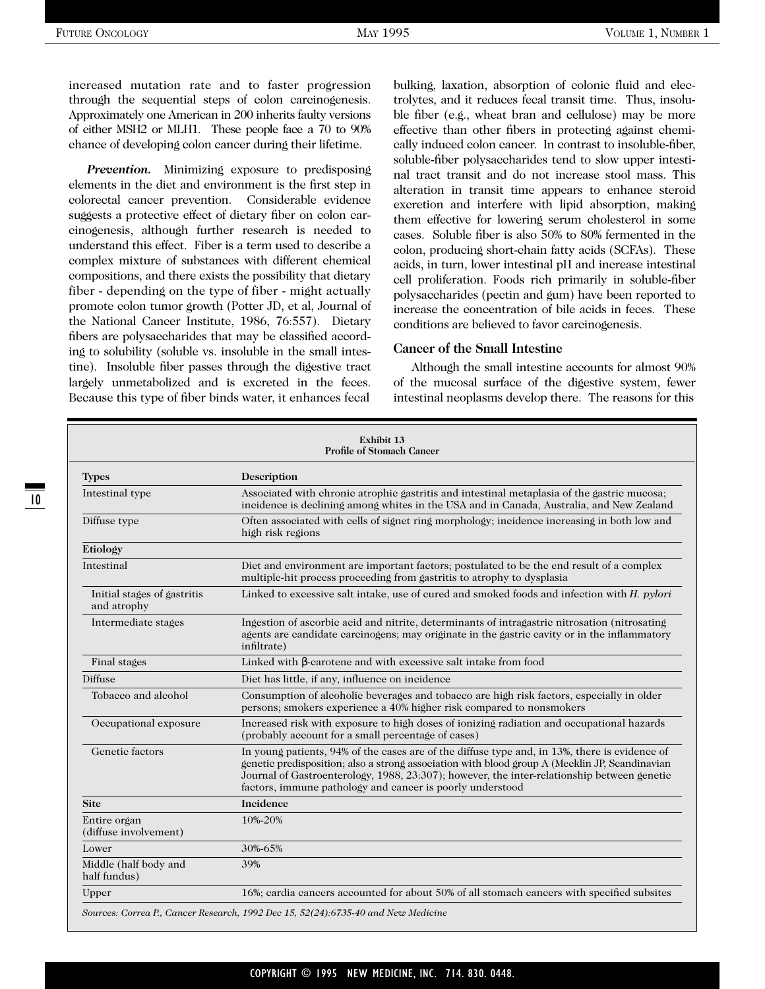increased mutation rate and to faster progression through the sequential steps of colon carcinogenesis. Approximately one American in 200 inherits faulty versions of either MSH2 or MLH1. These people face a 70 to 90% chance of developing colon cancer during their lifetime.

*Prevention.* Minimizing exposure to predisposing elements in the diet and environment is the first step in colorectal cancer prevention. Considerable evidence suggests a protective effect of dietary fiber on colon carcinogenesis, although further research is needed to understand this effect. Fiber is a term used to describe a complex mixture of substances with different chemical compositions, and there exists the possibility that dietary fiber - depending on the type of fiber - might actually promote colon tumor growth (Potter JD, et al, Journal of the National Cancer Institute, 1986, 76:557). Dietary fibers are polysaccharides that may be classified according to solubility (soluble vs. insoluble in the small intestine). Insoluble fiber passes through the digestive tract largely unmetabolized and is excreted in the feces. Because this type of fiber binds water, it enhances fecal

bulking, laxation, absorption of colonic fluid and electrolytes, and it reduces fecal transit time. Thus, insoluble fiber (e.g., wheat bran and cellulose) may be more effective than other fibers in protecting against chemically induced colon cancer. In contrast to insoluble-fiber, soluble-fiber polysaccharides tend to slow upper intestinal tract transit and do not increase stool mass. This alteration in transit time appears to enhance steroid excretion and interfere with lipid absorption, making them effective for lowering serum cholesterol in some cases. Soluble fiber is also 50% to 80% fermented in the colon, producing short-chain fatty acids (SCFAs). These acids, in turn, lower intestinal pH and increase intestinal cell proliferation. Foods rich primarily in soluble-fiber polysaccharides (pectin and gum) have been reported to increase the concentration of bile acids in feces. These conditions are believed to favor carcinogenesis.

#### **Cancer of the Small Intestine**

Although the small intestine accounts for almost 90% of the mucosal surface of the digestive system, fewer intestinal neoplasms develop there. The reasons for this

| <b>Exhibit 13</b><br><b>Profile of Stomach Cancer</b> |                                                                                                                                                                                                                                                                                                                                                             |  |  |
|-------------------------------------------------------|-------------------------------------------------------------------------------------------------------------------------------------------------------------------------------------------------------------------------------------------------------------------------------------------------------------------------------------------------------------|--|--|
| <b>Types</b>                                          | Description                                                                                                                                                                                                                                                                                                                                                 |  |  |
| Intestinal type                                       | Associated with chronic atrophic gastritis and intestinal metaplasia of the gastric mucosa;<br>incidence is declining among whites in the USA and in Canada, Australia, and New Zealand                                                                                                                                                                     |  |  |
| Diffuse type                                          | Often associated with cells of signet ring morphology; incidence increasing in both low and<br>high risk regions                                                                                                                                                                                                                                            |  |  |
| Etiology                                              |                                                                                                                                                                                                                                                                                                                                                             |  |  |
| Intestinal                                            | Diet and environment are important factors; postulated to be the end result of a complex<br>multiple-hit process proceeding from gastritis to atrophy to dysplasia                                                                                                                                                                                          |  |  |
| Initial stages of gastritis<br>and atrophy            | Linked to excessive salt intake, use of cured and smoked foods and infection with H. pylori                                                                                                                                                                                                                                                                 |  |  |
| Intermediate stages                                   | Ingestion of ascorbic acid and nitrite, determinants of intragastric nitrosation (nitrosating<br>agents are candidate carcinogens; may originate in the gastric cavity or in the inflammatory<br>infiltrate)                                                                                                                                                |  |  |
| Final stages                                          | Linked with $\beta$ -carotene and with excessive salt intake from food                                                                                                                                                                                                                                                                                      |  |  |
| Diffuse                                               | Diet has little, if any, influence on incidence                                                                                                                                                                                                                                                                                                             |  |  |
| Tobacco and alcohol                                   | Consumption of alcoholic beverages and tobacco are high risk factors, especially in older<br>persons; smokers experience a 40% higher risk compared to nonsmokers                                                                                                                                                                                           |  |  |
| Occupational exposure                                 | Increased risk with exposure to high doses of ionizing radiation and occupational hazards<br>(probably account for a small percentage of cases)                                                                                                                                                                                                             |  |  |
| Genetic factors                                       | In young patients, 94% of the cases are of the diffuse type and, in 13%, there is evidence of<br>genetic predisposition; also a strong association with blood group A (Mecklin JP, Scandinavian<br>Journal of Gastroenterology, 1988, 23:307); however, the inter-relationship between genetic<br>factors, immune pathology and cancer is poorly understood |  |  |
| <b>Site</b>                                           | Incidence                                                                                                                                                                                                                                                                                                                                                   |  |  |
| Entire organ<br>(diffuse involvement)                 | 10%-20%                                                                                                                                                                                                                                                                                                                                                     |  |  |
| Lower                                                 | 30%-65%                                                                                                                                                                                                                                                                                                                                                     |  |  |
| Middle (half body and<br>half fundus)                 | 39%                                                                                                                                                                                                                                                                                                                                                         |  |  |
| Upper                                                 | 16%; cardia cancers accounted for about 50% of all stomach cancers with specified subsites                                                                                                                                                                                                                                                                  |  |  |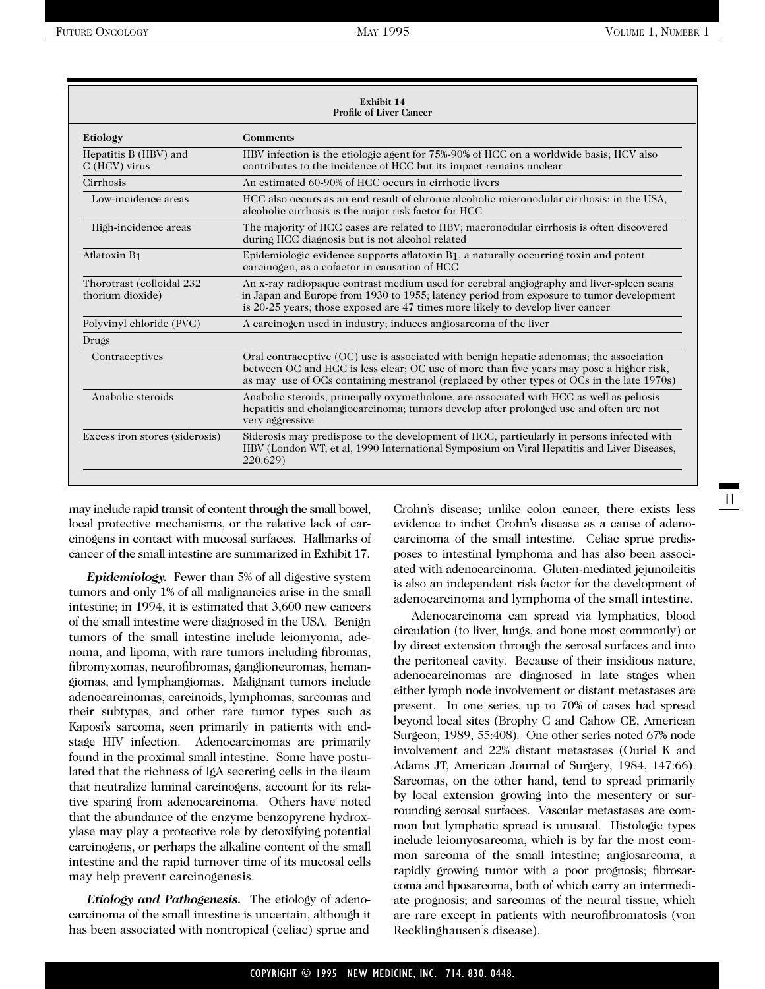| Exhibit 14<br><b>Profile of Liver Cancer</b>  |                                                                                                                                                                                                                                                                                  |  |  |
|-----------------------------------------------|----------------------------------------------------------------------------------------------------------------------------------------------------------------------------------------------------------------------------------------------------------------------------------|--|--|
| Etiology                                      | <b>Comments</b>                                                                                                                                                                                                                                                                  |  |  |
| Hepatitis B (HBV) and<br>$C$ (HCV) virus      | HBV infection is the etiologic agent for 75%-90% of HCC on a worldwide basis; HCV also<br>contributes to the incidence of HCC but its impact remains unclear                                                                                                                     |  |  |
| Cirrhosis                                     | An estimated 60-90% of HCC occurs in cirrhotic livers                                                                                                                                                                                                                            |  |  |
| Low-incidence areas                           | HCC also occurs as an end result of chronic alcoholic micronodular cirrhosis; in the USA,<br>alcoholic cirrhosis is the major risk factor for HCC                                                                                                                                |  |  |
| High-incidence areas                          | The majority of HCC cases are related to HBV; macronodular cirrhosis is often discovered<br>during HCC diagnosis but is not alcohol related                                                                                                                                      |  |  |
| Aflatoxin B1                                  | Epidemiologic evidence supports aflatoxin B1, a naturally occurring toxin and potent<br>carcinogen, as a cofactor in causation of HCC                                                                                                                                            |  |  |
| Thorotrast (colloidal 232<br>thorium dioxide) | An x-ray radiopaque contrast medium used for cerebral angiography and liver-spleen scans<br>in Japan and Europe from 1930 to 1955; latency period from exposure to tumor development<br>is 20-25 years; those exposed are 47 times more likely to develop liver cancer           |  |  |
| Polyvinyl chloride (PVC)                      | A carcinogen used in industry; induces angiosarcoma of the liver                                                                                                                                                                                                                 |  |  |
| Drugs                                         |                                                                                                                                                                                                                                                                                  |  |  |
| Contraceptives                                | Oral contraceptive (OC) use is associated with benign hepatic adenomas; the association<br>between OC and HCC is less clear; OC use of more than five years may pose a higher risk,<br>as may use of OCs containing mestranol (replaced by other types of OCs in the late 1970s) |  |  |
| Anabolic steroids                             | Anabolic steroids, principally oxymetholone, are associated with HCC as well as peliosis<br>hepatitis and cholangiocarcinoma; tumors develop after prolonged use and often are not<br>very aggressive                                                                            |  |  |
| Excess iron stores (siderosis)                | Siderosis may predispose to the development of HCC, particularly in persons infected with<br>HBV (London WT, et al, 1990 International Symposium on Viral Hepatitis and Liver Diseases,<br>220:629                                                                               |  |  |

may include rapid transit of content through the small bowel, local protective mechanisms, or the relative lack of carcinogens in contact with mucosal surfaces. Hallmarks of cancer of the small intestine are summarized in Exhibit 17.

*Epidemiology.* Fewer than 5% of all digestive system tumors and only 1% of all malignancies arise in the small intestine; in 1994, it is estimated that 3,600 new cancers of the small intestine were diagnosed in the USA. Benign tumors of the small intestine include leiomyoma, adenoma, and lipoma, with rare tumors including fibromas, fibromyxomas, neurofibromas, ganglioneuromas, hemangiomas, and lymphangiomas. Malignant tumors include adenocarcinomas, carcinoids, lymphomas, sarcomas and their subtypes, and other rare tumor types such as Kaposi's sarcoma, seen primarily in patients with endstage HIV infection. Adenocarcinomas are primarily found in the proximal small intestine. Some have postulated that the richness of IgA secreting cells in the ileum that neutralize luminal carcinogens, account for its relative sparing from adenocarcinoma. Others have noted that the abundance of the enzyme benzopyrene hydroxylase may play a protective role by detoxifying potential carcinogens, or perhaps the alkaline content of the small intestine and the rapid turnover time of its mucosal cells may help prevent carcinogenesis.

*Etiology and Pathogenesis.* The etiology of adenocarcinoma of the small intestine is uncertain, although it has been associated with nontropical (celiac) sprue and

Crohn's disease; unlike colon cancer, there exists less evidence to indict Crohn's disease as a cause of adenocarcinoma of the small intestine. Celiac sprue predisposes to intestinal lymphoma and has also been associated with adenocarcinoma. Gluten-mediated jejunoileitis is also an independent risk factor for the development of adenocarcinoma and lymphoma of the small intestine.

Adenocarcinoma can spread via lymphatics, blood circulation (to liver, lungs, and bone most commonly) or by direct extension through the serosal surfaces and into the peritoneal cavity. Because of their insidious nature, adenocarcinomas are diagnosed in late stages when either lymph node involvement or distant metastases are present. In one series, up to 70% of cases had spread beyond local sites (Brophy C and Cahow CE, American Surgeon, 1989, 55:408). One other series noted 67% node involvement and 22% distant metastases (Ouriel K and Adams JT, American Journal of Surgery, 1984, 147:66). Sarcomas, on the other hand, tend to spread primarily by local extension growing into the mesentery or surrounding serosal surfaces. Vascular metastases are common but lymphatic spread is unusual. Histologic types include leiomyosarcoma, which is by far the most common sarcoma of the small intestine; angiosarcoma, a rapidly growing tumor with a poor prognosis; fibrosarcoma and liposarcoma, both of which carry an intermediate prognosis; and sarcomas of the neural tissue, which are rare except in patients with neurofibromatosis (von Recklinghausen's disease).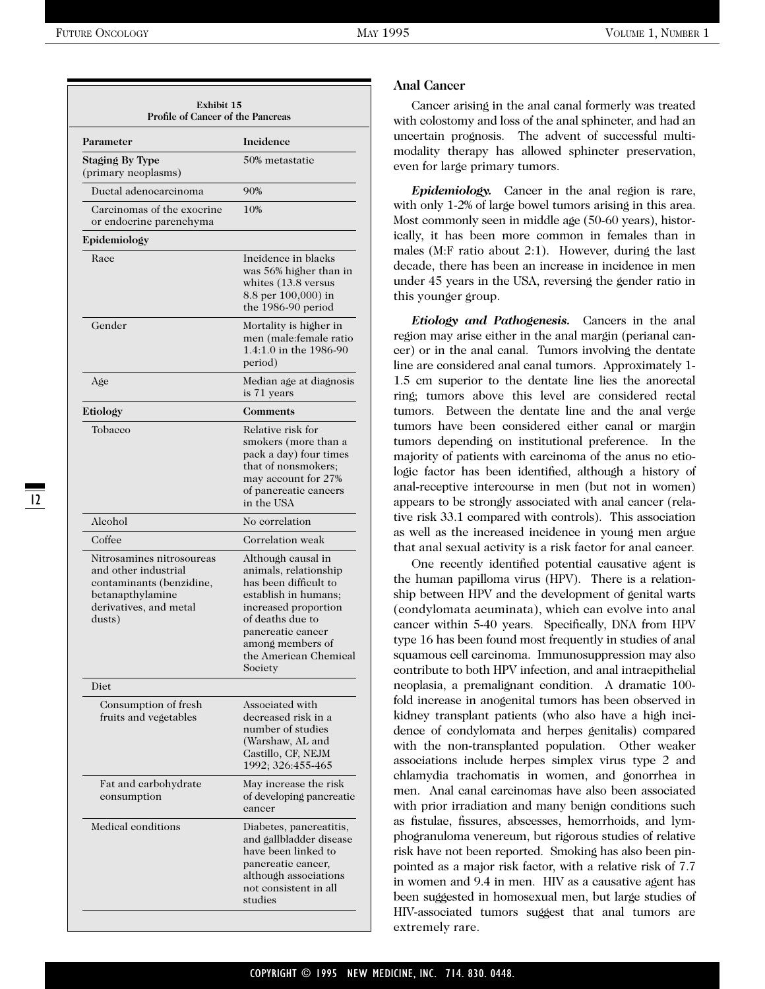| Parameter                                                                                                                             | Incidence                                                                                                                                                                                                             |
|---------------------------------------------------------------------------------------------------------------------------------------|-----------------------------------------------------------------------------------------------------------------------------------------------------------------------------------------------------------------------|
| <b>Staging By Type</b><br>(primary neoplasms)                                                                                         | 50% metastatic                                                                                                                                                                                                        |
| Ductal adenocarcinoma                                                                                                                 | 90%                                                                                                                                                                                                                   |
| Carcinomas of the exocrine<br>or endocrine parenchyma                                                                                 | 10%                                                                                                                                                                                                                   |
| Epidemiology                                                                                                                          |                                                                                                                                                                                                                       |
| Race                                                                                                                                  | Incidence in blacks<br>was 56% higher than in<br>whites (13.8 versus<br>8.8 per 100,000) in<br>the 1986-90 period                                                                                                     |
| Gender                                                                                                                                | Mortality is higher in<br>men (male: female ratio<br>1.4:1.0 in the 1986-90<br>period)                                                                                                                                |
| Age                                                                                                                                   | Median age at diagnosis<br>is 71 years                                                                                                                                                                                |
| Etiology                                                                                                                              | Comments                                                                                                                                                                                                              |
| Tobacco                                                                                                                               | Relative risk for<br>smokers (more than a<br>pack a day) four times<br>that of nonsmokers;<br>may account for 27%<br>of pancreatic cancers<br>in the USA                                                              |
| Alcohol                                                                                                                               | No correlation                                                                                                                                                                                                        |
| Coffee                                                                                                                                | Correlation weak                                                                                                                                                                                                      |
| Nitrosamines nitrosoureas<br>and other industrial<br>contaminants (benzidine,<br>betanapthylamine<br>derivatives, and metal<br>dusts) | Although causal in<br>animals, relationship<br>has been difficult to<br>establish in humans;<br>increased proportion<br>of deaths due to<br>pancreatic cancer<br>among members of<br>the American Chemical<br>Society |
| Diet                                                                                                                                  |                                                                                                                                                                                                                       |
| Consumption of fresh<br>fruits and vegetables                                                                                         | Associated with<br>decreased risk in a<br>number of studies<br>(Warshaw, AL and<br>Castillo, CF, NEJM<br>1992; 326:455-465                                                                                            |
| Fat and carbohydrate<br>consumption                                                                                                   | May increase the risk<br>of developing pancreatic<br>cancer                                                                                                                                                           |
| Medical conditions                                                                                                                    | Diabetes, pancreatitis,<br>and gallbladder disease<br>have been linked to<br>pancreatic cancer,<br>although associations<br>not consistent in all<br>studies                                                          |

#### **Anal Cancer**

Cancer arising in the anal canal formerly was treated with colostomy and loss of the anal sphincter, and had an uncertain prognosis. The advent of successful multimodality therapy has allowed sphincter preservation, even for large primary tumors.

*Epidemiology.* Cancer in the anal region is rare, with only 1-2% of large bowel tumors arising in this area. Most commonly seen in middle age (50-60 years), historically, it has been more common in females than in males (M:F ratio about 2:1). However, during the last decade, there has been an increase in incidence in men under 45 years in the USA, reversing the gender ratio in this younger group.

*Etiology and Pathogenesis.* Cancers in the anal region may arise either in the anal margin (perianal cancer) or in the anal canal. Tumors involving the dentate line are considered anal canal tumors. Approximately 1- 1.5 cm superior to the dentate line lies the anorectal ring; tumors above this level are considered rectal tumors. Between the dentate line and the anal verge tumors have been considered either canal or margin tumors depending on institutional preference. In the majority of patients with carcinoma of the anus no etiologic factor has been identified, although a history of anal-receptive intercourse in men (but not in women) appears to be strongly associated with anal cancer (relative risk 33.1 compared with controls). This association as well as the increased incidence in young men argue that anal sexual activity is a risk factor for anal cancer.

One recently identified potential causative agent is the human papilloma virus (HPV). There is a relationship between HPV and the development of genital warts (condylomata acuminata), which can evolve into anal cancer within 5-40 years. Specifically, DNA from HPV type 16 has been found most frequently in studies of anal squamous cell carcinoma. Immunosuppression may also contribute to both HPV infection, and anal intraepithelial neoplasia, a premalignant condition. A dramatic 100 fold increase in anogenital tumors has been observed in kidney transplant patients (who also have a high incidence of condylomata and herpes genitalis) compared with the non-transplanted population. Other weaker associations include herpes simplex virus type 2 and chlamydia trachomatis in women, and gonorrhea in men. Anal canal carcinomas have also been associated with prior irradiation and many benign conditions such as fistulae, fissures, abscesses, hemorrhoids, and lymphogranuloma venereum, but rigorous studies of relative risk have not been reported. Smoking has also been pinpointed as a major risk factor, with a relative risk of 7.7 in women and 9.4 in men. HIV as a causative agent has been suggested in homosexual men, but large studies of HIV-associated tumors suggest that anal tumors are extremely rare.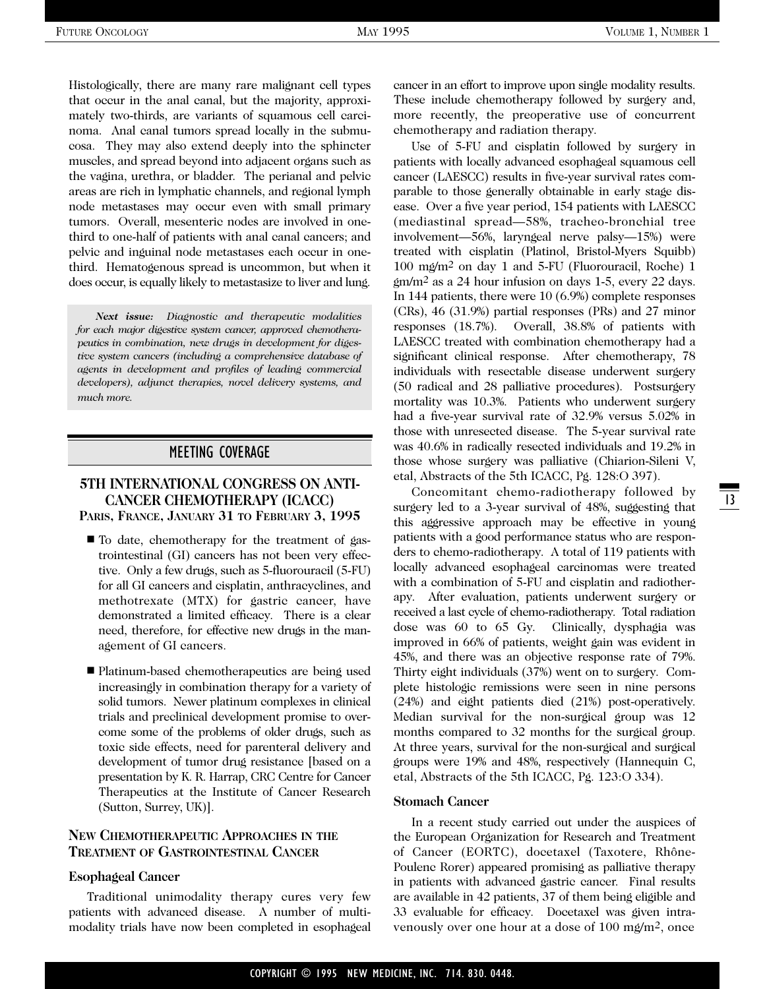Histologically, there are many rare malignant cell types that occur in the anal canal, but the majority, approximately two-thirds, are variants of squamous cell carcinoma. Anal canal tumors spread locally in the submucosa. They may also extend deeply into the sphincter muscles, and spread beyond into adjacent organs such as the vagina, urethra, or bladder. The perianal and pelvic areas are rich in lymphatic channels, and regional lymph node metastases may occur even with small primary tumors. Overall, mesenteric nodes are involved in onethird to one-half of patients with anal canal cancers; and pelvic and inguinal node metastases each occur in onethird. Hematogenous spread is uncommon, but when it does occur, is equally likely to metastasize to liver and lung.

*Next issue: Diagnostic and therapeutic modalities for each major digestive system cancer, approved chemotherapeutics in combination, new drugs in development for digestive system cancers (including a comprehensive database of agents in development and profiles of leading commercial developers), adjunct therapies, novel delivery systems, and much more.*

#### MEETING COVERAGE

# **5TH INTERNATIONAL CONGRESS ON ANTI-CANCER CHEMOTHERAPY (ICACC)**

**PARIS, FRANCE, JANUARY 31 TO FEBRUARY 3, 1995**

- To date, chemotherapy for the treatment of gastrointestinal (GI) cancers has not been very effective. Only a few drugs, such as 5-fluorouracil (5-FU) for all GI cancers and cisplatin, anthracyclines, and methotrexate (MTX) for gastric cancer, have demonstrated a limited efficacy. There is a clear need, therefore, for effective new drugs in the management of GI cancers.
- Platinum-based chemotherapeutics are being used increasingly in combination therapy for a variety of solid tumors. Newer platinum complexes in clinical trials and preclinical development promise to overcome some of the problems of older drugs, such as toxic side effects, need for parenteral delivery and development of tumor drug resistance [based on a presentation by K. R. Harrap, CRC Centre for Cancer Therapeutics at the Institute of Cancer Research (Sutton, Surrey, UK)].

#### **NEW CHEMOTHERAPEUTIC APPROACHES IN THE TREATMENT OF GASTROINTESTINAL CANCER**

#### **Esophageal Cancer**

Traditional unimodality therapy cures very few patients with advanced disease. A number of multimodality trials have now been completed in esophageal cancer in an effort to improve upon single modality results. These include chemotherapy followed by surgery and, more recently, the preoperative use of concurrent chemotherapy and radiation therapy.

Use of 5-FU and cisplatin followed by surgery in patients with locally advanced esophageal squamous cell cancer (LAESCC) results in five-year survival rates comparable to those generally obtainable in early stage disease. Over a five year period, 154 patients with LAESCC (mediastinal spread—58%, tracheo-bronchial tree involvement—56%, laryngeal nerve palsy—15%) were treated with cisplatin (Platinol, Bristol-Myers Squibb) 100 mg/m2 on day 1 and 5-FU (Fluorouracil, Roche) 1 gm/m2 as a 24 hour infusion on days 1-5, every 22 days. In 144 patients, there were 10 (6.9%) complete responses (CRs), 46 (31.9%) partial responses (PRs) and 27 minor responses (18.7%). Overall, 38.8% of patients with LAESCC treated with combination chemotherapy had a significant clinical response. After chemotherapy, 78 individuals with resectable disease underwent surgery (50 radical and 28 palliative procedures). Postsurgery mortality was 10.3%. Patients who underwent surgery had a five-year survival rate of 32.9% versus 5.02% in those with unresected disease. The 5-year survival rate was 40.6% in radically resected individuals and 19.2% in those whose surgery was palliative (Chiarion-Sileni V, etal, Abstracts of the 5th ICACC, Pg. 128:O 397).

Concomitant chemo-radiotherapy followed by surgery led to a 3-year survival of 48%, suggesting that this aggressive approach may be effective in young patients with a good performance status who are responders to chemo-radiotherapy. A total of 119 patients with locally advanced esophageal carcinomas were treated with a combination of 5-FU and cisplatin and radiotherapy. After evaluation, patients underwent surgery or received a last cycle of chemo-radiotherapy. Total radiation dose was 60 to 65 Gy. Clinically, dysphagia was improved in 66% of patients, weight gain was evident in 45%, and there was an objective response rate of 79%. Thirty eight individuals (37%) went on to surgery. Complete histologic remissions were seen in nine persons (24%) and eight patients died (21%) post-operatively. Median survival for the non-surgical group was 12 months compared to 32 months for the surgical group. At three years, survival for the non-surgical and surgical groups were 19% and 48%, respectively (Hannequin C, etal, Abstracts of the 5th ICACC, Pg. 123:O 334).

#### **Stomach Cancer**

In a recent study carried out under the auspices of the European Organization for Research and Treatment of Cancer (EORTC), docetaxel (Taxotere, Rhône-Poulenc Rorer) appeared promising as palliative therapy in patients with advanced gastric cancer. Final results are available in 42 patients, 37 of them being eligible and 33 evaluable for efficacy. Docetaxel was given intravenously over one hour at a dose of 100 mg/m2, once

 $\overline{13}$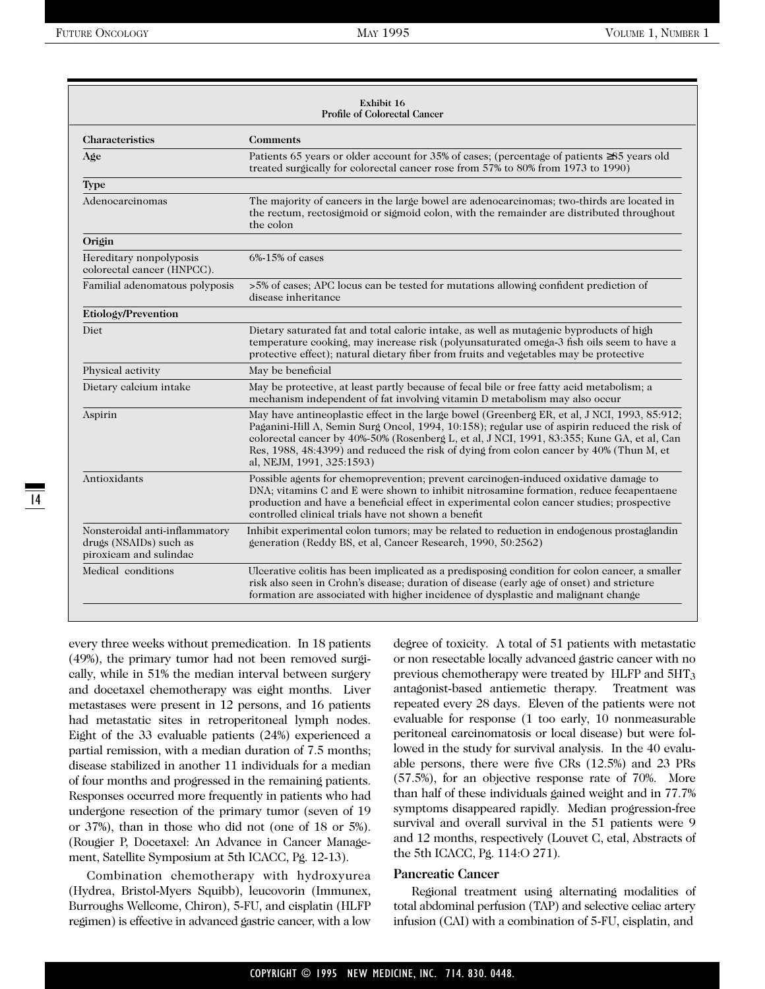| Exhibit 16<br><b>Profile of Colorectal Cancer</b>                                  |                                                                                                                                                                                                                                                                                                                                                                                                                   |  |  |
|------------------------------------------------------------------------------------|-------------------------------------------------------------------------------------------------------------------------------------------------------------------------------------------------------------------------------------------------------------------------------------------------------------------------------------------------------------------------------------------------------------------|--|--|
| <b>Characteristics</b>                                                             | <b>Comments</b>                                                                                                                                                                                                                                                                                                                                                                                                   |  |  |
| Age                                                                                | Patients 65 years or older account for 35% of cases; (percentage of patients ≥85 years old<br>treated surgically for colorectal cancer rose from 57% to 80% from 1973 to 1990)                                                                                                                                                                                                                                    |  |  |
| <b>Type</b>                                                                        |                                                                                                                                                                                                                                                                                                                                                                                                                   |  |  |
| Adenocarcinomas                                                                    | The majority of cancers in the large bowel are adenocarcinomas; two-thirds are located in<br>the rectum, rectosigmoid or sigmoid colon, with the remainder are distributed throughout<br>the colon                                                                                                                                                                                                                |  |  |
| Origin                                                                             |                                                                                                                                                                                                                                                                                                                                                                                                                   |  |  |
| Hereditary nonpolyposis<br>colorectal cancer (HNPCC).                              | $6\% - 15\%$ of cases                                                                                                                                                                                                                                                                                                                                                                                             |  |  |
| Familial adenomatous polyposis                                                     | >5% of cases; APC locus can be tested for mutations allowing confident prediction of<br>disease inheritance                                                                                                                                                                                                                                                                                                       |  |  |
| Etiology/Prevention                                                                |                                                                                                                                                                                                                                                                                                                                                                                                                   |  |  |
| Diet                                                                               | Dietary saturated fat and total caloric intake, as well as mutagenic byproducts of high<br>temperature cooking, may increase risk (polyunsaturated omega-3 fish oils seem to have a<br>protective effect); natural dietary fiber from fruits and vegetables may be protective                                                                                                                                     |  |  |
| Physical activity                                                                  | May be beneficial                                                                                                                                                                                                                                                                                                                                                                                                 |  |  |
| Dietary calcium intake                                                             | May be protective, at least partly because of fecal bile or free fatty acid metabolism; a<br>mechanism independent of fat involving vitamin D metabolism may also occur                                                                                                                                                                                                                                           |  |  |
| Aspirin                                                                            | May have antineoplastic effect in the large bowel (Greenberg ER, et al, J NCI, 1993, 85:912;<br>Paganini-Hill A, Semin Surg Oncol, 1994, 10:158); regular use of aspirin reduced the risk of<br>colorectal cancer by 40%-50% (Rosenberg L, et al, J NCI, 1991, 83:355; Kune GA, et al, Can<br>Res, 1988, 48:4399) and reduced the risk of dying from colon cancer by 40% (Thun M, et<br>al, NEJM, 1991, 325:1593) |  |  |
| Antioxidants                                                                       | Possible agents for chemoprevention; prevent carcinogen-induced oxidative damage to<br>DNA; vitamins C and E were shown to inhibit nitrosamine formation, reduce fecapentaene<br>production and have a beneficial effect in experimental colon cancer studies; prospective<br>controlled clinical trials have not shown a benefit                                                                                 |  |  |
| Nonsteroidal anti-inflammatory<br>drugs (NSAIDs) such as<br>piroxicam and sulindae | Inhibit experimental colon tumors; may be related to reduction in endogenous prostaglandin<br>generation (Reddy BS, et al, Cancer Research, 1990, 50:2562)                                                                                                                                                                                                                                                        |  |  |
| Medical conditions                                                                 | Ulcerative colitis has been implicated as a predisposing condition for colon cancer, a smaller<br>risk also seen in Crohn's disease; duration of disease (early age of onset) and stricture<br>formation are associated with higher incidence of dysplastic and malignant change                                                                                                                                  |  |  |

every three weeks without premedication. In 18 patients (49%), the primary tumor had not been removed surgically, while in 51% the median interval between surgery and docetaxel chemotherapy was eight months. Liver metastases were present in 12 persons, and 16 patients had metastatic sites in retroperitoneal lymph nodes. Eight of the 33 evaluable patients (24%) experienced a partial remission, with a median duration of 7.5 months; disease stabilized in another 11 individuals for a median of four months and progressed in the remaining patients. Responses occurred more frequently in patients who had undergone resection of the primary tumor (seven of 19 or 37%), than in those who did not (one of 18 or 5%). (Rougier P, Docetaxel: An Advance in Cancer Management, Satellite Symposium at 5th ICACC, Pg. 12-13).

Combination chemotherapy with hydroxyurea (Hydrea, Bristol-Myers Squibb), leucovorin (Immunex, Burroughs Wellcome, Chiron), 5-FU, and cisplatin (HLFP regimen) is effective in advanced gastric cancer, with a low degree of toxicity. A total of 51 patients with metastatic or non resectable locally advanced gastric cancer with no previous chemotherapy were treated by HLFP and 5HT<sub>3</sub> antagonist-based antiemetic therapy. Treatment was repeated every 28 days. Eleven of the patients were not evaluable for response (1 too early, 10 nonmeasurable peritoneal carcinomatosis or local disease) but were followed in the study for survival analysis. In the 40 evaluable persons, there were five CRs (12.5%) and 23 PRs (57.5%), for an objective response rate of 70%. More than half of these individuals gained weight and in 77.7% symptoms disappeared rapidly. Median progression-free survival and overall survival in the 51 patients were 9 and 12 months, respectively (Louvet C, etal, Abstracts of the 5th ICACC, Pg. 114:O 271).

#### **Pancreatic Cancer**

Regional treatment using alternating modalities of total abdominal perfusion (TAP) and selective celiac artery infusion (CAI) with a combination of 5-FU, cisplatin, and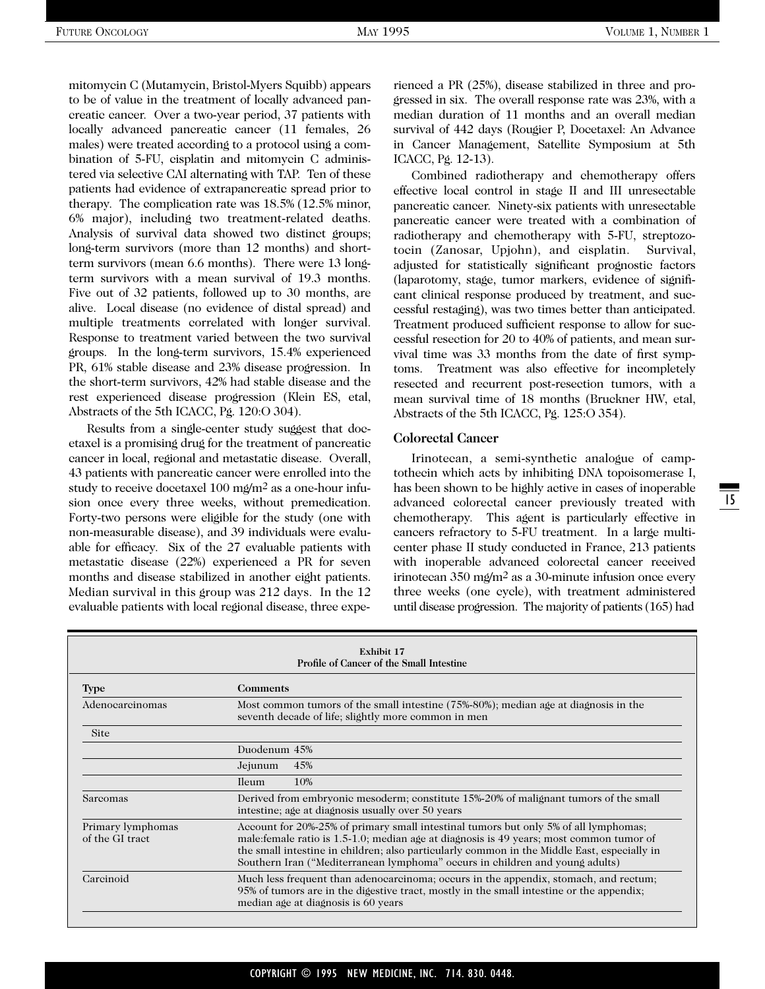mitomycin C (Mutamycin, Bristol-Myers Squibb) appears to be of value in the treatment of locally advanced pancreatic cancer. Over a two-year period, 37 patients with locally advanced pancreatic cancer (11 females, 26 males) were treated according to a protocol using a combination of 5-FU, cisplatin and mitomycin C administered via selective CAI alternating with TAP. Ten of these patients had evidence of extrapancreatic spread prior to therapy. The complication rate was 18.5% (12.5% minor, 6% major), including two treatment-related deaths. Analysis of survival data showed two distinct groups; long-term survivors (more than 12 months) and shortterm survivors (mean 6.6 months). There were 13 longterm survivors with a mean survival of 19.3 months. Five out of 32 patients, followed up to 30 months, are alive. Local disease (no evidence of distal spread) and multiple treatments correlated with longer survival. Response to treatment varied between the two survival groups. In the long-term survivors, 15.4% experienced PR, 61% stable disease and 23% disease progression. In the short-term survivors, 42% had stable disease and the rest experienced disease progression (Klein ES, etal, Abstracts of the 5th ICACC, Pg. 120:O 304).

Results from a single-center study suggest that docetaxel is a promising drug for the treatment of pancreatic cancer in local, regional and metastatic disease. Overall, 43 patients with pancreatic cancer were enrolled into the study to receive docetaxel 100 mg/m<sup>2</sup> as a one-hour infusion once every three weeks, without premedication. Forty-two persons were eligible for the study (one with non-measurable disease), and 39 individuals were evaluable for efficacy. Six of the 27 evaluable patients with metastatic disease (22%) experienced a PR for seven months and disease stabilized in another eight patients. Median survival in this group was 212 days. In the 12 evaluable patients with local regional disease, three experienced a PR (25%), disease stabilized in three and progressed in six. The overall response rate was 23%, with a median duration of 11 months and an overall median survival of 442 days (Rougier P, Docetaxel: An Advance in Cancer Management, Satellite Symposium at 5th ICACC, Pg. 12-13).

Combined radiotherapy and chemotherapy offers effective local control in stage II and III unresectable pancreatic cancer. Ninety-six patients with unresectable pancreatic cancer were treated with a combination of radiotherapy and chemotherapy with 5-FU, streptozotocin (Zanosar, Upjohn), and cisplatin. Survival, adjusted for statistically significant prognostic factors (laparotomy, stage, tumor markers, evidence of significant clinical response produced by treatment, and successful restaging), was two times better than anticipated. Treatment produced sufficient response to allow for successful resection for 20 to 40% of patients, and mean survival time was 33 months from the date of first symptoms. Treatment was also effective for incompletely resected and recurrent post-resection tumors, with a mean survival time of 18 months (Bruckner HW, etal, Abstracts of the 5th ICACC, Pg. 125:O 354).

#### **Colorectal Cancer**

Irinotecan, a semi-synthetic analogue of camptothecin which acts by inhibiting DNA topoisomerase I, has been shown to be highly active in cases of inoperable advanced colorectal cancer previously treated with chemotherapy. This agent is particularly effective in cancers refractory to 5-FU treatment. In a large multicenter phase II study conducted in France, 213 patients with inoperable advanced colorectal cancer received irinotecan 350 mg/m2 as a 30-minute infusion once every three weeks (one cycle), with treatment administered until disease progression. The majority of patients (165) had

| Exhibit 17<br>Profile of Cancer of the Small Intestine |                                                                                                                                                                                                                                                                                                                                                                 |  |  |
|--------------------------------------------------------|-----------------------------------------------------------------------------------------------------------------------------------------------------------------------------------------------------------------------------------------------------------------------------------------------------------------------------------------------------------------|--|--|
| <b>Type</b>                                            | <b>Comments</b>                                                                                                                                                                                                                                                                                                                                                 |  |  |
| Adenocarcinomas                                        | Most common tumors of the small intestine (75%-80%); median age at diagnosis in the<br>seventh decade of life; slightly more common in men                                                                                                                                                                                                                      |  |  |
| <b>Site</b>                                            |                                                                                                                                                                                                                                                                                                                                                                 |  |  |
|                                                        | Duodenum 45%                                                                                                                                                                                                                                                                                                                                                    |  |  |
|                                                        | 45%<br>Jejunum                                                                                                                                                                                                                                                                                                                                                  |  |  |
|                                                        | 10%<br><b>Ileum</b>                                                                                                                                                                                                                                                                                                                                             |  |  |
| Sarcomas                                               | Derived from embryonic mesoderm; constitute 15%-20% of malignant tumors of the small<br>intestine; age at diagnosis usually over 50 years                                                                                                                                                                                                                       |  |  |
| Primary lymphomas<br>of the GI tract                   | Account for 20%-25% of primary small intestinal tumors but only 5% of all lymphomas;<br>male: female ratio is 1.5-1.0; median age at diagnosis is 49 years; most common tumor of<br>the small intestine in children; also particularly common in the Middle East, especially in<br>Southern Iran ("Mediterranean lymphoma" occurs in children and young adults) |  |  |
| Carcinoid                                              | Much less frequent than adenocarcinoma; occurs in the appendix, stomach, and rectum;<br>95% of tumors are in the digestive tract, mostly in the small intestine or the appendix;<br>median age at diagnosis is 60 years                                                                                                                                         |  |  |

#### COPYRIGHT © 1995 NEW MEDICINE, INC. 714. 830. 0448.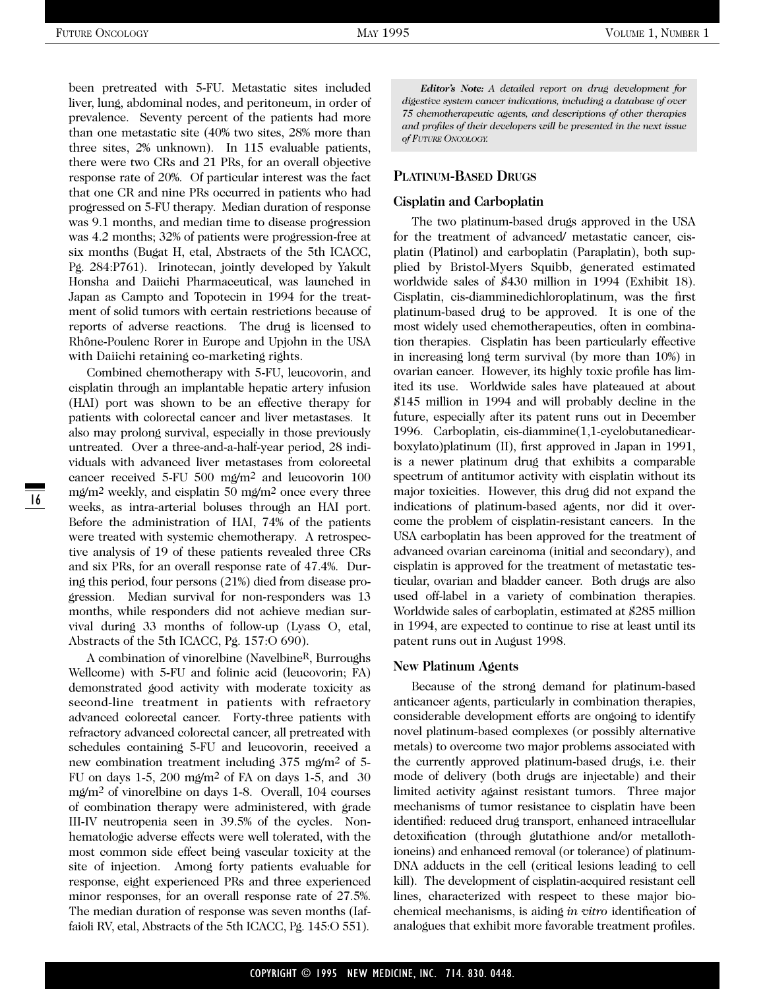been pretreated with 5-FU. Metastatic sites included liver, lung, abdominal nodes, and peritoneum, in order of prevalence. Seventy percent of the patients had more than one metastatic site (40% two sites, 28% more than three sites, 2% unknown). In 115 evaluable patients, there were two CRs and 21 PRs, for an overall objective response rate of 20%. Of particular interest was the fact that one CR and nine PRs occurred in patients who had progressed on 5-FU therapy. Median duration of response was 9.1 months, and median time to disease progression was 4.2 months; 32% of patients were progression-free at six months (Bugat H, etal, Abstracts of the 5th ICACC, Pg. 284:P761). Irinotecan, jointly developed by Yakult Honsha and Daiichi Pharmaceutical, was launched in Japan as Campto and Topotecin in 1994 for the treatment of solid tumors with certain restrictions because of reports of adverse reactions. The drug is licensed to Rhône-Poulenc Rorer in Europe and Upjohn in the USA with Daiichi retaining co-marketing rights.

Combined chemotherapy with 5-FU, leucovorin, and cisplatin through an implantable hepatic artery infusion (HAI) port was shown to be an effective therapy for patients with colorectal cancer and liver metastases. It also may prolong survival, especially in those previously untreated. Over a three-and-a-half-year period, 28 individuals with advanced liver metastases from colorectal cancer received 5-FU 500 mg/m2 and leucovorin 100 mg/m2 weekly, and cisplatin 50 mg/m2 once every three weeks, as intra-arterial boluses through an HAI port. Before the administration of HAI, 74% of the patients were treated with systemic chemotherapy. A retrospective analysis of 19 of these patients revealed three CRs and six PRs, for an overall response rate of 47.4%. During this period, four persons (21%) died from disease progression. Median survival for non-responders was 13 months, while responders did not achieve median survival during 33 months of follow-up (Lyass O, etal, Abstracts of the 5th ICACC, Pg. 157:O 690).

A combination of vinorelbine (NavelbineR, Burroughs Wellcome) with 5-FU and folinic acid (leucovorin; FA) demonstrated good activity with moderate toxicity as second-line treatment in patients with refractory advanced colorectal cancer. Forty-three patients with refractory advanced colorectal cancer, all pretreated with schedules containing 5-FU and leucovorin, received a new combination treatment including 375 mg/m2 of 5- FU on days 1-5, 200 mg/m<sup>2</sup> of FA on days 1-5, and 30 mg/m2 of vinorelbine on days 1-8. Overall, 104 courses of combination therapy were administered, with grade III-IV neutropenia seen in 39.5% of the cycles. Nonhematologic adverse effects were well tolerated, with the most common side effect being vascular toxicity at the site of injection. Among forty patients evaluable for response, eight experienced PRs and three experienced minor responses, for an overall response rate of 27.5%. The median duration of response was seven months (Iaffaioli RV, etal, Abstracts of the 5th ICACC, Pg. 145:O 551).

*Editor's Note: A detailed report on drug development for digestive system cancer indications, including a database of over 75 chemotherapeutic agents, and descriptions of other therapies and profiles of their developers will be presented in the next issue of FUTURE ONCOLOGY.*

#### **PLATINUM-BASED DRUGS**

#### **Cisplatin and Carboplatin**

The two platinum-based drugs approved in the USA for the treatment of advanced/ metastatic cancer, cisplatin (Platinol) and carboplatin (Paraplatin), both supplied by Bristol-Myers Squibb, generated estimated worldwide sales of \$430 million in 1994 (Exhibit 18). Cisplatin, cis-diamminedichloroplatinum, was the first platinum-based drug to be approved. It is one of the most widely used chemotherapeutics, often in combination therapies. Cisplatin has been particularly effective in increasing long term survival (by more than 10%) in ovarian cancer. However, its highly toxic profile has limited its use. Worldwide sales have plateaued at about \$145 million in 1994 and will probably decline in the future, especially after its patent runs out in December 1996. Carboplatin, cis-diammine(1,1-cyclobutanedicarboxylato)platinum (II), first approved in Japan in 1991, is a newer platinum drug that exhibits a comparable spectrum of antitumor activity with cisplatin without its major toxicities. However, this drug did not expand the indications of platinum-based agents, nor did it overcome the problem of cisplatin-resistant cancers. In the USA carboplatin has been approved for the treatment of advanced ovarian carcinoma (initial and secondary), and cisplatin is approved for the treatment of metastatic testicular, ovarian and bladder cancer. Both drugs are also used off-label in a variety of combination therapies. Worldwide sales of carboplatin, estimated at \$285 million in 1994, are expected to continue to rise at least until its patent runs out in August 1998.

#### **New Platinum Agents**

Because of the strong demand for platinum-based anticancer agents, particularly in combination therapies, considerable development efforts are ongoing to identify novel platinum-based complexes (or possibly alternative metals) to overcome two major problems associated with the currently approved platinum-based drugs, i.e. their mode of delivery (both drugs are injectable) and their limited activity against resistant tumors. Three major mechanisms of tumor resistance to cisplatin have been identified: reduced drug transport, enhanced intracellular detoxification (through glutathione and/or metallothioneins) and enhanced removal (or tolerance) of platinum-DNA adducts in the cell (critical lesions leading to cell kill). The development of cisplatin-acquired resistant cell lines, characterized with respect to these major biochemical mechanisms, is aiding *in vitro* identification of analogues that exhibit more favorable treatment profiles.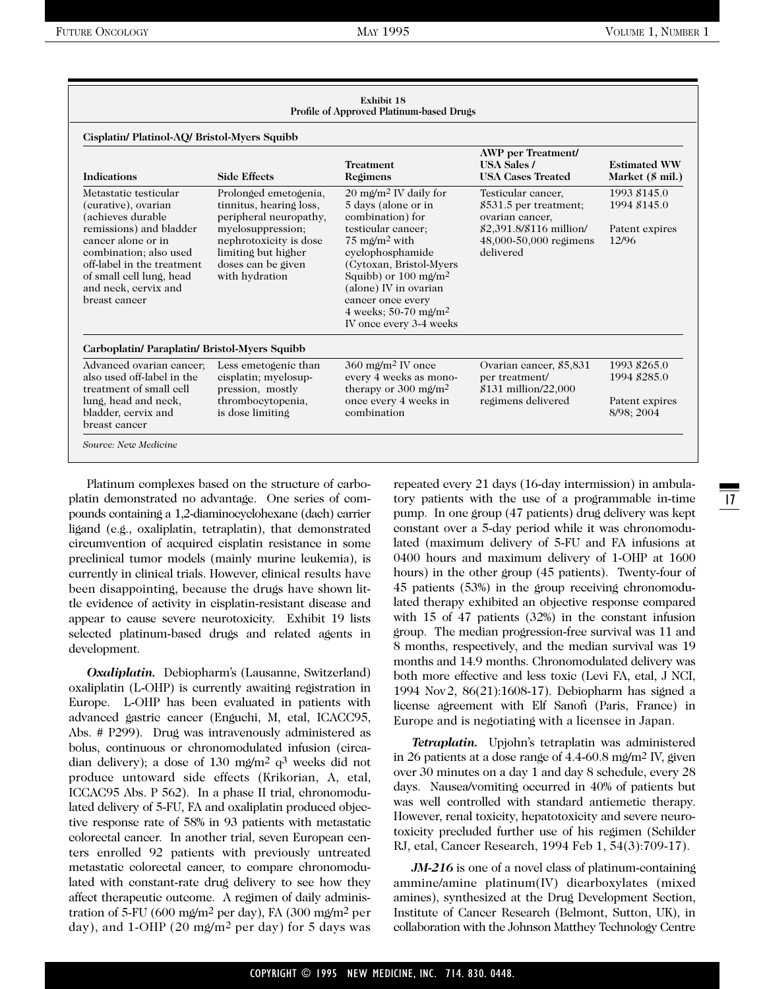|                                                                                                                                                                                                                                                 |                                                                                                                                                                                          | Exhibit 18<br>Profile of Approved Platinum-based Drugs                                                                                                                                                                                                                                                                                                |                                                                                                                                    |                                                         |
|-------------------------------------------------------------------------------------------------------------------------------------------------------------------------------------------------------------------------------------------------|------------------------------------------------------------------------------------------------------------------------------------------------------------------------------------------|-------------------------------------------------------------------------------------------------------------------------------------------------------------------------------------------------------------------------------------------------------------------------------------------------------------------------------------------------------|------------------------------------------------------------------------------------------------------------------------------------|---------------------------------------------------------|
| Cisplatin/ Platinol-AQ/ Bristol-Myers Squibb                                                                                                                                                                                                    |                                                                                                                                                                                          |                                                                                                                                                                                                                                                                                                                                                       |                                                                                                                                    |                                                         |
| <b>Indications</b>                                                                                                                                                                                                                              | <b>Side Effects</b>                                                                                                                                                                      | <b>Treatment</b><br>Regimens                                                                                                                                                                                                                                                                                                                          | <b>AWP</b> per Treatment/<br><b>USA Sales /</b><br><b>USA Cases Treated</b>                                                        | <b>Estimated WW</b><br>Market (\$ mil.)                 |
| Metastatic testicular<br>(curative), ovarian<br>(achieves durable<br>remissions) and bladder<br>cancer alone or in<br>combination; also used<br>off-label in the treatment<br>of small cell lung, head<br>and neck, cervix and<br>breast cancer | Prolonged emetogenia,<br>tinnitus, hearing loss,<br>peripheral neuropathy,<br>myelosuppression;<br>nephrotoxicity is dose<br>limiting but higher<br>doses can be given<br>with hydration | $20 \text{ m}\Omega/\text{m}^2$ IV daily for<br>5 days (alone or in<br>combination) for<br>testicular cancer;<br>$75 \text{ m}\text{/m}^2$ with<br>eyelophosphamide<br>(Cytoxan, Bristol-Myers)<br>Squibb) or $100 \text{ m}\text{/m}^2$<br>(alone) IV in ovarian<br>cancer once every<br>4 weeks; 50-70 mg/m <sup>2</sup><br>IV once every 3-4 weeks | Testicular cancer,<br>\$531.5 per treatment;<br>ovarian cancer,<br>\$2,391.8/\$116 million/<br>48,000-50,000 regimens<br>delivered | 1993 \$145.0<br>1994 \$145.0<br>Patent expires<br>12/96 |
| Carboplatin/ Paraplatin/ Bristol-Myers Squibb                                                                                                                                                                                                   |                                                                                                                                                                                          |                                                                                                                                                                                                                                                                                                                                                       |                                                                                                                                    |                                                         |
| Advanced ovarian cancer:<br>also used off-label in the<br>treatment of small cell                                                                                                                                                               | Less emetogenic than<br>cisplatin; myelosup-<br>pression, mostly                                                                                                                         | $360 \text{ m}\text{\o} / \text{m}^2$ IV once<br>every 4 weeks as mono-<br>therapy or 300 mg/m <sup>2</sup>                                                                                                                                                                                                                                           | Ovarian cancer, \$5,831<br>per treatment/<br>\$131 million/22,000                                                                  | 1993 \$265.0<br>1994 \$285.0                            |
| lung, head and neck,<br>bladder, cervix and<br>breast cancer                                                                                                                                                                                    | thrombocytopenia,<br>is dose limiting                                                                                                                                                    | once every 4 weeks in<br>combination                                                                                                                                                                                                                                                                                                                  | regimens delivered                                                                                                                 | Patent expires<br>8/98; 2004                            |
| Source: New Medicine                                                                                                                                                                                                                            |                                                                                                                                                                                          |                                                                                                                                                                                                                                                                                                                                                       |                                                                                                                                    |                                                         |

Platinum complexes based on the structure of carboplatin demonstrated no advantage. One series of compounds containing a 1,2-diaminocyclohexane (dach) carrier ligand (e.g., oxaliplatin, tetraplatin), that demonstrated circumvention of acquired cisplatin resistance in some preclinical tumor models (mainly murine leukemia), is currently in clinical trials. However, clinical results have been disappointing, because the drugs have shown little evidence of activity in cisplatin-resistant disease and appear to cause severe neurotoxicity. Exhibit 19 lists selected platinum-based drugs and related agents in development.

*Oxaliplatin.* Debiopharm's (Lausanne, Switzerland) oxaliplatin (L-OHP) is currently awaiting registration in Europe. L-OHP has been evaluated in patients with advanced gastric cancer (Enguchi, M, etal, ICACC95, Abs. # P299). Drug was intravenously administered as bolus, continuous or chronomodulated infusion (circadian delivery); a dose of 130 mg/m2 q3 weeks did not produce untoward side effects (Krikorian, A, etal, ICCAC95 Abs. P 562). In a phase II trial, chronomodulated delivery of 5-FU, FA and oxaliplatin produced objective response rate of 58% in 93 patients with metastatic colorectal cancer. In another trial, seven European centers enrolled 92 patients with previously untreated metastatic colorectal cancer, to compare chronomodulated with constant-rate drug delivery to see how they affect therapeutic outcome. A regimen of daily administration of 5-FU (600 mg/m2 per day), FA (300 mg/m2 per day), and 1-OHP (20 mg/m2 per day) for 5 days was repeated every 21 days (16-day intermission) in ambulatory patients with the use of a programmable in-time pump. In one group (47 patients) drug delivery was kept constant over a 5-day period while it was chronomodulated (maximum delivery of 5-FU and FA infusions at 0400 hours and maximum delivery of 1-OHP at 1600 hours) in the other group (45 patients). Twenty-four of 45 patients (53%) in the group receiving chronomodulated therapy exhibited an objective response compared with 15 of 47 patients (32%) in the constant infusion group. The median progression-free survival was 11 and 8 months, respectively, and the median survival was 19 months and 14.9 months. Chronomodulated delivery was both more effective and less toxic (Levi FA, etal, J NCI, 1994 Nov2, 86(21):1608-17). Debiopharm has signed a license agreement with Elf Sanofi (Paris, France) in Europe and is negotiating with a licensee in Japan.

*Tetraplatin.* Upjohn's tetraplatin was administered in 26 patients at a dose range of 4.4-60.8 mg/m2 IV, given over 30 minutes on a day 1 and day 8 schedule, every 28 days. Nausea/vomiting occurred in 40% of patients but was well controlled with standard antiemetic therapy. However, renal toxicity, hepatotoxicity and severe neurotoxicity precluded further use of his regimen (Schilder RJ, etal, Cancer Research, 1994 Feb 1, 54(3):709-17).

*JM-216* is one of a novel class of platinum-containing ammine/amine platinum(IV) dicarboxylates (mixed amines), synthesized at the Drug Development Section, Institute of Cancer Research (Belmont, Sutton, UK), in collaboration with the Johnson Matthey Technology Centre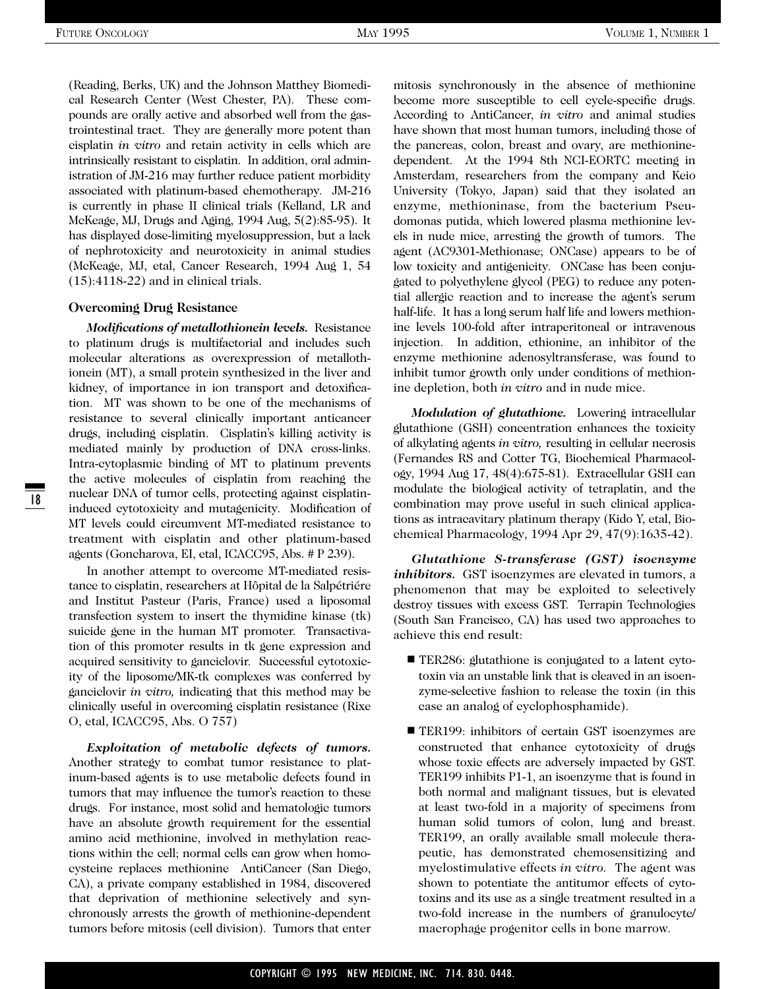(Reading, Berks, UK) and the Johnson Matthey Biomedical Research Center (West Chester, PA). These compounds are orally active and absorbed well from the gastrointestinal tract. They are generally more potent than cisplatin *in vitro* and retain activity in cells which are intrinsically resistant to cisplatin. In addition, oral administration of JM-216 may further reduce patient morbidity associated with platinum-based chemotherapy. JM-216 is currently in phase II clinical trials (Kelland, LR and McKeage, MJ, Drugs and Aging, 1994 Aug, 5(2):85-95). It has displayed dose-limiting myelosuppression, but a lack of nephrotoxicity and neurotoxicity in animal studies (McKeage, MJ, etal, Cancer Research, 1994 Aug 1, 54 (15):4118-22) and in clinical trials.

#### **Overcoming Drug Resistance**

18

*Modifications of metallothionein levels.* Resistance to platinum drugs is multifactorial and includes such molecular alterations as overexpression of metallothionein (MT), a small protein synthesized in the liver and kidney, of importance in ion transport and detoxification. MT was shown to be one of the mechanisms of resistance to several clinically important anticancer drugs, including cisplatin. Cisplatin's killing activity is mediated mainly by production of DNA cross-links. Intra-cytoplasmic binding of MT to platinum prevents the active molecules of cisplatin from reaching the nuclear DNA of tumor cells, protecting against cisplatininduced cytotoxicity and mutagenicity. Modification of MT levels could circumvent MT-mediated resistance to treatment with cisplatin and other platinum-based agents (Goncharova, EI, etal, ICACC95, Abs. # P 239).

In another attempt to overcome MT-mediated resistance to cisplatin, researchers at Hôpital de la Salpétriére and Institut Pasteur (Paris, France) used a liposomal transfection system to insert the thymidine kinase (tk) suicide gene in the human MT promoter. Transactivation of this promoter results in tk gene expression and acquired sensitivity to ganciclovir. Successful cytotoxicity of the liposome/MK-tk complexes was conferred by ganciclovir *in vitro,* indicating that this method may be clinically useful in overcoming cisplatin resistance (Rixe O, etal, ICACC95, Abs. O 757)

*Exploitation of metabolic defects of tumors.* Another strategy to combat tumor resistance to platinum-based agents is to use metabolic defects found in tumors that may influence the tumor's reaction to these drugs. For instance, most solid and hematologic tumors have an absolute growth requirement for the essential amino acid methionine, involved in methylation reactions within the cell; normal cells can grow when homocysteine replaces methionine AntiCancer (San Diego, CA), a private company established in 1984, discovered that deprivation of methionine selectively and synchronously arrests the growth of methionine-dependent tumors before mitosis (cell division). Tumors that enter mitosis synchronously in the absence of methionine become more susceptible to cell cycle-specific drugs. According to AntiCancer, *in vitro* and animal studies have shown that most human tumors, including those of the pancreas, colon, breast and ovary, are methioninedependent. At the 1994 8th NCI-EORTC meeting in Amsterdam, researchers from the company and Keio University (Tokyo, Japan) said that they isolated an enzyme, methioninase, from the bacterium Pseudomonas putida, which lowered plasma methionine levels in nude mice, arresting the growth of tumors. The agent (AC9301-Methionase; ONCase) appears to be of low toxicity and antigenicity. ONCase has been conjugated to polyethylene glycol (PEG) to reduce any potential allergic reaction and to increase the agent's serum half-life. It has a long serum half life and lowers methionine levels 100-fold after intraperitoneal or intravenous injection. In addition, ethionine, an inhibitor of the enzyme methionine adenosyltransferase, was found to inhibit tumor growth only under conditions of methionine depletion, both *in vitro* and in nude mice.

*Modulation of glutathione.* Lowering intracellular glutathione (GSH) concentration enhances the toxicity of alkylating agents *in vitro,* resulting in cellular necrosis (Fernandes RS and Cotter TG, Biochemical Pharmacology, 1994 Aug 17, 48(4):675-81). Extracellular GSH can modulate the biological activity of tetraplatin, and the combination may prove useful in such clinical applications as intracavitary platinum therapy (Kido Y, etal, Biochemical Pharmacology, 1994 Apr 29, 47(9):1635-42).

*Glutathione S-transferase (GST) isoenzyme inhibitors.* GST isoenzymes are elevated in tumors, a phenomenon that may be exploited to selectively destroy tissues with excess GST. Terrapin Technologies (South San Francisco, CA) has used two approaches to achieve this end result:

- TER286: glutathione is conjugated to a latent cytotoxin via an unstable link that is cleaved in an isoenzyme-selective fashion to release the toxin (in this case an analog of cyclophosphamide).
- TER199: inhibitors of certain GST isoenzymes are constructed that enhance cytotoxicity of drugs whose toxic effects are adversely impacted by GST. TER199 inhibits P1-1, an isoenzyme that is found in both normal and malignant tissues, but is elevated at least two-fold in a majority of specimens from human solid tumors of colon, lung and breast. TER199, an orally available small molecule therapeutic, has demonstrated chemosensitizing and myelostimulative effects *in vitro.* The agent was shown to potentiate the antitumor effects of cytotoxins and its use as a single treatment resulted in a two-fold increase in the numbers of granulocyte/ macrophage progenitor cells in bone marrow.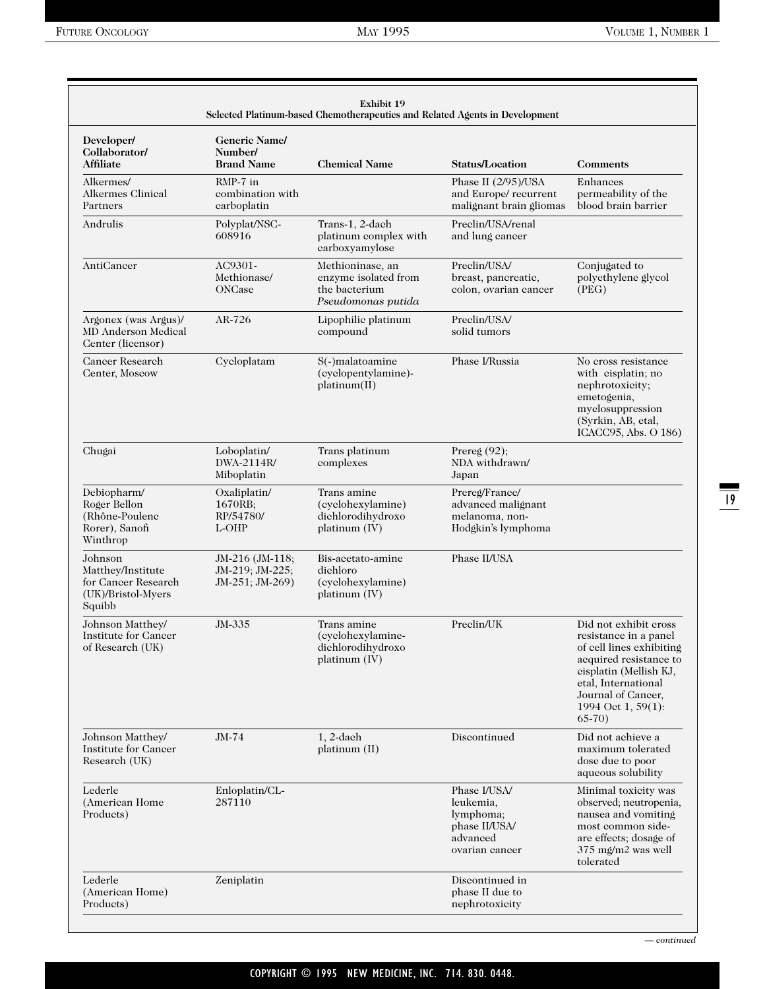| Developer/                                                                          | <b>Generic Name/</b>                                  |                                                                                 |                                                                                       |                                                                                                                                                                                                              |
|-------------------------------------------------------------------------------------|-------------------------------------------------------|---------------------------------------------------------------------------------|---------------------------------------------------------------------------------------|--------------------------------------------------------------------------------------------------------------------------------------------------------------------------------------------------------------|
| Collaborator/<br>Affiliate                                                          | Number/<br><b>Brand Name</b>                          | <b>Chemical Name</b>                                                            | <b>Status/Location</b>                                                                | <b>Comments</b>                                                                                                                                                                                              |
| Alkermes/<br><b>Alkermes Clinical</b><br>Partners                                   | RMP-7 in<br>combination with<br>carboplatin           |                                                                                 | Phase II (2/95)/USA<br>and Europe/recurrent<br>malignant brain gliomas                | Enhances<br>permeability of the<br>blood brain barrier                                                                                                                                                       |
| Andrulis                                                                            | Polyplat/NSC-<br>608916                               | Trans-1, 2-dach<br>platinum complex with<br>carboxyamylose                      | Preclin/USA/renal<br>and lung cancer                                                  |                                                                                                                                                                                                              |
| AntiCancer                                                                          | AC9301-<br>Methionase/<br>ONCase                      | Methioninase, an<br>enzyme isolated from<br>the bacterium<br>Pseudomonas putida | Preclin/USA/<br>breast, pancreatic,<br>colon, ovarian cancer                          | Conjugated to<br>polyethylene glycol<br>(PEG)                                                                                                                                                                |
| Argonex (was Argus)/<br>MD Anderson Medical<br>Center (licensor)                    | AR-726                                                | Lipophilic platinum<br>compound                                                 | Preclin/USA/<br>solid tumors                                                          |                                                                                                                                                                                                              |
| Cancer Research<br>Center, Moscow                                                   | Cycloplatam                                           | S(-)malatoamine<br>(cyclopentylamine)-<br>platinum(II)                          | Phase I/Russia                                                                        | No cross resistance<br>with cisplatin; no<br>nephrotoxicity;<br>emetogenia,<br>myelosuppression<br>(Syrkin, AB, etal,<br>ICACC95, Abs. O 186)                                                                |
| Chugai                                                                              | Loboplatin/<br>DWA-2114R/<br>Miboplatin               | Trans platinum<br>complexes                                                     | Prereg $(92)$ ;<br>NDA withdrawn/<br>Japan                                            |                                                                                                                                                                                                              |
| Debiopharm/<br>Roger Bellon<br>(Rhône-Poulenc<br>Rorer), Sanofi<br>Winthrop         | Oxaliplatin/<br>1670RB;<br>RP/54780/<br>L-OHP         | Trans amine<br>(cyclohexylamine)<br>dichlorodihydroxo<br>platinum (IV)          | Prereg/France/<br>advanced malignant<br>melanoma, non-<br>Hodgkin's lymphoma          |                                                                                                                                                                                                              |
| Johnson<br>Matthey/Institute<br>for Cancer Research<br>(UK)/Bristol-Myers<br>Squibb | JM-216 (JM-118;<br>JM-219; JM-225;<br>JM-251; JM-269) | Bis-acetato-amine<br>dichloro<br>(cyclohexylamine)<br>platinum (IV)             | Phase II/USA                                                                          |                                                                                                                                                                                                              |
| Johnson Matthey/<br>Institute for Cancer<br>of Research (UK)                        | JM-335                                                | Trans amine<br>(cyclohexylamine-<br>dichlorodihydroxo<br>platinum (IV)          | Preclin/UK                                                                            | Did not exhibit cross<br>resistance in a panel<br>of cell lines exhibiting<br>acquired resistance to<br>cisplatin (Mellish KJ,<br>etal, International<br>Journal of Cancer,<br>1994 Oct 1, 59(1):<br>$65-70$ |
| Johnson Matthey/<br>Institute for Cancer<br>Research (UK)                           | JM-74                                                 | $1.2$ -dach<br>platinum (II)                                                    | Discontinued                                                                          | Did not achieve a<br>maximum tolerated<br>dose due to poor<br>aqueous solubility                                                                                                                             |
| Lederle<br>(American Home<br>Products)                                              | Enloplatin/CL-<br>287110                              |                                                                                 | Phase I/USA/<br>leukemia,<br>lymphoma;<br>phase II/USA/<br>advanced<br>ovarian cancer | Minimal toxicity was<br>observed; neutropenia,<br>nausea and vomiting<br>most common side-<br>are effects; dosage of<br>375 mg/m <sup>2</sup> was well<br>tolerated                                          |
| Lederle<br>(American Home)<br>Products)                                             | Zeniplatin                                            |                                                                                 | Discontinued in<br>phase II due to<br>nephrotoxicity                                  |                                                                                                                                                                                                              |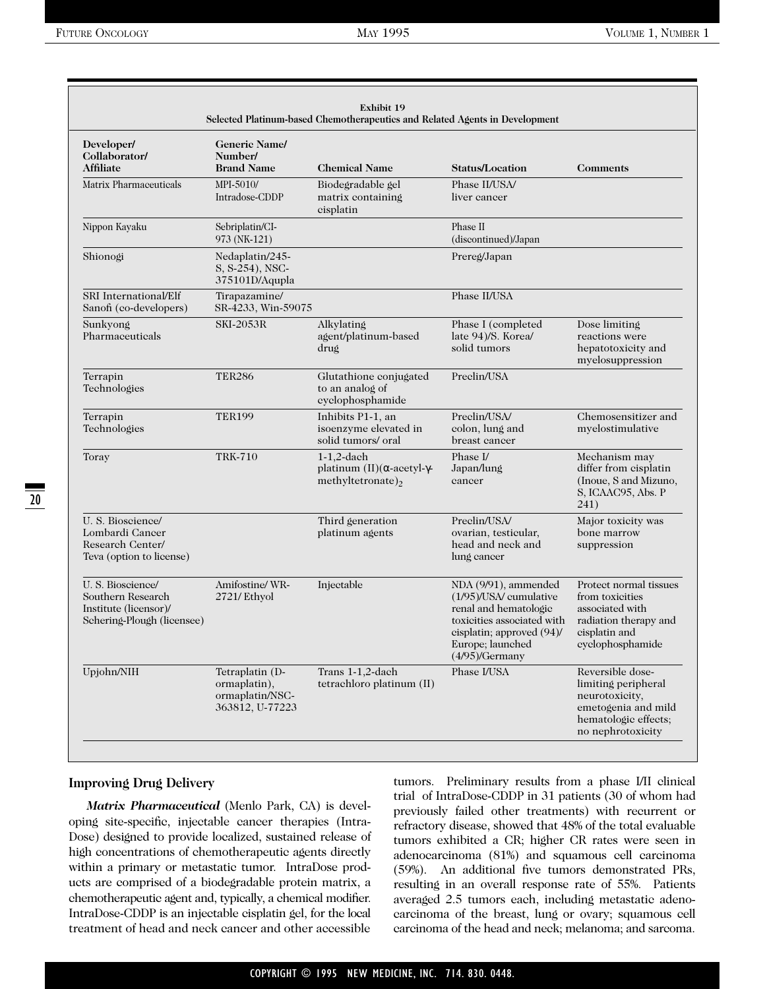| Developer/<br>Collaborator/<br>Affiliate                                                      | <b>Generic Name/</b><br>Number/<br><b>Brand Name</b>                  | <b>Chemical Name</b>                                                                         | <b>Status/Location</b>                                                                                                                                                      | <b>Comments</b>                                                                                                               |
|-----------------------------------------------------------------------------------------------|-----------------------------------------------------------------------|----------------------------------------------------------------------------------------------|-----------------------------------------------------------------------------------------------------------------------------------------------------------------------------|-------------------------------------------------------------------------------------------------------------------------------|
| Matrix Pharmaceuticals                                                                        | MPI-5010/<br>Intradose-CDDP                                           | Biodegradable gel<br>matrix containing<br>cisplatin                                          | Phase II/USA/<br>liver cancer                                                                                                                                               |                                                                                                                               |
| Nippon Kayaku                                                                                 | Sebriplatin/CI-<br>973 (NK-121)                                       |                                                                                              | Phase II<br>(discontinued)/Japan                                                                                                                                            |                                                                                                                               |
| Shionogi                                                                                      | Nedaplatin/245-<br>S, S-254), NSC-<br>375101D/Aqupla                  |                                                                                              | Prereg/Japan                                                                                                                                                                |                                                                                                                               |
| SRI International/Elf<br>Sanofi (co-developers)                                               | Tirapazamine/<br>SR-4233, Win-59075                                   |                                                                                              | Phase II/USA                                                                                                                                                                |                                                                                                                               |
| Sunkyong<br>Pharmaceuticals                                                                   | <b>SKI-2053R</b>                                                      | Alkylating<br>agent/platinum-based<br>drug                                                   | Phase I (completed<br>late 94)/S. Korea/<br>solid tumors                                                                                                                    | Dose limiting<br>reactions were<br>hepatotoxicity and<br>myelosuppression                                                     |
| Terrapin<br>Technologies                                                                      | <b>TER286</b>                                                         | Glutathione conjugated<br>to an analog of<br>eyelophosphamide                                | Preclin/USA                                                                                                                                                                 |                                                                                                                               |
| Terrapin<br>Technologies                                                                      | <b>TER199</b>                                                         | Inhibits P1-1, an<br>isoenzyme elevated in<br>solid tumors/oral                              | Preclin/USA/<br>colon, lung and<br>breast cancer                                                                                                                            | Chemosensitizer and<br>myelostimulative                                                                                       |
| Toray                                                                                         | <b>TRK-710</b>                                                        | $1-1,2$ -dach<br>platinum $(II)(\alpha$ -acetyl- $\gamma$ -<br>methyltetronate) <sub>2</sub> | Phase I/<br>Japan/lung<br>cancer                                                                                                                                            | Mechanism may<br>differ from cisplatin<br>(Inoue, S and Mizuno,<br>S, ICAAC95, Abs. P<br>241)                                 |
| U. S. Bioscience/<br>Lombardi Cancer<br>Research Center/<br>Teva (option to license)          |                                                                       | Third generation<br>platinum agents                                                          | Preclin/USA/<br>ovarian, testicular,<br>head and neck and<br>lung cancer                                                                                                    | Major toxicity was<br>bone marrow<br>suppression                                                                              |
| U. S. Bioscience/<br>Southern Research<br>Institute (licensor)/<br>Schering-Plough (licensee) | Amifostine/WR-<br>2721/ Ethyol                                        | Injectable                                                                                   | NDA (9/91), ammended<br>(1/95)/USA/ cumulative<br>renal and hematologic<br>toxicities associated with<br>cisplatin; approved (94)/<br>Europe; launched<br>$(4/95)$ /Germany | Protect normal tissues<br>from toxicities<br>associated with<br>radiation therapy and<br>cisplatin and<br>cyclophosphamide    |
| Upjohn/NIH                                                                                    | Tetraplatin (D-<br>ormaplatin),<br>ormaplatin/NSC-<br>363812, U-77223 | Trans 1-1,2-dach<br>tetrachloro platinum (II)                                                | Phase I/USA                                                                                                                                                                 | Reversible dose-<br>limiting peripheral<br>neurotoxicity,<br>emetogenia and mild<br>hematologic effects;<br>no nephrotoxicity |

#### **Improving Drug Delivery**

*Matrix Pharmaceutical* (Menlo Park, CA) is developing site-specific, injectable cancer therapies (Intra-Dose) designed to provide localized, sustained release of high concentrations of chemotherapeutic agents directly within a primary or metastatic tumor. IntraDose products are comprised of a biodegradable protein matrix, a chemotherapeutic agent and, typically, a chemical modifier. IntraDose-CDDP is an injectable cisplatin gel, for the local treatment of head and neck cancer and other accessible tumors. Preliminary results from a phase I/II clinical trial of IntraDose-CDDP in 31 patients (30 of whom had previously failed other treatments) with recurrent or refractory disease, showed that 48% of the total evaluable tumors exhibited a CR; higher CR rates were seen in adenocarcinoma (81%) and squamous cell carcinoma (59%). An additional five tumors demonstrated PRs, resulting in an overall response rate of 55%. Patients averaged 2.5 tumors each, including metastatic adenocarcinoma of the breast, lung or ovary; squamous cell carcinoma of the head and neck; melanoma; and sarcoma.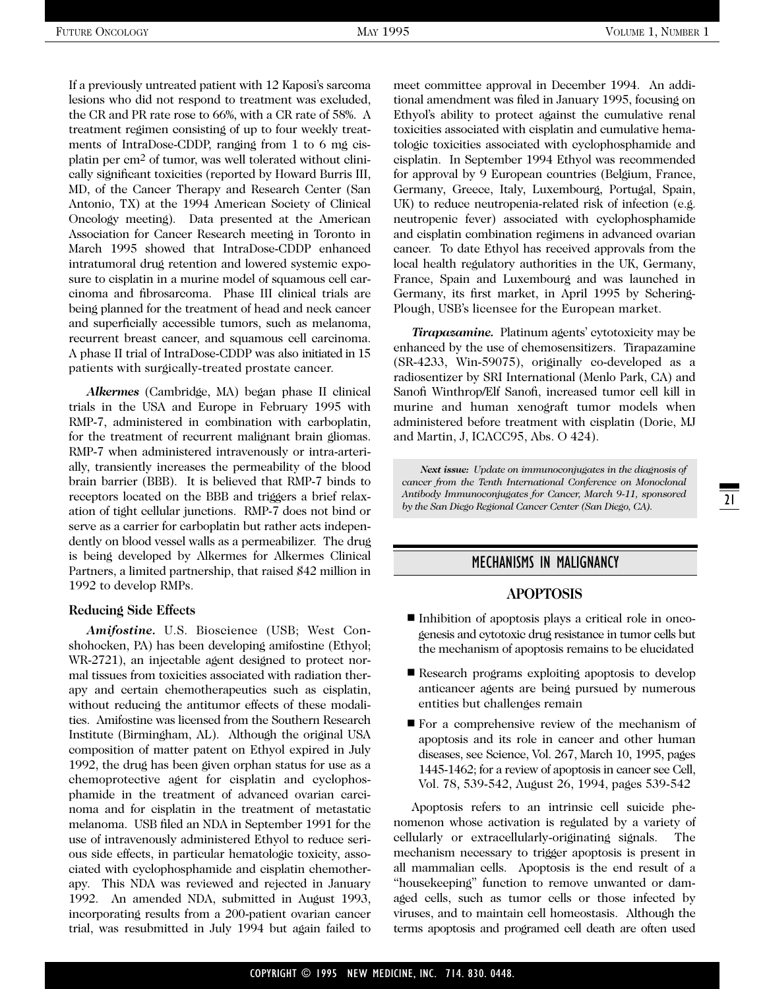If a previously untreated patient with 12 Kaposi's sarcoma lesions who did not respond to treatment was excluded, the CR and PR rate rose to 66%, with a CR rate of 58%. A treatment regimen consisting of up to four weekly treatments of IntraDose-CDDP, ranging from 1 to 6 mg cisplatin per cm2 of tumor, was well tolerated without clinically significant toxicities (reported by Howard Burris III, MD, of the Cancer Therapy and Research Center (San Antonio, TX) at the 1994 American Society of Clinical Oncology meeting). Data presented at the American Association for Cancer Research meeting in Toronto in March 1995 showed that IntraDose-CDDP enhanced intratumoral drug retention and lowered systemic exposure to cisplatin in a murine model of squamous cell carcinoma and fibrosarcoma. Phase III clinical trials are being planned for the treatment of head and neck cancer and superficially accessible tumors, such as melanoma, recurrent breast cancer, and squamous cell carcinoma. A phase II trial of IntraDose-CDDP was also initiated in 15 patients with surgically-treated prostate cancer.

*Alkermes* (Cambridge, MA) began phase II clinical trials in the USA and Europe in February 1995 with RMP-7, administered in combination with carboplatin, for the treatment of recurrent malignant brain gliomas. RMP-7 when administered intravenously or intra-arterially, transiently increases the permeability of the blood brain barrier (BBB). It is believed that RMP-7 binds to receptors located on the BBB and triggers a brief relaxation of tight cellular junctions. RMP-7 does not bind or serve as a carrier for carboplatin but rather acts independently on blood vessel walls as a permeabilizer. The drug is being developed by Alkermes for Alkermes Clinical Partners, a limited partnership, that raised \$42 million in 1992 to develop RMPs.

#### **Reducing Side Effects**

*Amifostine.* U.S. Bioscience (USB; West Conshohocken, PA) has been developing amifostine (Ethyol; WR-2721), an injectable agent designed to protect normal tissues from toxicities associated with radiation therapy and certain chemotherapeutics such as cisplatin, without reducing the antitumor effects of these modalities. Amifostine was licensed from the Southern Research Institute (Birmingham, AL). Although the original USA composition of matter patent on Ethyol expired in July 1992, the drug has been given orphan status for use as a chemoprotective agent for cisplatin and cyclophosphamide in the treatment of advanced ovarian carcinoma and for cisplatin in the treatment of metastatic melanoma. USB filed an NDA in September 1991 for the use of intravenously administered Ethyol to reduce serious side effects, in particular hematologic toxicity, associated with cyclophosphamide and cisplatin chemotherapy. This NDA was reviewed and rejected in January 1992. An amended NDA, submitted in August 1993, incorporating results from a 200-patient ovarian cancer trial, was resubmitted in July 1994 but again failed to meet committee approval in December 1994. An additional amendment was filed in January 1995, focusing on Ethyol's ability to protect against the cumulative renal toxicities associated with cisplatin and cumulative hematologic toxicities associated with cyclophosphamide and cisplatin. In September 1994 Ethyol was recommended for approval by 9 European countries (Belgium, France, Germany, Greece, Italy, Luxembourg, Portugal, Spain, UK) to reduce neutropenia-related risk of infection (e.g. neutropenic fever) associated with cyclophosphamide and cisplatin combination regimens in advanced ovarian cancer. To date Ethyol has received approvals from the local health regulatory authorities in the UK, Germany, France, Spain and Luxembourg and was launched in Germany, its first market, in April 1995 by Schering-Plough, USB's licensee for the European market.

*Tirapazamine.* Platinum agents' cytotoxicity may be enhanced by the use of chemosensitizers. Tirapazamine (SR-4233, Win-59075), originally co-developed as a radiosentizer by SRI International (Menlo Park, CA) and Sanofi Winthrop/Elf Sanofi, increased tumor cell kill in murine and human xenograft tumor models when administered before treatment with cisplatin (Dorie, MJ and Martin, J, ICACC95, Abs. O 424).

*Next issue: Update on immunoconjugates in the diagnosis of cancer from the Tenth International Conference on Monoclonal Antibody Immunoconjugates for Cancer, March 9-11, sponsored by the San Diego Regional Cancer Center (San Diego, CA).*

### MECHANISMS IN MALIGNANCY

#### **APOPTOSIS**

- Inhibition of apoptosis plays a critical role in oncogenesis and cytotoxic drug resistance in tumor cells but the mechanism of apoptosis remains to be elucidated
- Research programs exploiting apoptosis to develop anticancer agents are being pursued by numerous entities but challenges remain
- For a comprehensive review of the mechanism of apoptosis and its role in cancer and other human diseases, see Science, Vol. 267, March 10, 1995, pages 1445-1462; for a review of apoptosis in cancer see Cell, Vol. 78, 539-542, August 26, 1994, pages 539-542

Apoptosis refers to an intrinsic cell suicide phenomenon whose activation is regulated by a variety of cellularly or extracellularly-originating signals. The mechanism necessary to trigger apoptosis is present in all mammalian cells. Apoptosis is the end result of a "housekeeping" function to remove unwanted or damaged cells, such as tumor cells or those infected by viruses, and to maintain cell homeostasis. Although the terms apoptosis and programed cell death are often used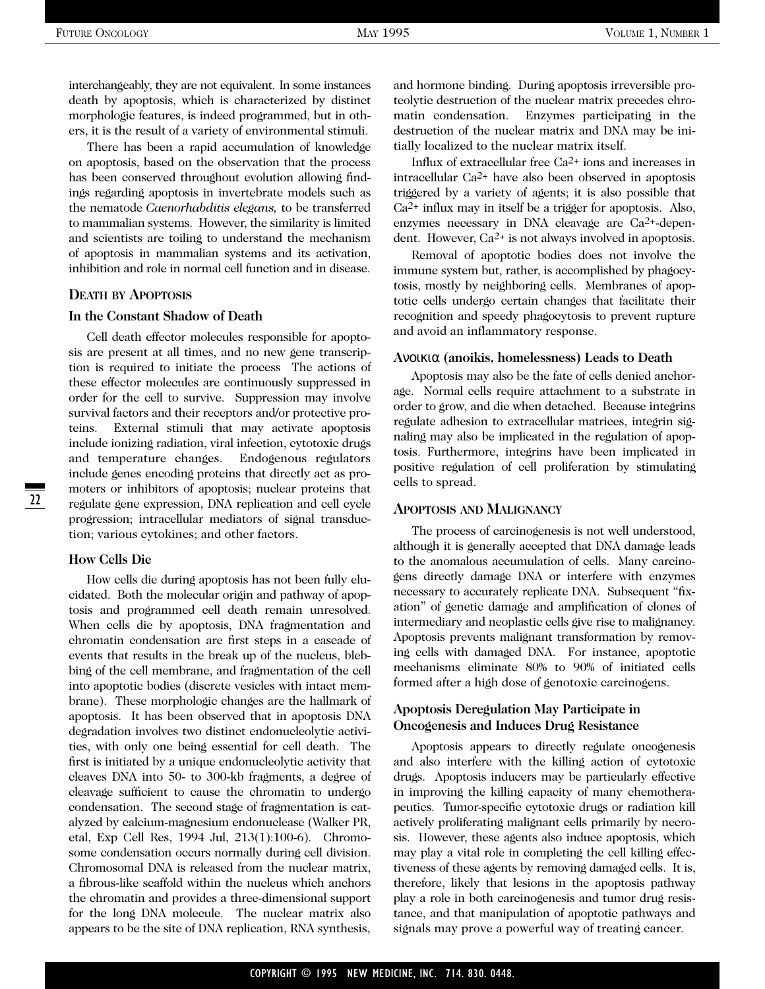interchangeably, they are not equivalent. In some instances death by apoptosis, which is characterized by distinct morphologic features, is indeed programmed, but in others, it is the result of a variety of environmental stimuli.

There has been a rapid accumulation of knowledge on apoptosis, based on the observation that the process has been conserved throughout evolution allowing findings regarding apoptosis in invertebrate models such as the nematode *Caenorhabditis elegans,* to be transferred to mammalian systems. However, the similarity is limited and scientists are toiling to understand the mechanism of apoptosis in mammalian systems and its activation, inhibition and role in normal cell function and in disease.

#### **DEATH BY APOPTOSIS**

#### **In the Constant Shadow of Death**

Cell death effector molecules responsible for apoptosis are present at all times, and no new gene transcription is required to initiate the process The actions of these effector molecules are continuously suppressed in order for the cell to survive. Suppression may involve survival factors and their receptors and/or protective proteins. External stimuli that may activate apoptosis include ionizing radiation, viral infection, cytotoxic drugs and temperature changes. Endogenous regulators include genes encoding proteins that directly act as promoters or inhibitors of apoptosis; nuclear proteins that regulate gene expression, DNA replication and cell cycle progression; intracellular mediators of signal transduction; various cytokines; and other factors.

#### **How Cells Die**

22

How cells die during apoptosis has not been fully elucidated. Both the molecular origin and pathway of apoptosis and programmed cell death remain unresolved. When cells die by apoptosis, DNA fragmentation and chromatin condensation are first steps in a cascade of events that results in the break up of the nucleus, blebbing of the cell membrane, and fragmentation of the cell into apoptotic bodies (discrete vesicles with intact membrane). These morphologic changes are the hallmark of apoptosis. It has been observed that in apoptosis DNA degradation involves two distinct endonucleolytic activities, with only one being essential for cell death. The first is initiated by a unique endonucleolytic activity that cleaves DNA into 50- to 300-kb fragments, a degree of cleavage sufficient to cause the chromatin to undergo condensation. The second stage of fragmentation is catalyzed by calcium-magnesium endonuclease (Walker PR, etal, Exp Cell Res, 1994 Jul, 213(1):100-6). Chromosome condensation occurs normally during cell division. Chromosomal DNA is released from the nuclear matrix, a fibrous-like scaffold within the nucleus which anchors the chromatin and provides a three-dimensional support for the long DNA molecule. The nuclear matrix also appears to be the site of DNA replication, RNA synthesis, and hormone binding. During apoptosis irreversible proteolytic destruction of the nuclear matrix precedes chromatin condensation. Enzymes participating in the destruction of the nuclear matrix and DNA may be initially localized to the nuclear matrix itself.

Influx of extracellular free Ca2+ ions and increases in intracellular Ca2+ have also been observed in apoptosis triggered by a variety of agents; it is also possible that Ca2+ influx may in itself be a trigger for apoptosis. Also, enzymes necessary in DNA cleavage are Ca2+-dependent. However, Ca2+ is not always involved in apoptosis.

Removal of apoptotic bodies does not involve the immune system but, rather, is accomplished by phagocytosis, mostly by neighboring cells. Membranes of apoptotic cells undergo certain changes that facilitate their recognition and speedy phagocytosis to prevent rupture and avoid an inflammatory response.

#### **A**νοικια **(anoikis, homelessness) Leads to Death**

Apoptosis may also be the fate of cells denied anchorage. Normal cells require attachment to a substrate in order to grow, and die when detached. Because integrins regulate adhesion to extracellular matrices, integrin signaling may also be implicated in the regulation of apoptosis. Furthermore, integrins have been implicated in positive regulation of cell proliferation by stimulating cells to spread.

#### **APOPTOSIS AND MALIGNANCY**

The process of carcinogenesis is not well understood, although it is generally accepted that DNA damage leads to the anomalous accumulation of cells. Many carcinogens directly damage DNA or interfere with enzymes necessary to accurately replicate DNA. Subsequent "fixation" of genetic damage and amplification of clones of intermediary and neoplastic cells give rise to malignancy. Apoptosis prevents malignant transformation by removing cells with damaged DNA. For instance, apoptotic mechanisms eliminate 80% to 90% of initiated cells formed after a high dose of genotoxic carcinogens.

#### **Apoptosis Deregulation May Participate in Oncogenesis and Induces Drug Resistance**

Apoptosis appears to directly regulate oncogenesis and also interfere with the killing action of cytotoxic drugs. Apoptosis inducers may be particularly effective in improving the killing capacity of many chemotherapeutics. Tumor-specific cytotoxic drugs or radiation kill actively proliferating malignant cells primarily by necrosis. However, these agents also induce apoptosis, which may play a vital role in completing the cell killing effectiveness of these agents by removing damaged cells. It is, therefore, likely that lesions in the apoptosis pathway play a role in both carcinogenesis and tumor drug resistance, and that manipulation of apoptotic pathways and signals may prove a powerful way of treating cancer.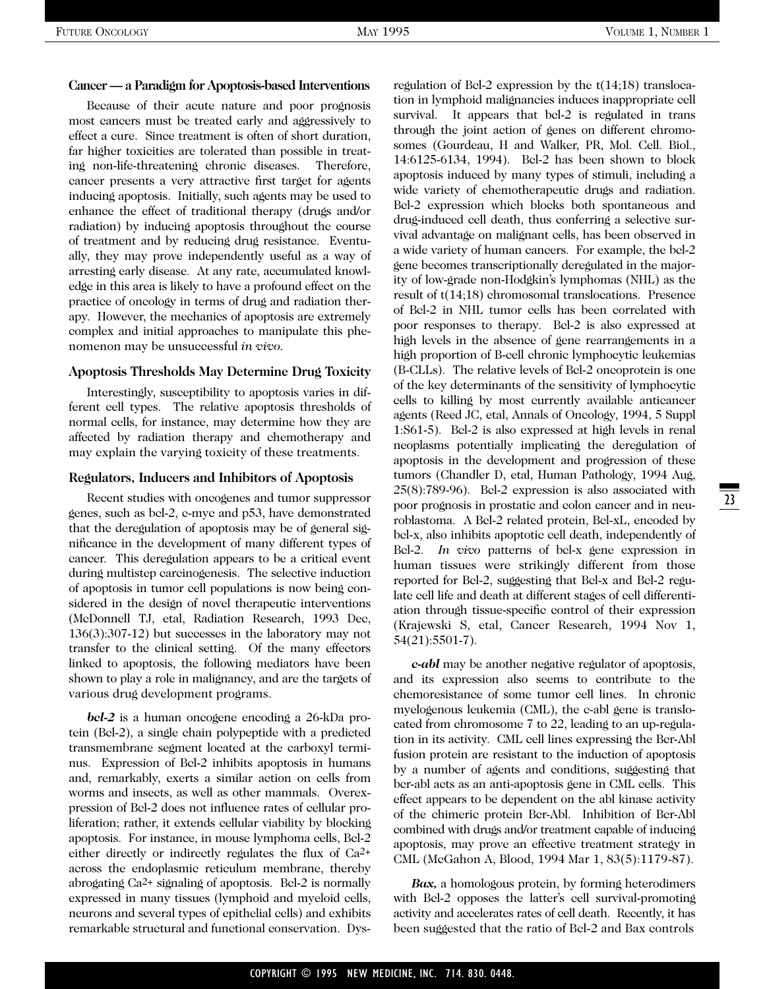#### **Cancer — a Paradigm for Apoptosis-based Interventions**

Because of their acute nature and poor prognosis most cancers must be treated early and aggressively to effect a cure. Since treatment is often of short duration, far higher toxicities are tolerated than possible in treating non-life-threatening chronic diseases. Therefore, cancer presents a very attractive first target for agents inducing apoptosis. Initially, such agents may be used to enhance the effect of traditional therapy (drugs and/or radiation) by inducing apoptosis throughout the course of treatment and by reducing drug resistance. Eventually, they may prove independently useful as a way of arresting early disease. At any rate, accumulated knowledge in this area is likely to have a profound effect on the practice of oncology in terms of drug and radiation therapy. However, the mechanics of apoptosis are extremely complex and initial approaches to manipulate this phenomenon may be unsuccessful *in vivo.*

#### **Apoptosis Thresholds May Determine Drug Toxicity**

Interestingly, susceptibility to apoptosis varies in different cell types. The relative apoptosis thresholds of normal cells, for instance, may determine how they are affected by radiation therapy and chemotherapy and may explain the varying toxicity of these treatments.

#### **Regulators, Inducers and Inhibitors of Apoptosis**

Recent studies with oncogenes and tumor suppressor genes, such as bcl-2, c-myc and p53, have demonstrated that the deregulation of apoptosis may be of general significance in the development of many different types of cancer. This deregulation appears to be a critical event during multistep carcinogenesis. The selective induction of apoptosis in tumor cell populations is now being considered in the design of novel therapeutic interventions (McDonnell TJ, etal, Radiation Research, 1993 Dec, 136(3):307-12) but successes in the laboratory may not transfer to the clinical setting. Of the many effectors linked to apoptosis, the following mediators have been shown to play a role in malignancy, and are the targets of various drug development programs.

*bcl-2* is a human oncogene encoding a 26-kDa protein (Bcl-2), a single chain polypeptide with a predicted transmembrane segment located at the carboxyl terminus. Expression of Bcl-2 inhibits apoptosis in humans and, remarkably, exerts a similar action on cells from worms and insects, as well as other mammals. Overexpression of Bcl-2 does not influence rates of cellular proliferation; rather, it extends cellular viability by blocking apoptosis. For instance, in mouse lymphoma cells, Bcl-2 either directly or indirectly regulates the flux of Ca2+ across the endoplasmic reticulum membrane, thereby abrogating Ca2+ signaling of apoptosis. Bcl-2 is normally expressed in many tissues (lymphoid and myeloid cells, neurons and several types of epithelial cells) and exhibits remarkable structural and functional conservation. Dysregulation of Bcl-2 expression by the t(14;18) translocation in lymphoid malignancies induces inappropriate cell survival. It appears that bel-2 is regulated in trans through the joint action of genes on different chromosomes (Gourdeau, H and Walker, PR, Mol. Cell. Biol., 14:6125-6134, 1994). Bcl-2 has been shown to block apoptosis induced by many types of stimuli, including a wide variety of chemotherapeutic drugs and radiation. Bcl-2 expression which blocks both spontaneous and drug-induced cell death, thus conferring a selective survival advantage on malignant cells, has been observed in a wide variety of human cancers. For example, the bcl-2 gene becomes transcriptionally deregulated in the majority of low-grade non-Hodgkin's lymphomas (NHL) as the result of t(14;18) chromosomal translocations. Presence of Bcl-2 in NHL tumor cells has been correlated with poor responses to therapy. Bcl-2 is also expressed at high levels in the absence of gene rearrangements in a high proportion of B-cell chronic lymphocytic leukemias (B-CLLs). The relative levels of Bcl-2 oncoprotein is one of the key determinants of the sensitivity of lymphocytic cells to killing by most currently available anticancer agents (Reed JC, etal, Annals of Oncology, 1994, 5 Suppl 1:S61-5). Bcl-2 is also expressed at high levels in renal neoplasms potentially implicating the deregulation of apoptosis in the development and progression of these tumors (Chandler D, etal, Human Pathology, 1994 Aug, 25(8):789-96). Bcl-2 expression is also associated with poor prognosis in prostatic and colon cancer and in neuroblastoma. A Bcl-2 related protein, Bcl-xL, encoded by bcl-x, also inhibits apoptotic cell death, independently of Bcl-2. *In vivo* patterns of bcl-x gene expression in human tissues were strikingly different from those reported for Bcl-2, suggesting that Bcl-x and Bcl-2 regulate cell life and death at different stages of cell differentiation through tissue-specific control of their expression (Krajewski S, etal, Cancer Research, 1994 Nov 1, 54(21):5501-7).

*c-abl* may be another negative regulator of apoptosis, and its expression also seems to contribute to the chemoresistance of some tumor cell lines. In chronic myelogenous leukemia (CML), the c-abl gene is translocated from chromosome 7 to 22, leading to an up-regulation in its activity. CML cell lines expressing the Bcr-Abl fusion protein are resistant to the induction of apoptosis by a number of agents and conditions, suggesting that bcr-abl acts as an anti-apoptosis gene in CML cells. This effect appears to be dependent on the abl kinase activity of the chimeric protein Bcr-Abl. Inhibition of Bcr-Abl combined with drugs and/or treatment capable of inducing apoptosis, may prove an effective treatment strategy in CML (McGahon A, Blood, 1994 Mar 1, 83(5):1179-87).

*Bax,* a homologous protein, by forming heterodimers with Bcl-2 opposes the latter's cell survival-promoting activity and accelerates rates of cell death. Recently, it has been suggested that the ratio of Bcl-2 and Bax controls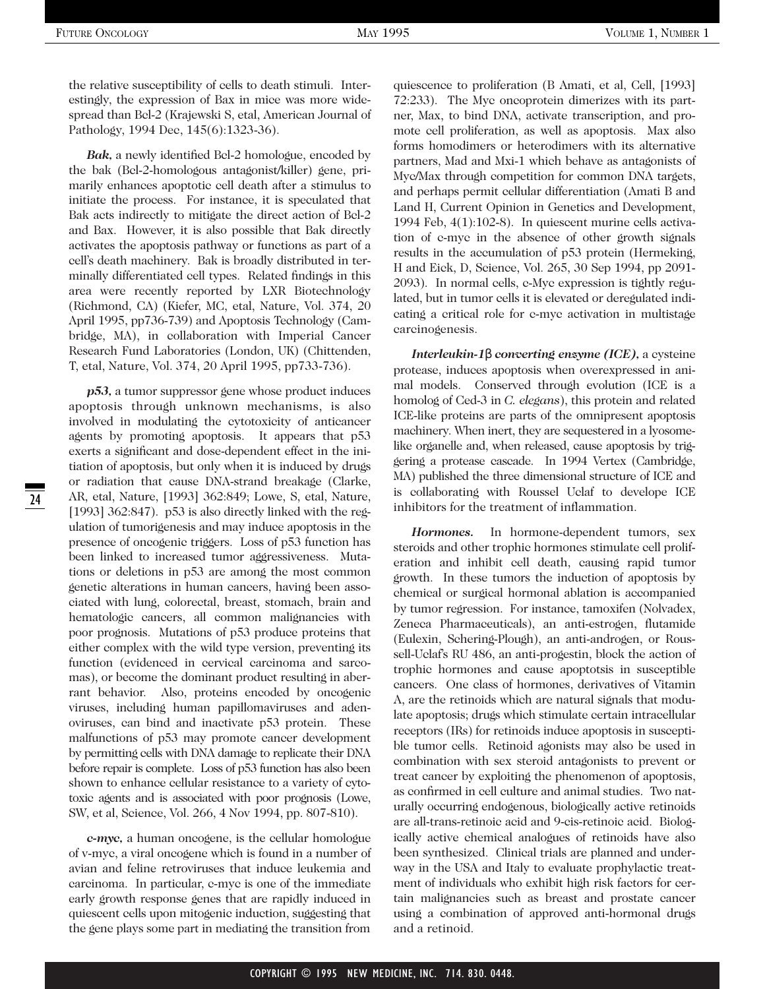the relative susceptibility of cells to death stimuli. Interestingly, the expression of Bax in mice was more widespread than Bcl-2 (Krajewski S, etal, American Journal of Pathology, 1994 Dec, 145(6):1323-36).

*Bak,* a newly identified Bcl-2 homologue, encoded by the bak (Bcl-2-homologous antagonist/killer) gene, primarily enhances apoptotic cell death after a stimulus to initiate the process. For instance, it is speculated that Bak acts indirectly to mitigate the direct action of Bcl-2 and Bax. However, it is also possible that Bak directly activates the apoptosis pathway or functions as part of a cell's death machinery. Bak is broadly distributed in terminally differentiated cell types. Related findings in this area were recently reported by LXR Biotechnology (Richmond, CA) (Kiefer, MC, etal, Nature, Vol. 374, 20 April 1995, pp736-739) and Apoptosis Technology (Cambridge, MA), in collaboration with Imperial Cancer Research Fund Laboratories (London, UK) (Chittenden, T, etal, Nature, Vol. 374, 20 April 1995, pp733-736).

*p53,* a tumor suppressor gene whose product induces apoptosis through unknown mechanisms, is also involved in modulating the cytotoxicity of anticancer agents by promoting apoptosis. It appears that p53 exerts a significant and dose-dependent effect in the initiation of apoptosis, but only when it is induced by drugs or radiation that cause DNA-strand breakage (Clarke, AR, etal, Nature, [1993] 362:849; Lowe, S, etal, Nature, [1993] 362:847). p53 is also directly linked with the regulation of tumorigenesis and may induce apoptosis in the presence of oncogenic triggers. Loss of p53 function has been linked to increased tumor aggressiveness. Mutations or deletions in p53 are among the most common genetic alterations in human cancers, having been associated with lung, colorectal, breast, stomach, brain and hematologic cancers, all common malignancies with poor prognosis. Mutations of p53 produce proteins that either complex with the wild type version, preventing its function (evidenced in cervical carcinoma and sarcomas), or become the dominant product resulting in aberrant behavior. Also, proteins encoded by oncogenic viruses, including human papillomaviruses and adenoviruses, can bind and inactivate p53 protein. These malfunctions of p53 may promote cancer development by permitting cells with DNA damage to replicate their DNA before repair is complete. Loss of p53 function has also been shown to enhance cellular resistance to a variety of cytotoxic agents and is associated with poor prognosis (Lowe, SW, et al, Science, Vol. 266, 4 Nov 1994, pp. 807-810).

*c-myc,* a human oncogene, is the cellular homologue of v-myc, a viral oncogene which is found in a number of avian and feline retroviruses that induce leukemia and carcinoma. In particular, c-myc is one of the immediate early growth response genes that are rapidly induced in quiescent cells upon mitogenic induction, suggesting that the gene plays some part in mediating the transition from

quiescence to proliferation (B Amati, et al, Cell, [1993] 72:233). The Myc oncoprotein dimerizes with its partner, Max, to bind DNA, activate transcription, and promote cell proliferation, as well as apoptosis. Max also forms homodimers or heterodimers with its alternative partners, Mad and Mxi-1 which behave as antagonists of Myc/Max through competition for common DNA targets, and perhaps permit cellular differentiation (Amati B and Land H, Current Opinion in Genetics and Development, 1994 Feb, 4(1):102-8). In quiescent murine cells activation of c-myc in the absence of other growth signals results in the accumulation of p53 protein (Hermeking, H and Eick, D, Science, Vol. 265, 30 Sep 1994, pp 2091- 2093). In normal cells, c-Myc expression is tightly regulated, but in tumor cells it is elevated or deregulated indicating a critical role for c-myc activation in multistage carcinogenesis.

*Interleukin-1*β *converting enzyme (ICE),* a cysteine protease, induces apoptosis when overexpressed in animal models. Conserved through evolution (ICE is a homolog of Ced-3 in *C. elegans*), this protein and related ICE-like proteins are parts of the omnipresent apoptosis machinery. When inert, they are sequestered in a lyosomelike organelle and, when released, cause apoptosis by triggering a protease cascade. In 1994 Vertex (Cambridge, MA) published the three dimensional structure of ICE and is collaborating with Roussel Uclaf to develope ICE inhibitors for the treatment of inflammation.

*Hormones.* In hormone-dependent tumors, sex steroids and other trophic hormones stimulate cell proliferation and inhibit cell death, causing rapid tumor growth. In these tumors the induction of apoptosis by chemical or surgical hormonal ablation is accompanied by tumor regression. For instance, tamoxifen (Nolvadex, Zeneca Pharmaceuticals), an anti-estrogen, flutamide (Eulexin, Schering-Plough), an anti-androgen, or Roussell-Uclaf's RU 486, an anti-progestin, block the action of trophic hormones and cause apoptotsis in susceptible cancers. One class of hormones, derivatives of Vitamin A, are the retinoids which are natural signals that modulate apoptosis; drugs which stimulate certain intracellular receptors (IRs) for retinoids induce apoptosis in susceptible tumor cells. Retinoid agonists may also be used in combination with sex steroid antagonists to prevent or treat cancer by exploiting the phenomenon of apoptosis, as confirmed in cell culture and animal studies. Two naturally occurring endogenous, biologically active retinoids are all-trans-retinoic acid and 9-cis-retinoic acid. Biologically active chemical analogues of retinoids have also been synthesized. Clinical trials are planned and underway in the USA and Italy to evaluate prophylactic treatment of individuals who exhibit high risk factors for certain malignancies such as breast and prostate cancer using a combination of approved anti-hormonal drugs and a retinoid.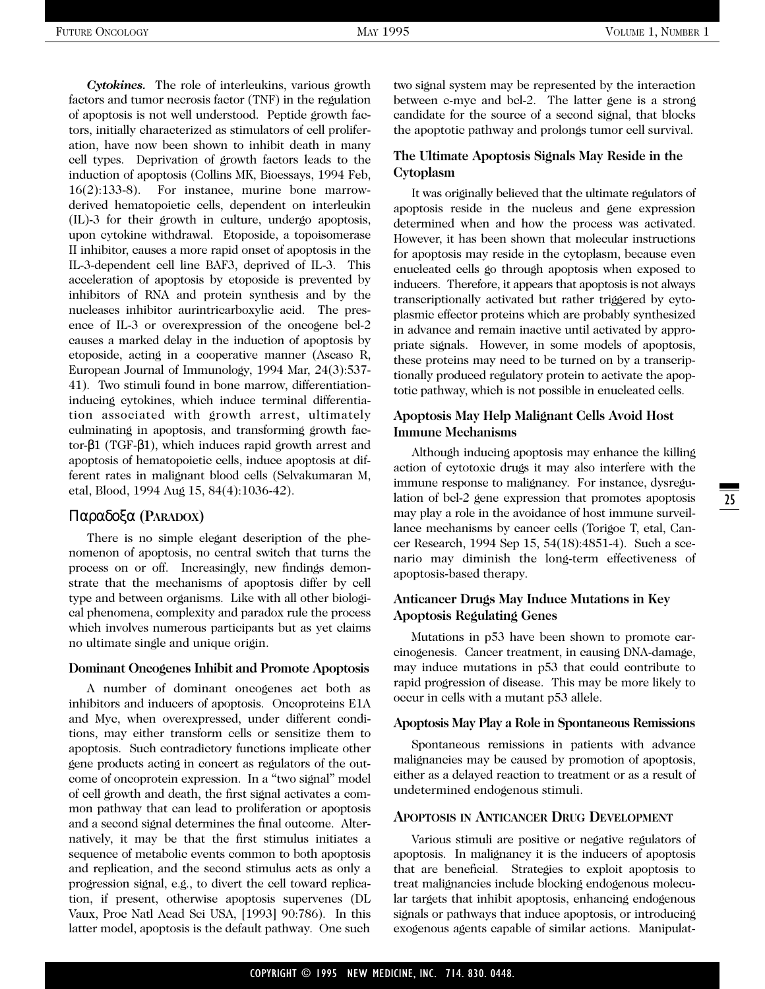*Cytokines.* The role of interleukins, various growth factors and tumor necrosis factor (TNF) in the regulation of apoptosis is not well understood. Peptide growth factors, initially characterized as stimulators of cell proliferation, have now been shown to inhibit death in many cell types. Deprivation of growth factors leads to the induction of apoptosis (Collins MK, Bioessays, 1994 Feb, 16(2):133-8). For instance, murine bone marrowderived hematopoietic cells, dependent on interleukin (IL)-3 for their growth in culture, undergo apoptosis, upon cytokine withdrawal. Etoposide, a topoisomerase II inhibitor, causes a more rapid onset of apoptosis in the IL-3-dependent cell line BAF3, deprived of IL-3. This acceleration of apoptosis by etoposide is prevented by inhibitors of RNA and protein synthesis and by the nucleases inhibitor aurintricarboxylic acid. The presence of IL-3 or overexpression of the oncogene bcl-2 causes a marked delay in the induction of apoptosis by etoposide, acting in a cooperative manner (Ascaso R, European Journal of Immunology, 1994 Mar, 24(3):537- 41). Two stimuli found in bone marrow, differentiationinducing cytokines, which induce terminal differentiation associated with growth arrest, ultimately culminating in apoptosis, and transforming growth factor-β1 (TGF-β1), which induces rapid growth arrest and apoptosis of hematopoietic cells, induce apoptosis at different rates in malignant blood cells (Selvakumaran M, etal, Blood, 1994 Aug 15, 84(4):1036-42).

#### Παραδοξα **(PARADOX)**

There is no simple elegant description of the phenomenon of apoptosis, no central switch that turns the process on or off. Increasingly, new findings demonstrate that the mechanisms of apoptosis differ by cell type and between organisms. Like with all other biological phenomena, complexity and paradox rule the process which involves numerous participants but as yet claims no ultimate single and unique origin.

#### **Dominant Oncogenes Inhibit and Promote Apoptosis**

A number of dominant oncogenes act both as inhibitors and inducers of apoptosis. Oncoproteins E1A and Myc, when overexpressed, under different conditions, may either transform cells or sensitize them to apoptosis. Such contradictory functions implicate other gene products acting in concert as regulators of the outcome of oncoprotein expression. In a "two signal" model of cell growth and death, the first signal activates a common pathway that can lead to proliferation or apoptosis and a second signal determines the final outcome. Alternatively, it may be that the first stimulus initiates a sequence of metabolic events common to both apoptosis and replication, and the second stimulus acts as only a progression signal, e.g., to divert the cell toward replication, if present, otherwise apoptosis supervenes (DL Vaux, Proc Natl Acad Sci USA, [1993] 90:786). In this latter model, apoptosis is the default pathway. One such two signal system may be represented by the interaction between c-myc and bcl-2. The latter gene is a strong candidate for the source of a second signal, that blocks the apoptotic pathway and prolongs tumor cell survival.

#### **The Ultimate Apoptosis Signals May Reside in the Cytoplasm**

It was originally believed that the ultimate regulators of apoptosis reside in the nucleus and gene expression determined when and how the process was activated. However, it has been shown that molecular instructions for apoptosis may reside in the cytoplasm, because even enucleated cells go through apoptosis when exposed to inducers. Therefore, it appears that apoptosis is not always transcriptionally activated but rather triggered by cytoplasmic effector proteins which are probably synthesized in advance and remain inactive until activated by appropriate signals. However, in some models of apoptosis, these proteins may need to be turned on by a transcriptionally produced regulatory protein to activate the apoptotic pathway, which is not possible in enucleated cells.

#### **Apoptosis May Help Malignant Cells Avoid Host Immune Mechanisms**

Although inducing apoptosis may enhance the killing action of cytotoxic drugs it may also interfere with the immune response to malignancy. For instance, dysregulation of bcl-2 gene expression that promotes apoptosis may play a role in the avoidance of host immune surveillance mechanisms by cancer cells (Torigoe T, etal, Cancer Research, 1994 Sep 15, 54(18):4851-4). Such a scenario may diminish the long-term effectiveness of apoptosis-based therapy.

#### **Anticancer Drugs May Induce Mutations in Key Apoptosis Regulating Genes**

Mutations in p53 have been shown to promote carcinogenesis. Cancer treatment, in causing DNA-damage, may induce mutations in p53 that could contribute to rapid progression of disease. This may be more likely to occur in cells with a mutant p53 allele.

#### **Apoptosis May Play a Role in Spontaneous Remissions**

Spontaneous remissions in patients with advance malignancies may be caused by promotion of apoptosis, either as a delayed reaction to treatment or as a result of undetermined endogenous stimuli.

#### **APOPTOSIS IN ANTICANCER DRUG DEVELOPMENT**

Various stimuli are positive or negative regulators of apoptosis. In malignancy it is the inducers of apoptosis that are beneficial. Strategies to exploit apoptosis to treat malignancies include blocking endogenous molecular targets that inhibit apoptosis, enhancing endogenous signals or pathways that induce apoptosis, or introducing exogenous agents capable of similar actions. Manipulat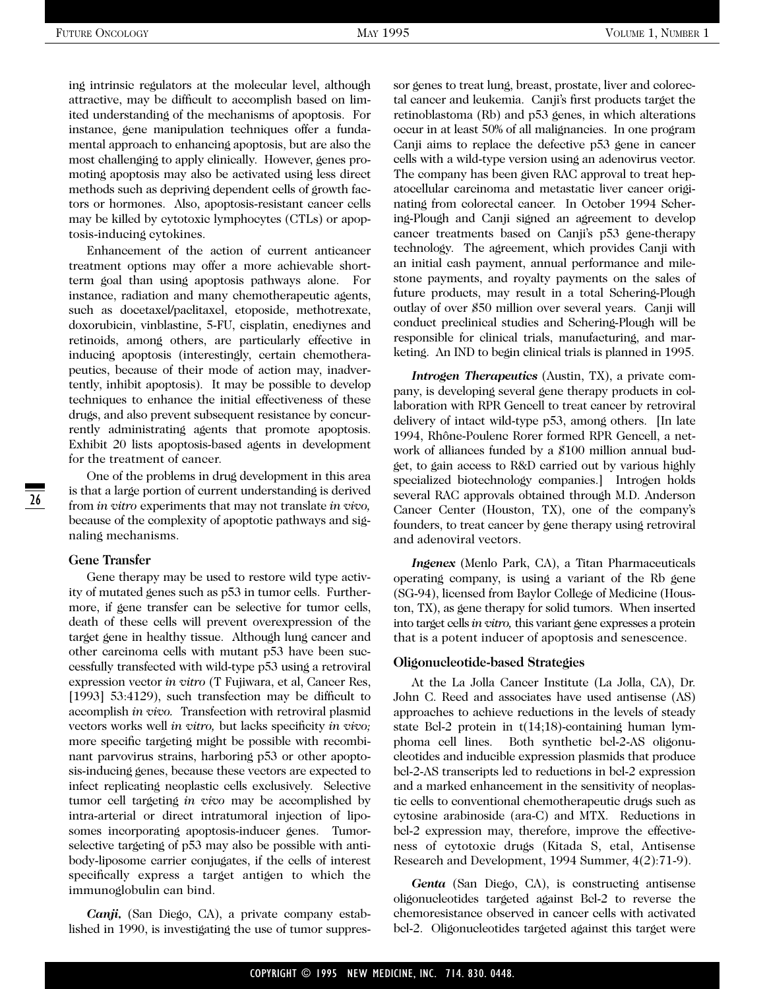ing intrinsic regulators at the molecular level, although attractive, may be difficult to accomplish based on limited understanding of the mechanisms of apoptosis. For instance, gene manipulation techniques offer a fundamental approach to enhancing apoptosis, but are also the most challenging to apply clinically. However, genes promoting apoptosis may also be activated using less direct methods such as depriving dependent cells of growth factors or hormones. Also, apoptosis-resistant cancer cells may be killed by cytotoxic lymphocytes (CTLs) or apoptosis-inducing cytokines.

Enhancement of the action of current anticancer treatment options may offer a more achievable shortterm goal than using apoptosis pathways alone. For instance, radiation and many chemotherapeutic agents, such as docetaxel/paclitaxel, etoposide, methotrexate, doxorubicin, vinblastine, 5-FU, cisplatin, enediynes and retinoids, among others, are particularly effective in inducing apoptosis (interestingly, certain chemotherapeutics, because of their mode of action may, inadvertently, inhibit apoptosis). It may be possible to develop techniques to enhance the initial effectiveness of these drugs, and also prevent subsequent resistance by concurrently administrating agents that promote apoptosis. Exhibit 20 lists apoptosis-based agents in development for the treatment of cancer.

One of the problems in drug development in this area is that a large portion of current understanding is derived from *in vitro* experiments that may not translate *in vivo,* because of the complexity of apoptotic pathways and signaling mechanisms.

#### **Gene Transfer**

26

Gene therapy may be used to restore wild type activity of mutated genes such as p53 in tumor cells. Furthermore, if gene transfer can be selective for tumor cells, death of these cells will prevent overexpression of the target gene in healthy tissue. Although lung cancer and other carcinoma cells with mutant p53 have been successfully transfected with wild-type p53 using a retroviral expression vector *in vitro* (T Fujiwara, et al, Cancer Res, [1993] 53:4129), such transfection may be difficult to accomplish *in vivo.* Transfection with retroviral plasmid vectors works well *in vitro,* but lacks specificity *in vivo;* more specific targeting might be possible with recombinant parvovirus strains, harboring p53 or other apoptosis-inducing genes, because these vectors are expected to infect replicating neoplastic cells exclusively. Selective tumor cell targeting *in vivo* may be accomplished by intra-arterial or direct intratumoral injection of liposomes incorporating apoptosis-inducer genes. Tumorselective targeting of p53 may also be possible with antibody-liposome carrier conjugates, if the cells of interest specifically express a target antigen to which the immunoglobulin can bind.

*Canji,* (San Diego, CA), a private company established in 1990, is investigating the use of tumor suppressor genes to treat lung, breast, prostate, liver and colorectal cancer and leukemia. Canji's first products target the retinoblastoma (Rb) and p53 genes, in which alterations occur in at least 50% of all malignancies. In one program Canji aims to replace the defective p53 gene in cancer cells with a wild-type version using an adenovirus vector. The company has been given RAC approval to treat hepatocellular carcinoma and metastatic liver cancer originating from colorectal cancer. In October 1994 Schering-Plough and Canji signed an agreement to develop cancer treatments based on Canji's p53 gene-therapy technology. The agreement, which provides Canji with an initial cash payment, annual performance and milestone payments, and royalty payments on the sales of future products, may result in a total Schering-Plough outlay of over \$50 million over several years. Canji will conduct preclinical studies and Schering-Plough will be responsible for clinical trials, manufacturing, and marketing. An IND to begin clinical trials is planned in 1995.

*Introgen Therapeutics* (Austin, TX), a private company, is developing several gene therapy products in collaboration with RPR Gencell to treat cancer by retroviral delivery of intact wild-type p53, among others. [In late 1994, Rhône-Poulenc Rorer formed RPR Gencell, a network of alliances funded by a \$100 million annual budget, to gain access to R&D carried out by various highly specialized biotechnology companies.] Introgen holds several RAC approvals obtained through M.D. Anderson Cancer Center (Houston, TX), one of the company's founders, to treat cancer by gene therapy using retroviral and adenoviral vectors.

*Ingenex* (Menlo Park, CA), a Titan Pharmaceuticals operating company, is using a variant of the Rb gene (SG-94), licensed from Baylor College of Medicine (Houston, TX), as gene therapy for solid tumors. When inserted into target cells *in vitro,* this variant gene expresses a protein that is a potent inducer of apoptosis and senescence.

#### **Oligonucleotide-based Strategies**

At the La Jolla Cancer Institute (La Jolla, CA), Dr. John C. Reed and associates have used antisense (AS) approaches to achieve reductions in the levels of steady state Bcl-2 protein in t(14;18)-containing human lymphoma cell lines. Both synthetic bcl-2-AS oligonucleotides and inducible expression plasmids that produce bcl-2-AS transcripts led to reductions in bcl-2 expression and a marked enhancement in the sensitivity of neoplastic cells to conventional chemotherapeutic drugs such as cytosine arabinoside (ara-C) and MTX. Reductions in bcl-2 expression may, therefore, improve the effectiveness of cytotoxic drugs (Kitada S, etal, Antisense Research and Development, 1994 Summer, 4(2):71-9).

*Genta* (San Diego, CA), is constructing antisense oligonucleotides targeted against Bcl-2 to reverse the chemoresistance observed in cancer cells with activated bcl-2. Oligonucleotides targeted against this target were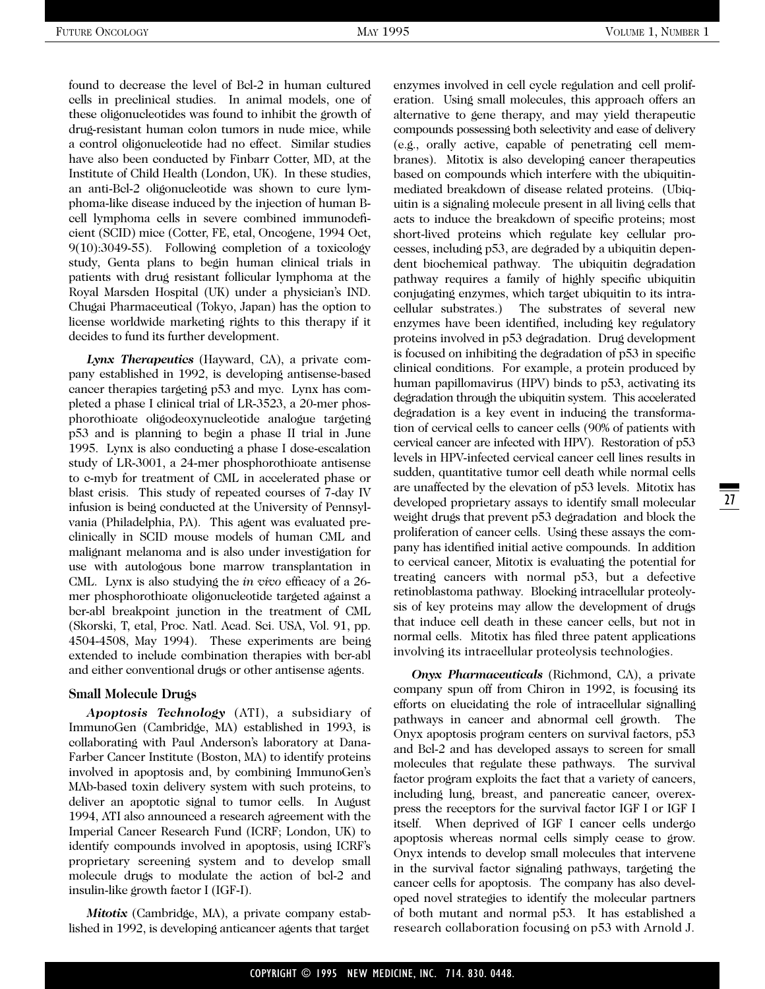found to decrease the level of Bcl-2 in human cultured cells in preclinical studies. In animal models, one of these oligonucleotides was found to inhibit the growth of drug-resistant human colon tumors in nude mice, while a control oligonucleotide had no effect. Similar studies have also been conducted by Finbarr Cotter, MD, at the Institute of Child Health (London, UK). In these studies, an anti-Bcl-2 oligonucleotide was shown to cure lymphoma-like disease induced by the injection of human Bcell lymphoma cells in severe combined immunodeficient (SCID) mice (Cotter, FE, etal, Oncogene, 1994 Oct, 9(10):3049-55). Following completion of a toxicology study, Genta plans to begin human clinical trials in patients with drug resistant follicular lymphoma at the Royal Marsden Hospital (UK) under a physician's IND. Chugai Pharmaceutical (Tokyo, Japan) has the option to license worldwide marketing rights to this therapy if it decides to fund its further development.

*Lynx Therapeutics* (Hayward, CA), a private company established in 1992, is developing antisense-based cancer therapies targeting p53 and myc. Lynx has completed a phase I clinical trial of LR-3523, a 20-mer phosphorothioate oligodeoxynucleotide analogue targeting p53 and is planning to begin a phase II trial in June 1995. Lynx is also conducting a phase I dose-escalation study of LR-3001, a 24-mer phosphorothioate antisense to c-myb for treatment of CML in accelerated phase or blast crisis. This study of repeated courses of 7-day IV infusion is being conducted at the University of Pennsylvania (Philadelphia, PA). This agent was evaluated preclinically in SCID mouse models of human CML and malignant melanoma and is also under investigation for use with autologous bone marrow transplantation in CML. Lynx is also studying the *in vivo* efficacy of a 26 mer phosphorothioate oligonucleotide targeted against a bcr-abl breakpoint junction in the treatment of CML (Skorski, T, etal, Proc. Natl. Acad. Sci. USA, Vol. 91, pp. 4504-4508, May 1994). These experiments are being extended to include combination therapies with bcr-abl and either conventional drugs or other antisense agents.

#### **Small Molecule Drugs**

*Apoptosis Technology* (ATI), a subsidiary of ImmunoGen (Cambridge, MA) established in 1993, is collaborating with Paul Anderson's laboratory at Dana-Farber Cancer Institute (Boston, MA) to identify proteins involved in apoptosis and, by combining ImmunoGen's MAb-based toxin delivery system with such proteins, to deliver an apoptotic signal to tumor cells. In August 1994, ATI also announced a research agreement with the Imperial Cancer Research Fund (ICRF; London, UK) to identify compounds involved in apoptosis, using ICRF's proprietary screening system and to develop small molecule drugs to modulate the action of bcl-2 and insulin-like growth factor I (IGF-I).

*Mitotix* (Cambridge, MA), a private company established in 1992, is developing anticancer agents that target

enzymes involved in cell cycle regulation and cell proliferation. Using small molecules, this approach offers an alternative to gene therapy, and may yield therapeutic compounds possessing both selectivity and ease of delivery (e.g., orally active, capable of penetrating cell membranes). Mitotix is also developing cancer therapeutics based on compounds which interfere with the ubiquitinmediated breakdown of disease related proteins. (Ubiquitin is a signaling molecule present in all living cells that acts to induce the breakdown of specific proteins; most short-lived proteins which regulate key cellular processes, including p53, are degraded by a ubiquitin dependent biochemical pathway. The ubiquitin degradation pathway requires a family of highly specific ubiquitin conjugating enzymes, which target ubiquitin to its intracellular substrates.) The substrates of several new enzymes have been identified, including key regulatory proteins involved in p53 degradation. Drug development is focused on inhibiting the degradation of p53 in specific clinical conditions. For example, a protein produced by human papillomavirus (HPV) binds to p53, activating its degradation through the ubiquitin system. This accelerated degradation is a key event in inducing the transformation of cervical cells to cancer cells (90% of patients with cervical cancer are infected with HPV). Restoration of p53 levels in HPV-infected cervical cancer cell lines results in sudden, quantitative tumor cell death while normal cells are unaffected by the elevation of p53 levels. Mitotix has developed proprietary assays to identify small molecular weight drugs that prevent p53 degradation and block the proliferation of cancer cells. Using these assays the company has identified initial active compounds. In addition to cervical cancer, Mitotix is evaluating the potential for treating cancers with normal p53, but a defective retinoblastoma pathway. Blocking intracellular proteolysis of key proteins may allow the development of drugs that induce cell death in these cancer cells, but not in normal cells. Mitotix has filed three patent applications involving its intracellular proteolysis technologies.

*Onyx Pharmaceuticals* (Richmond, CA), a private company spun off from Chiron in 1992, is focusing its efforts on elucidating the role of intracellular signalling pathways in cancer and abnormal cell growth. The Onyx apoptosis program centers on survival factors, p53 and Bcl-2 and has developed assays to screen for small molecules that regulate these pathways. The survival factor program exploits the fact that a variety of cancers, including lung, breast, and pancreatic cancer, overexpress the receptors for the survival factor IGF I or IGF I itself. When deprived of IGF I cancer cells undergo apoptosis whereas normal cells simply cease to grow. Onyx intends to develop small molecules that intervene in the survival factor signaling pathways, targeting the cancer cells for apoptosis. The company has also developed novel strategies to identify the molecular partners of both mutant and normal p53. It has established a research collaboration focusing on p53 with Arnold J.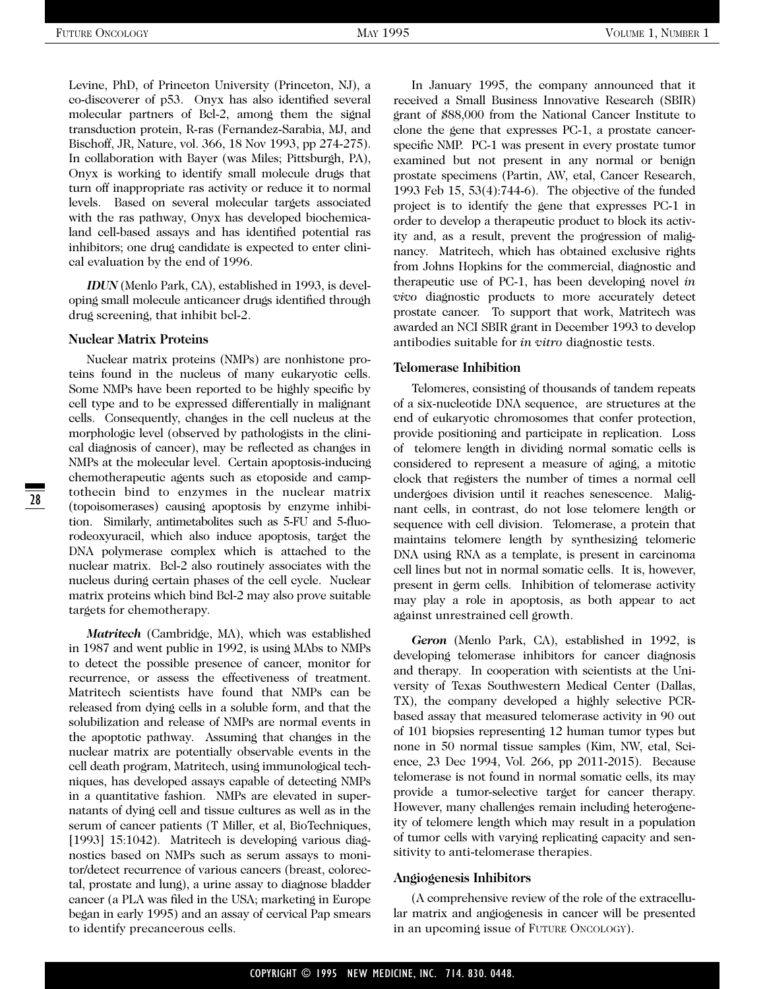Levine, PhD, of Princeton University (Princeton, NJ), a co-discoverer of p53. Onyx has also identified several molecular partners of Bcl-2, among them the signal transduction protein, R-ras (Fernandez-Sarabia, MJ, and Bischoff, JR, Nature, vol. 366, 18 Nov 1993, pp 274-275). In collaboration with Bayer (was Miles; Pittsburgh, PA), Onyx is working to identify small molecule drugs that turn off inappropriate ras activity or reduce it to normal levels. Based on several molecular targets associated with the ras pathway, Onyx has developed biochemicaland cell-based assays and has identified potential ras inhibitors; one drug candidate is expected to enter clinical evaluation by the end of 1996.

*IDUN* (Menlo Park, CA), established in 1993, is developing small molecule anticancer drugs identified through drug screening, that inhibit bcl-2.

#### **Nuclear Matrix Proteins**

Nuclear matrix proteins (NMPs) are nonhistone proteins found in the nucleus of many eukaryotic cells. Some NMPs have been reported to be highly specific by cell type and to be expressed differentially in malignant cells. Consequently, changes in the cell nucleus at the morphologic level (observed by pathologists in the clinical diagnosis of cancer), may be reflected as changes in NMPs at the molecular level. Certain apoptosis-inducing chemotherapeutic agents such as etoposide and camptothecin bind to enzymes in the nuclear matrix (topoisomerases) causing apoptosis by enzyme inhibition. Similarly, antimetabolites such as 5-FU and 5-fluorodeoxyuracil, which also induce apoptosis, target the DNA polymerase complex which is attached to the nuclear matrix. Bcl-2 also routinely associates with the nucleus during certain phases of the cell cycle. Nuclear matrix proteins which bind Bcl-2 may also prove suitable targets for chemotherapy.

*Matritech* (Cambridge, MA), which was established in 1987 and went public in 1992, is using MAbs to NMPs to detect the possible presence of cancer, monitor for recurrence, or assess the effectiveness of treatment. Matritech scientists have found that NMPs can be released from dying cells in a soluble form, and that the solubilization and release of NMPs are normal events in the apoptotic pathway. Assuming that changes in the nuclear matrix are potentially observable events in the cell death program, Matritech, using immunological techniques, has developed assays capable of detecting NMPs in a quantitative fashion. NMPs are elevated in supernatants of dying cell and tissue cultures as well as in the serum of cancer patients (T Miller, et al, BioTechniques, [1993] 15:1042). Matritech is developing various diagnostics based on NMPs such as serum assays to monitor/detect recurrence of various cancers (breast, colorectal, prostate and lung), a urine assay to diagnose bladder cancer (a PLA was filed in the USA; marketing in Europe began in early 1995) and an assay of cervical Pap smears to identify precancerous cells.

In January 1995, the company announced that it received a Small Business Innovative Research (SBIR) grant of \$88,000 from the National Cancer Institute to clone the gene that expresses PC-1, a prostate cancerspecific NMP. PC-1 was present in every prostate tumor examined but not present in any normal or benign prostate specimens (Partin, AW, etal, Cancer Research, 1993 Feb 15, 53(4):744-6). The objective of the funded project is to identify the gene that expresses PC-1 in order to develop a therapeutic product to block its activity and, as a result, prevent the progression of malignancy. Matritech, which has obtained exclusive rights from Johns Hopkins for the commercial, diagnostic and therapeutic use of PC-1, has been developing novel *in vivo* diagnostic products to more accurately detect prostate cancer. To support that work, Matritech was awarded an NCI SBIR grant in December 1993 to develop antibodies suitable for *in vitro* diagnostic tests.

#### **Telomerase Inhibition**

Telomeres, consisting of thousands of tandem repeats of a six-nucleotide DNA sequence, are structures at the end of eukaryotic chromosomes that confer protection, provide positioning and participate in replication. Loss of telomere length in dividing normal somatic cells is considered to represent a measure of aging, a mitotic clock that registers the number of times a normal cell undergoes division until it reaches senescence. Malignant cells, in contrast, do not lose telomere length or sequence with cell division. Telomerase, a protein that maintains telomere length by synthesizing telomeric DNA using RNA as a template, is present in carcinoma cell lines but not in normal somatic cells. It is, however, present in germ cells. Inhibition of telomerase activity may play a role in apoptosis, as both appear to act against unrestrained cell growth.

*Geron* (Menlo Park, CA), established in 1992, is developing telomerase inhibitors for cancer diagnosis and therapy. In cooperation with scientists at the University of Texas Southwestern Medical Center (Dallas, TX), the company developed a highly selective PCRbased assay that measured telomerase activity in 90 out of 101 biopsies representing 12 human tumor types but none in 50 normal tissue samples (Kim, NW, etal, Science, 23 Dec 1994, Vol. 266, pp 2011-2015). Because telomerase is not found in normal somatic cells, its may provide a tumor-selective target for cancer therapy. However, many challenges remain including heterogeneity of telomere length which may result in a population of tumor cells with varying replicating capacity and sensitivity to anti-telomerase therapies.

#### **Angiogenesis Inhibitors**

(A comprehensive review of the role of the extracellular matrix and angiogenesis in cancer will be presented in an upcoming issue of FUTURE ONCOLOGY).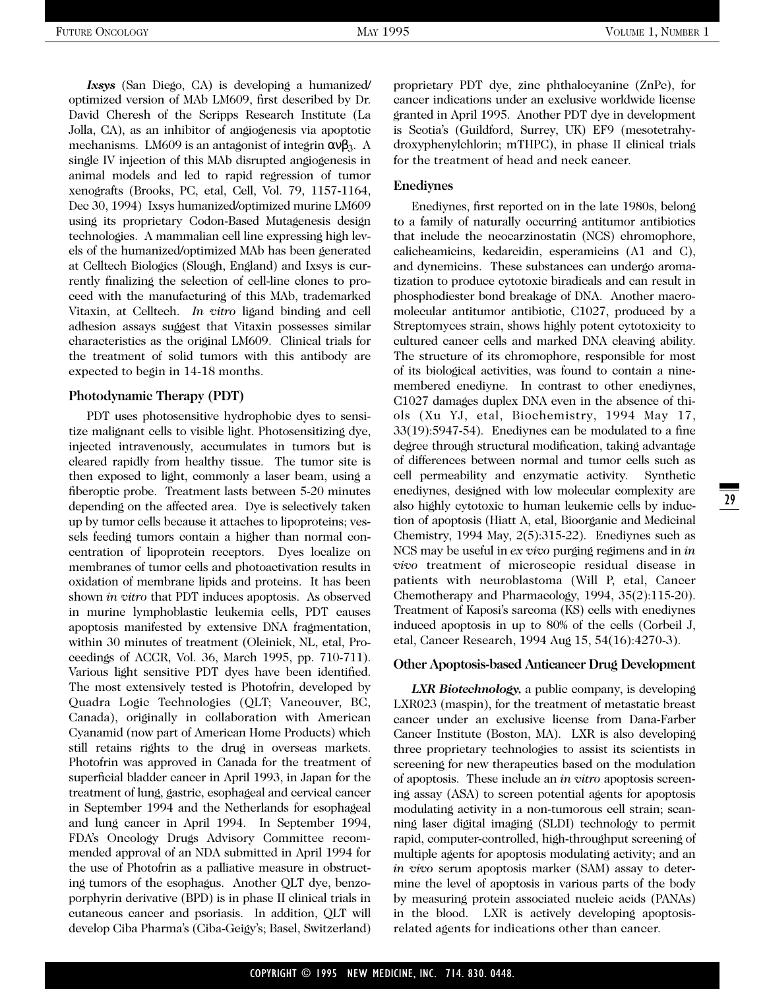*Ixsys* (San Diego, CA) is developing a humanized/ optimized version of MAb LM609, first described by Dr. David Cheresh of the Scripps Research Institute (La Jolla, CA), as an inhibitor of angiogenesis via apoptotic mechanisms. LM609 is an antagonist of integrin  $\alpha v \beta_3$ . A single IV injection of this MAb disrupted angiogenesis in animal models and led to rapid regression of tumor xenografts (Brooks, PC, etal, Cell, Vol. 79, 1157-1164, Dec 30, 1994) Ixsys humanized/optimized murine LM609 using its proprietary Codon-Based Mutagenesis design technologies. A mammalian cell line expressing high levels of the humanized/optimized MAb has been generated at Celltech Biologics (Slough, England) and Ixsys is currently finalizing the selection of cell-line clones to proceed with the manufacturing of this MAb, trademarked Vitaxin, at Celltech. *In vitro* ligand binding and cell adhesion assays suggest that Vitaxin possesses similar characteristics as the original LM609. Clinical trials for the treatment of solid tumors with this antibody are expected to begin in 14-18 months.

#### **Photodynamic Therapy (PDT)**

PDT uses photosensitive hydrophobic dyes to sensitize malignant cells to visible light. Photosensitizing dye, injected intravenously, accumulates in tumors but is cleared rapidly from healthy tissue. The tumor site is then exposed to light, commonly a laser beam, using a fiberoptic probe. Treatment lasts between 5-20 minutes depending on the affected area. Dye is selectively taken up by tumor cells because it attaches to lipoproteins; vessels feeding tumors contain a higher than normal concentration of lipoprotein receptors. Dyes localize on membranes of tumor cells and photoactivation results in oxidation of membrane lipids and proteins. It has been shown *in vitro* that PDT induces apoptosis. As observed in murine lymphoblastic leukemia cells, PDT causes apoptosis manifested by extensive DNA fragmentation, within 30 minutes of treatment (Oleinick, NL, etal, Proceedings of ACCR, Vol. 36, March 1995, pp. 710-711). Various light sensitive PDT dyes have been identified. The most extensively tested is Photofrin, developed by Quadra Logic Technologies (QLT; Vancouver, BC, Canada), originally in collaboration with American Cyanamid (now part of American Home Products) which still retains rights to the drug in overseas markets. Photofrin was approved in Canada for the treatment of superficial bladder cancer in April 1993, in Japan for the treatment of lung, gastric, esophageal and cervical cancer in September 1994 and the Netherlands for esophageal and lung cancer in April 1994. In September 1994, FDA's Oncology Drugs Advisory Committee recommended approval of an NDA submitted in April 1994 for the use of Photofrin as a palliative measure in obstructing tumors of the esophagus. Another QLT dye, benzoporphyrin derivative (BPD) is in phase II clinical trials in cutaneous cancer and psoriasis. In addition, QLT will develop Ciba Pharma's (Ciba-Geigy's; Basel, Switzerland) proprietary PDT dye, zinc phthalocyanine (ZnPc), for cancer indications under an exclusive worldwide license granted in April 1995. Another PDT dye in development is Scotia's (Guildford, Surrey, UK) EF9 (mesotetrahydroxyphenylchlorin; mTHPC), in phase II clinical trials for the treatment of head and neck cancer.

#### **Enediynes**

Enediynes, first reported on in the late 1980s, belong to a family of naturally occurring antitumor antibiotics that include the neocarzinostatin (NCS) chromophore, calicheamicins, kedarcidin, esperamicins (A1 and C), and dynemicins. These substances can undergo aromatization to produce cytotoxic biradicals and can result in phosphodiester bond breakage of DNA. Another macromolecular antitumor antibiotic, C1027, produced by a Streptomyces strain, shows highly potent cytotoxicity to cultured cancer cells and marked DNA cleaving ability. The structure of its chromophore, responsible for most of its biological activities, was found to contain a ninemembered enediyne. In contrast to other enediynes, C1027 damages duplex DNA even in the absence of thiols (Xu YJ, etal, Biochemistry, 1994 May 17, 33(19):5947-54). Enediynes can be modulated to a fine degree through structural modification, taking advantage of differences between normal and tumor cells such as cell permeability and enzymatic activity. Synthetic enediynes, designed with low molecular complexity are also highly cytotoxic to human leukemic cells by induction of apoptosis (Hiatt A, etal, Bioorganic and Medicinal Chemistry, 1994 May, 2(5):315-22). Enediynes such as NCS may be useful in *ex vivo* purging regimens and in *in vivo* treatment of microscopic residual disease in patients with neuroblastoma (Will P, etal, Cancer Chemotherapy and Pharmacology, 1994, 35(2):115-20). Treatment of Kaposi's sarcoma (KS) cells with enediynes induced apoptosis in up to 80% of the cells (Corbeil J, etal, Cancer Research, 1994 Aug 15, 54(16):4270-3).

#### **Other Apoptosis-based Anticancer Drug Development**

*LXR Biotechnology,* a public company, is developing LXR023 (maspin), for the treatment of metastatic breast cancer under an exclusive license from Dana-Farber Cancer Institute (Boston, MA). LXR is also developing three proprietary technologies to assist its scientists in screening for new therapeutics based on the modulation of apoptosis. These include an *in vitro* apoptosis screening assay (ASA) to screen potential agents for apoptosis modulating activity in a non-tumorous cell strain; scanning laser digital imaging (SLDI) technology to permit rapid, computer-controlled, high-throughput screening of multiple agents for apoptosis modulating activity; and an *in vivo* serum apoptosis marker (SAM) assay to determine the level of apoptosis in various parts of the body by measuring protein associated nucleic acids (PANAs) in the blood. LXR is actively developing apoptosisrelated agents for indications other than cancer.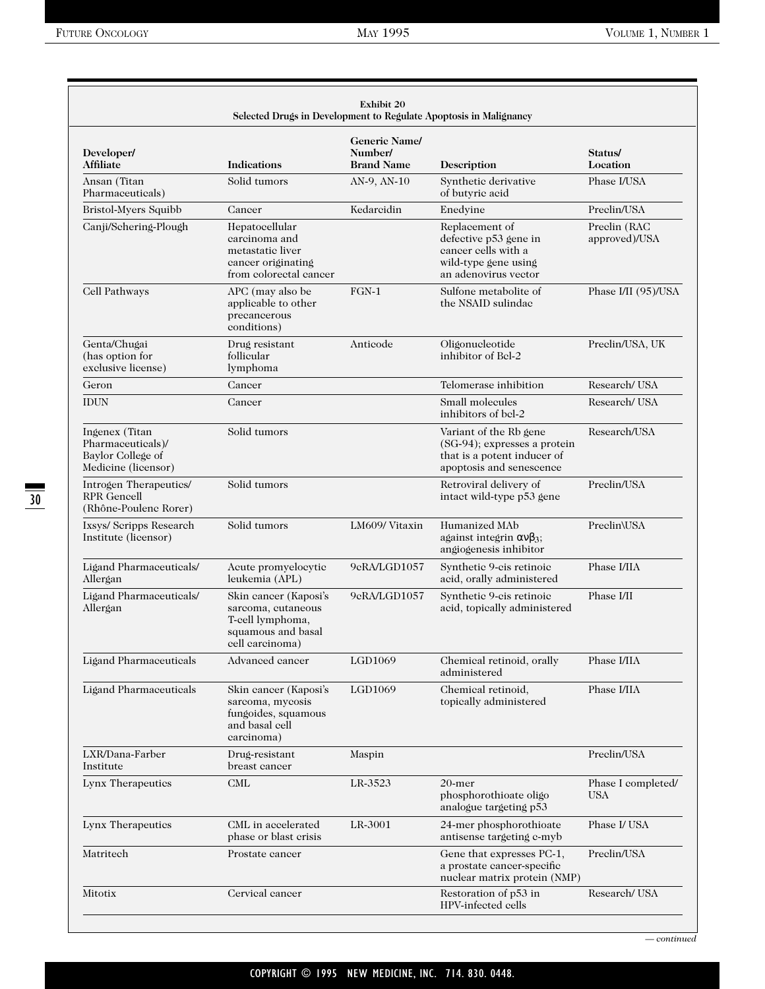| Developer/<br><b>Affiliate</b>                                                  | <b>Indications</b>                                                                                       | <b>Generic Name/</b><br>Number/<br><b>Brand Name</b> | Description                                                                                                       | Status/<br>Location              |
|---------------------------------------------------------------------------------|----------------------------------------------------------------------------------------------------------|------------------------------------------------------|-------------------------------------------------------------------------------------------------------------------|----------------------------------|
| Ansan (Titan<br>Pharmaceuticals)                                                | Solid tumors                                                                                             | AN-9, AN-10                                          | Synthetic derivative<br>of butyric acid                                                                           | Phase I/USA                      |
| Bristol-Myers Squibb                                                            | Cancer                                                                                                   | Kedarcidin                                           | Enedyine                                                                                                          | Preclin/USA                      |
| Canji/Schering-Plough                                                           | Hepatocellular<br>carcinoma and<br>metastatic liver<br>cancer originating<br>from colorectal cancer      |                                                      | Replacement of<br>defective p53 gene in<br>cancer cells with a<br>wild-type gene using<br>an adenovirus vector    | Preclin (RAC<br>approved)/USA    |
| Cell Pathways                                                                   | APC (may also be<br>applicable to other<br>precancerous<br>conditions)                                   | $FGN-1$                                              | Sulfone metabolite of<br>the NSAID sulindae                                                                       | Phase I/II (95)/USA              |
| Genta/Chugai<br>(has option for<br>exclusive license)                           | Drug resistant<br>follicular<br>lymphoma                                                                 | Anticode                                             | Oligonucleotide<br>inhibitor of Bel-2                                                                             | Preclin/USA, UK                  |
| Geron                                                                           | Cancer                                                                                                   |                                                      | Telomerase inhibition                                                                                             | Research/USA                     |
| <b>IDUN</b>                                                                     | Cancer                                                                                                   |                                                      | Small molecules<br>inhibitors of bel-2                                                                            | Research/USA                     |
| Ingenex (Titan<br>Pharmaceuticals)/<br>Baylor College of<br>Medicine (licensor) | Solid tumors                                                                                             |                                                      | Variant of the Rb gene<br>(SG-94); expresses a protein<br>that is a potent inducer of<br>apoptosis and senescence | Research/USA                     |
| Introgen Therapeutics/<br><b>RPR</b> Gencell<br>(Rhône-Poulenc Rorer)           | Solid tumors                                                                                             |                                                      | Retroviral delivery of<br>intact wild-type p53 gene                                                               | Preclin/USA                      |
| Ixsys/ Seripps Research<br>Institute (licensor)                                 | Solid tumors                                                                                             | LM609/ Vitaxin                                       | Humanized MAb<br>against integrin $\alpha v \beta_3$ ;<br>angiogenesis inhibitor                                  | Preclin\USA                      |
| Ligand Pharmaceuticals/<br>Allergan                                             | Acute promyelocytic<br>leukemia (APL)                                                                    | 9eRA/LGD1057                                         | Synthetic 9-cis retinoic<br>acid, orally administered                                                             | Phase I/IIA                      |
| Ligand Pharmaceuticals/<br>Allergan                                             | Skin cancer (Kaposi's<br>sarcoma, cutaneous<br>T-cell lymphoma,<br>squamous and basal<br>cell carcinoma) | 9eRA/LGD1057                                         | Synthetic 9-cis retinoic<br>acid, topically administered                                                          | Phase I/II                       |
| Ligand Pharmaceuticals                                                          | Advanced cancer                                                                                          | LGD1069                                              | Chemical retinoid, orally<br>administered                                                                         | Phase I/IIA                      |
| Ligand Pharmaceuticals                                                          | Skin cancer (Kaposi's<br>sarcoma, mycosis<br>fungoides, squamous<br>and basal cell<br>carcinoma)         | LGD1069                                              | Chemical retinoid,<br>topically administered                                                                      | Phase I/IIA                      |
| LXR/Dana-Farber<br>Institute                                                    | Drug-resistant<br>breast cancer                                                                          | Maspin                                               |                                                                                                                   | Preclin/USA                      |
| Lynx Therapeutics                                                               | CML                                                                                                      | LR-3523                                              | 20-mer<br>phosphorothioate oligo<br>analogue targeting p53                                                        | Phase I completed/<br><b>USA</b> |
| Lynx Therapeutics                                                               | CML in accelerated<br>phase or blast crisis                                                              | LR-3001                                              | 24-mer phosphorothioate<br>antisense targeting e-myb                                                              | Phase I/ USA                     |
| Matritech                                                                       | Prostate cancer                                                                                          |                                                      | Gene that expresses PC-1,<br>a prostate cancer-specific<br>nuclear matrix protein (NMP)                           | Preclin/USA                      |
| Mitotix                                                                         | Cervical cancer                                                                                          |                                                      | Restoration of p53 in<br>HPV-infected cells                                                                       | Research/USA                     |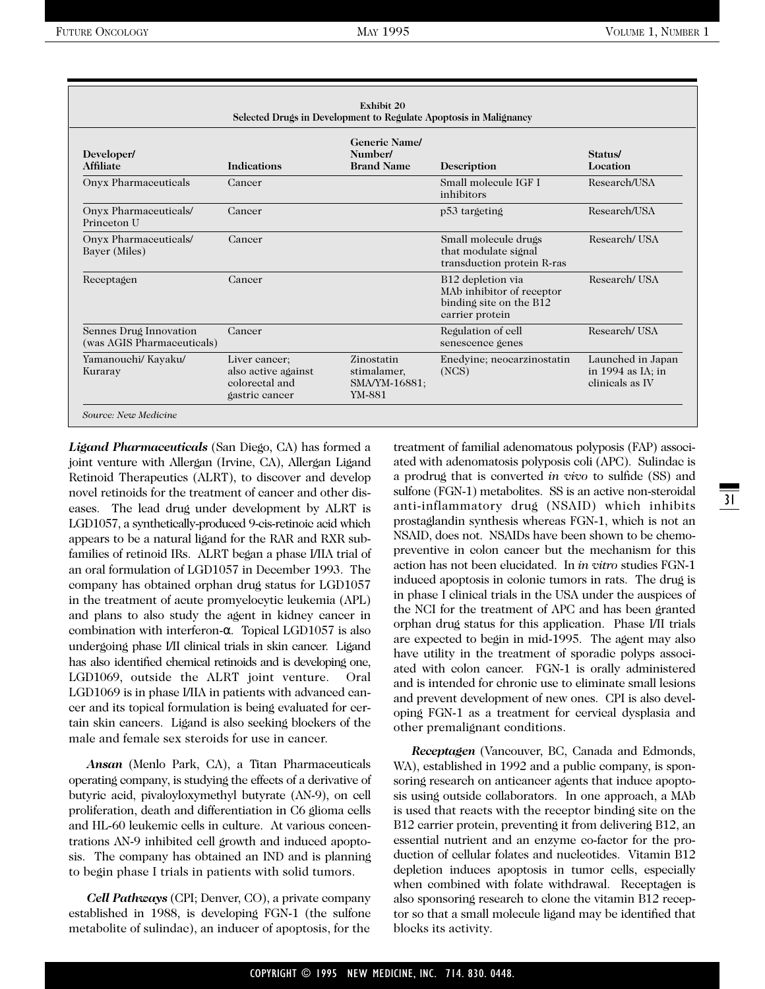| Developer/<br><b>Affiliate</b>                       | <b>Indications</b>                                                       | <b>Generic Name/</b><br>Number/<br><b>Brand Name</b> | Description                                                                                              | Status/<br>Location                                       |
|------------------------------------------------------|--------------------------------------------------------------------------|------------------------------------------------------|----------------------------------------------------------------------------------------------------------|-----------------------------------------------------------|
| Onyx Pharmaceuticals                                 | Cancer                                                                   |                                                      | Small molecule IGF I<br>inhibitors                                                                       | Research/USA                                              |
| Onyx Pharmaceuticals/<br>Princeton U                 | Cancer                                                                   |                                                      | p53 targeting                                                                                            | Research/USA                                              |
| Onyx Pharmaceuticals/<br>Bayer (Miles)               | Cancer                                                                   |                                                      | Small molecule drugs<br>that modulate signal<br>transduction protein R-ras                               | Research/USA                                              |
| Receptagen                                           | Cancer                                                                   |                                                      | B <sub>12</sub> depletion via<br>MAb inhibitor of receptor<br>binding site on the B12<br>carrier protein | Research/USA                                              |
| Sennes Drug Innovation<br>(was AGIS Pharmaceuticals) | Cancer                                                                   |                                                      | Regulation of cell<br>senescence genes                                                                   | Research/USA                                              |
| Yamanouchi/ Kayaku/<br>Kuraray                       | Liver cancer;<br>also active against<br>colorectal and<br>gastric cancer | Zinostatin<br>stimalamer,<br>SMA/YM-16881;<br>YM-881 | Enedyine; neocarzinostatin<br>(NCS)                                                                      | Launched in Japan<br>in 1994 as IA; in<br>clinicals as IV |

*Ligand Pharmaceuticals* (San Diego, CA) has formed a joint venture with Allergan (Irvine, CA), Allergan Ligand Retinoid Therapeutics (ALRT), to discover and develop novel retinoids for the treatment of cancer and other diseases. The lead drug under development by ALRT is LGD1057, a synthetically-produced 9-cis-retinoic acid which appears to be a natural ligand for the RAR and RXR subfamilies of retinoid IRs. ALRT began a phase I/IIA trial of an oral formulation of LGD1057 in December 1993. The company has obtained orphan drug status for LGD1057 in the treatment of acute promyelocytic leukemia (APL) and plans to also study the agent in kidney cancer in combination with interferon-α. Topical LGD1057 is also undergoing phase I/II clinical trials in skin cancer. Ligand has also identified chemical retinoids and is developing one, LGD1069, outside the ALRT joint venture. Oral LGD1069 is in phase I/IIA in patients with advanced cancer and its topical formulation is being evaluated for certain skin cancers. Ligand is also seeking blockers of the male and female sex steroids for use in cancer.

*Ansan* (Menlo Park, CA), a Titan Pharmaceuticals operating company, is studying the effects of a derivative of butyric acid, pivaloyloxymethyl butyrate (AN-9), on cell proliferation, death and differentiation in C6 glioma cells and HL-60 leukemic cells in culture. At various concentrations AN-9 inhibited cell growth and induced apoptosis. The company has obtained an IND and is planning to begin phase I trials in patients with solid tumors.

*Cell Pathways* (CPI; Denver, CO), a private company established in 1988, is developing FGN-1 (the sulfone metabolite of sulindac), an inducer of apoptosis, for the

treatment of familial adenomatous polyposis (FAP) associated with adenomatosis polyposis coli (APC). Sulindac is a prodrug that is converted *in vivo* to sulfide (SS) and sulfone (FGN-1) metabolites. SS is an active non-steroidal anti-inflammatory drug (NSAID) which inhibits prostaglandin synthesis whereas FGN-1, which is not an NSAID, does not. NSAIDs have been shown to be chemopreventive in colon cancer but the mechanism for this action has not been elucidated. In *in vitro* studies FGN-1 induced apoptosis in colonic tumors in rats. The drug is in phase I clinical trials in the USA under the auspices of the NCI for the treatment of APC and has been granted orphan drug status for this application. Phase I/II trials are expected to begin in mid-1995. The agent may also have utility in the treatment of sporadic polyps associated with colon cancer. FGN-1 is orally administered and is intended for chronic use to eliminate small lesions and prevent development of new ones. CPI is also developing FGN-1 as a treatment for cervical dysplasia and other premalignant conditions.

*Receptagen* (Vancouver, BC, Canada and Edmonds, WA), established in 1992 and a public company, is sponsoring research on anticancer agents that induce apoptosis using outside collaborators. In one approach, a MAb is used that reacts with the receptor binding site on the B12 carrier protein, preventing it from delivering B12, an essential nutrient and an enzyme co-factor for the production of cellular folates and nucleotides. Vitamin B12 depletion induces apoptosis in tumor cells, especially when combined with folate withdrawal. Receptagen is also sponsoring research to clone the vitamin B12 receptor so that a small molecule ligand may be identified that blocks its activity.